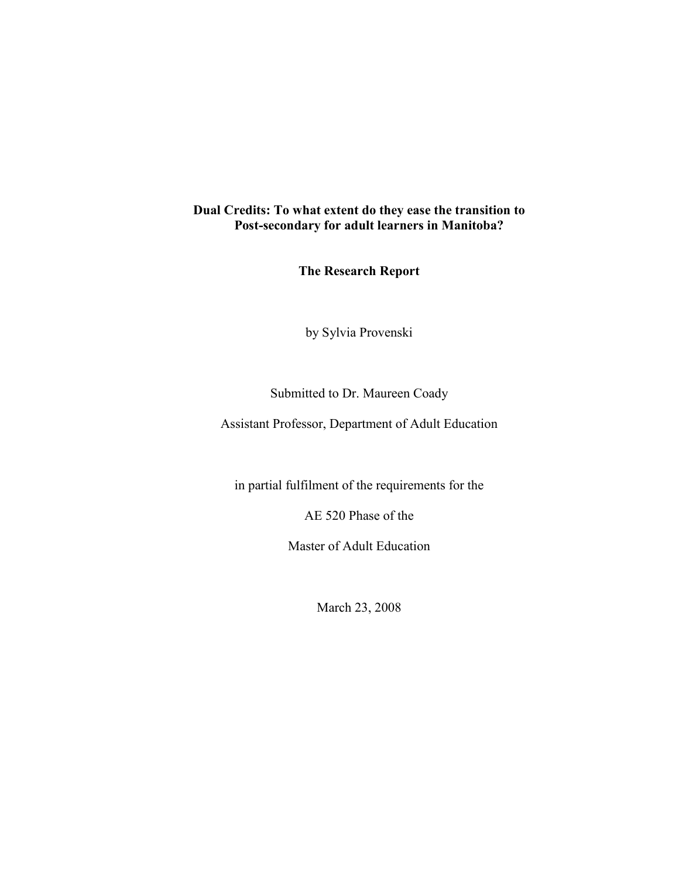## **Dual Credits: To what extent do they ease the transition to Post-secondary for adult learners in Manitoba?**

**The Research Report**

by Sylvia Provenski

## Submitted to Dr. Maureen Coady

Assistant Professor, Department of Adult Education

in partial fulfilment of the requirements for the

AE 520 Phase of the

Master of Adult Education

March 23, 2008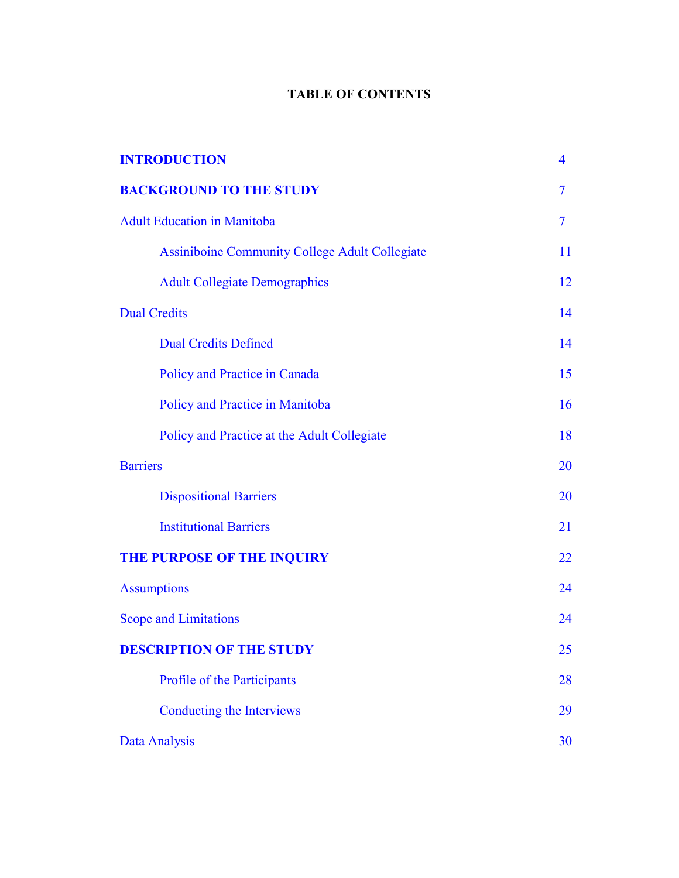# **TABLE OF CONTENTS**

| <b>INTRODUCTION</b>                                   | $\overline{4}$ |
|-------------------------------------------------------|----------------|
| <b>BACKGROUND TO THE STUDY</b>                        | $\overline{7}$ |
| <b>Adult Education in Manitoba</b>                    | $\overline{7}$ |
| <b>Assiniboine Community College Adult Collegiate</b> | 11             |
| <b>Adult Collegiate Demographics</b>                  | 12             |
| <b>Dual Credits</b>                                   | 14             |
| <b>Dual Credits Defined</b>                           | 14             |
| Policy and Practice in Canada                         | 15             |
| Policy and Practice in Manitoba                       | 16             |
| Policy and Practice at the Adult Collegiate           | 18             |
| <b>Barriers</b>                                       | 20             |
| <b>Dispositional Barriers</b>                         | 20             |
| <b>Institutional Barriers</b>                         | 21             |
| THE PURPOSE OF THE INQUIRY                            | 22             |
| <b>Assumptions</b>                                    | 24             |
| <b>Scope and Limitations</b>                          | 24             |
| <b>DESCRIPTION OF THE STUDY</b>                       | 25             |
| Profile of the Participants                           | 28             |
| <b>Conducting the Interviews</b>                      | 29             |
| Data Analysis                                         | 30             |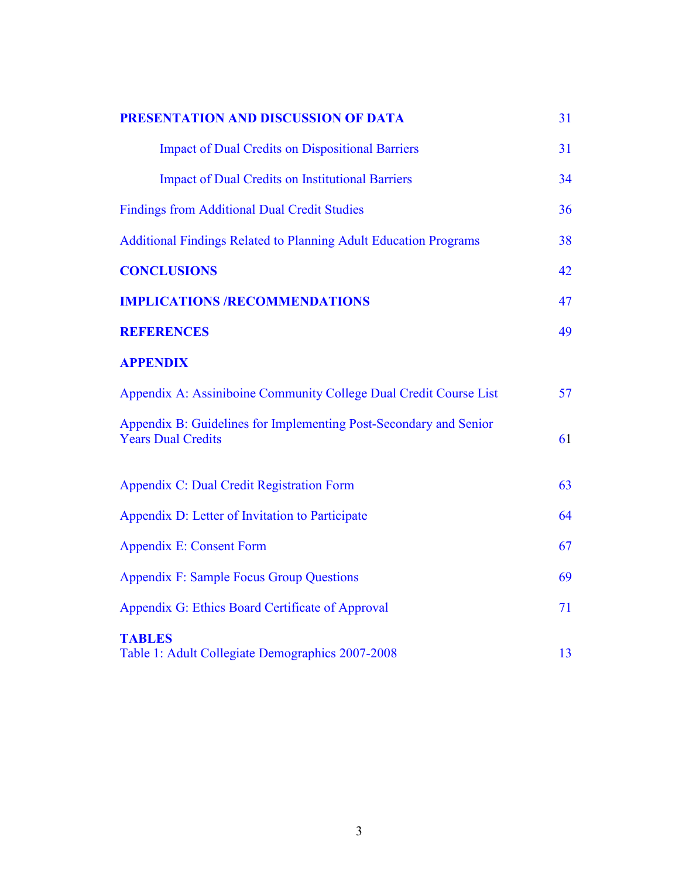| PRESENTATION AND DISCUSSION OF DATA                                                            | 31 |
|------------------------------------------------------------------------------------------------|----|
| <b>Impact of Dual Credits on Dispositional Barriers</b>                                        | 31 |
| <b>Impact of Dual Credits on Institutional Barriers</b>                                        | 34 |
| <b>Findings from Additional Dual Credit Studies</b>                                            | 36 |
| <b>Additional Findings Related to Planning Adult Education Programs</b>                        | 38 |
| <b>CONCLUSIONS</b>                                                                             | 42 |
| <b>IMPLICATIONS /RECOMMENDATIONS</b>                                                           | 47 |
| <b>REFERENCES</b>                                                                              | 49 |
| <b>APPENDIX</b>                                                                                |    |
| Appendix A: Assiniboine Community College Dual Credit Course List                              | 57 |
| Appendix B: Guidelines for Implementing Post-Secondary and Senior<br><b>Years Dual Credits</b> | 61 |
| Appendix C: Dual Credit Registration Form                                                      | 63 |
| Appendix D: Letter of Invitation to Participate                                                | 64 |
| <b>Appendix E: Consent Form</b>                                                                | 67 |
| <b>Appendix F: Sample Focus Group Questions</b>                                                | 69 |
| Appendix G: Ethics Board Certificate of Approval                                               | 71 |
| <b>TABLES</b><br>Table 1: Adult Collegiate Demographics 2007-2008                              | 13 |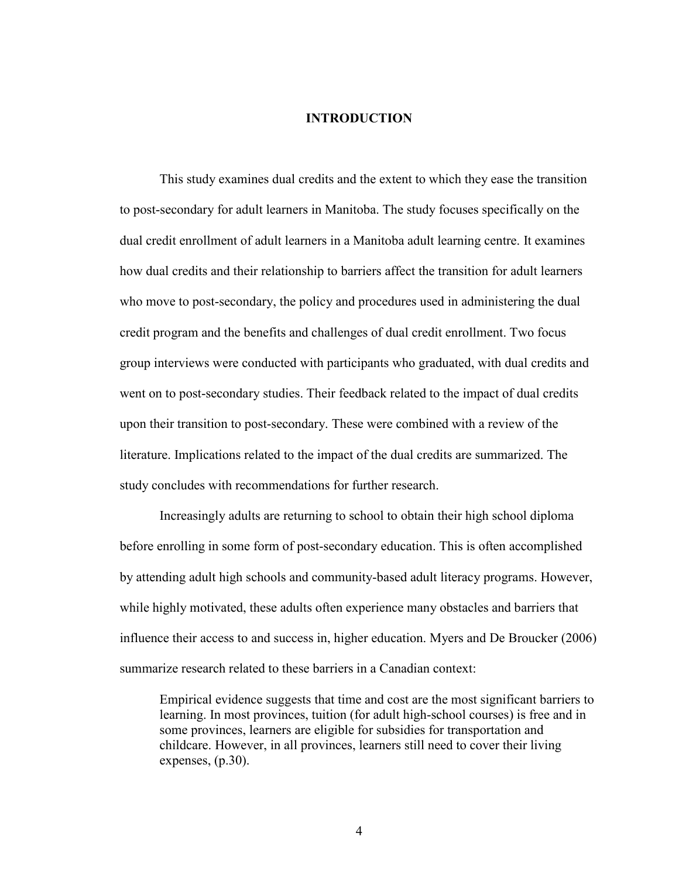## **INTRODUCTION**

<span id="page-3-0"></span> This study examines dual credits and the extent to which they ease the transition to post-secondary for adult learners in Manitoba. The study focuses specifically on the dual credit enrollment of adult learners in a Manitoba adult learning centre. It examines how dual credits and their relationship to barriers affect the transition for adult learners who move to post-secondary, the policy and procedures used in administering the dual credit program and the benefits and challenges of dual credit enrollment. Two focus group interviews were conducted with participants who graduated, with dual credits and went on to post-secondary studies. Their feedback related to the impact of dual credits upon their transition to post-secondary. These were combined with a review of the literature. Implications related to the impact of the dual credits are summarized. The study concludes with recommendations for further research.

Increasingly adults are returning to school to obtain their high school diploma before enrolling in some form of post-secondary education. This is often accomplished by attending adult high schools and community-based adult literacy programs. However, while highly motivated, these adults often experience many obstacles and barriers that influence their access to and success in, higher education. Myers and De Broucker (2006) summarize research related to these barriers in a Canadian context:

Empirical evidence suggests that time and cost are the most significant barriers to learning. In most provinces, tuition (for adult high-school courses) is free and in some provinces, learners are eligible for subsidies for transportation and childcare. However, in all provinces, learners still need to cover their living expenses, (p.30).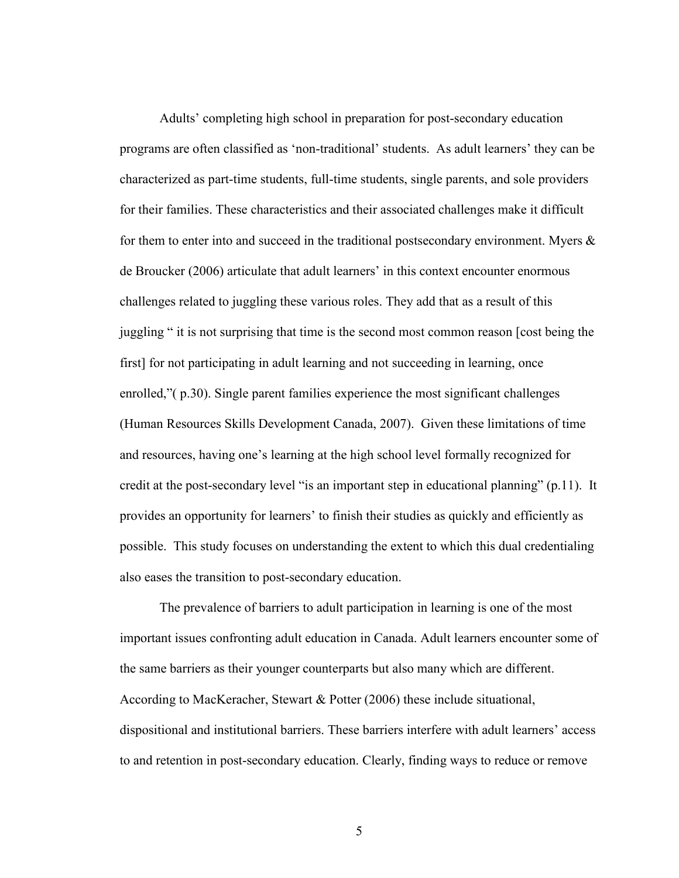Adults' completing high school in preparation for post-secondary education programs are often classified as 'non-traditional' students. As adult learners' they can be characterized as part-time students, full-time students, single parents, and sole providers for their families. These characteristics and their associated challenges make it difficult for them to enter into and succeed in the traditional postsecondary environment. Myers  $\&$ de Broucker (2006) articulate that adult learners' in this context encounter enormous challenges related to juggling these various roles. They add that as a result of this juggling " it is not surprising that time is the second most common reason [cost being the first] for not participating in adult learning and not succeeding in learning, once enrolled,"( p.30). Single parent families experience the most significant challenges (Human Resources Skills Development Canada, 2007). Given these limitations of time and resources, having one's learning at the high school level formally recognized for credit at the post-secondary level "is an important step in educational planning" (p.11). It provides an opportunity for learners' to finish their studies as quickly and efficiently as possible. This study focuses on understanding the extent to which this dual credentialing also eases the transition to post-secondary education.

The prevalence of barriers to adult participation in learning is one of the most important issues confronting adult education in Canada. Adult learners encounter some of the same barriers as their younger counterparts but also many which are different. According to MacKeracher, Stewart & Potter (2006) these include situational, dispositional and institutional barriers. These barriers interfere with adult learners' access to and retention in post-secondary education. Clearly, finding ways to reduce or remove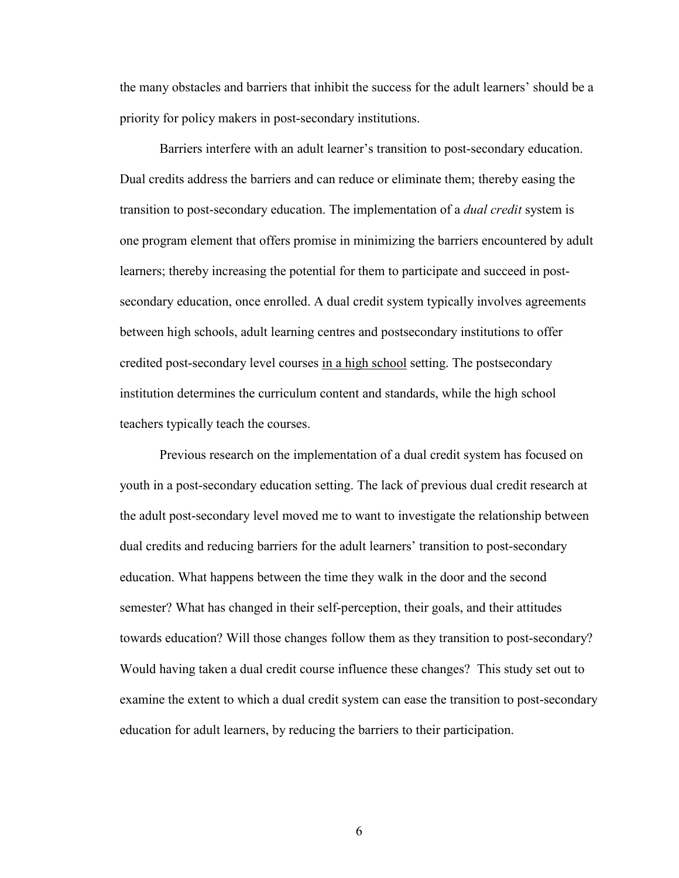the many obstacles and barriers that inhibit the success for the adult learners' should be a priority for policy makers in post-secondary institutions.

Barriers interfere with an adult learner's transition to post-secondary education. Dual credits address the barriers and can reduce or eliminate them; thereby easing the transition to post-secondary education. The implementation of a *dual credit* system is one program element that offers promise in minimizing the barriers encountered by adult learners; thereby increasing the potential for them to participate and succeed in postsecondary education, once enrolled. A dual credit system typically involves agreements between high schools, adult learning centres and postsecondary institutions to offer credited post-secondary level courses in a high school setting. The postsecondary institution determines the curriculum content and standards, while the high school teachers typically teach the courses.

Previous research on the implementation of a dual credit system has focused on youth in a post-secondary education setting. The lack of previous dual credit research at the adult post-secondary level moved me to want to investigate the relationship between dual credits and reducing barriers for the adult learners' transition to post-secondary education. What happens between the time they walk in the door and the second semester? What has changed in their self-perception, their goals, and their attitudes towards education? Will those changes follow them as they transition to post-secondary? Would having taken a dual credit course influence these changes? This study set out to examine the extent to which a dual credit system can ease the transition to post-secondary education for adult learners, by reducing the barriers to their participation.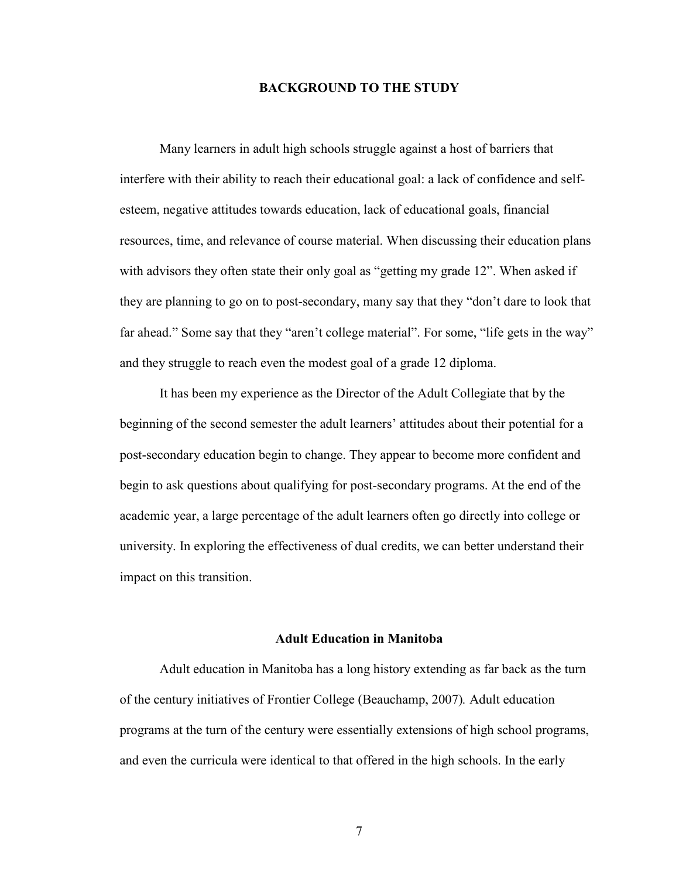#### **BACKGROUND TO THE STUDY**

<span id="page-6-0"></span>Many learners in adult high schools struggle against a host of barriers that interfere with their ability to reach their educational goal: a lack of confidence and selfesteem, negative attitudes towards education, lack of educational goals, financial resources, time, and relevance of course material. When discussing their education plans with advisors they often state their only goal as "getting my grade 12". When asked if they are planning to go on to post-secondary, many say that they "don't dare to look that far ahead." Some say that they "aren't college material". For some, "life gets in the way" and they struggle to reach even the modest goal of a grade 12 diploma.

It has been my experience as the Director of the Adult Collegiate that by the beginning of the second semester the adult learners' attitudes about their potential for a post-secondary education begin to change. They appear to become more confident and begin to ask questions about qualifying for post-secondary programs. At the end of the academic year, a large percentage of the adult learners often go directly into college or university. In exploring the effectiveness of dual credits, we can better understand their impact on this transition.

#### **Adult Education in Manitoba**

Adult education in Manitoba has a long history extending as far back as the turn of the century initiatives of Frontier College (Beauchamp, 2007)*.* Adult education programs at the turn of the century were essentially extensions of high school programs, and even the curricula were identical to that offered in the high schools. In the early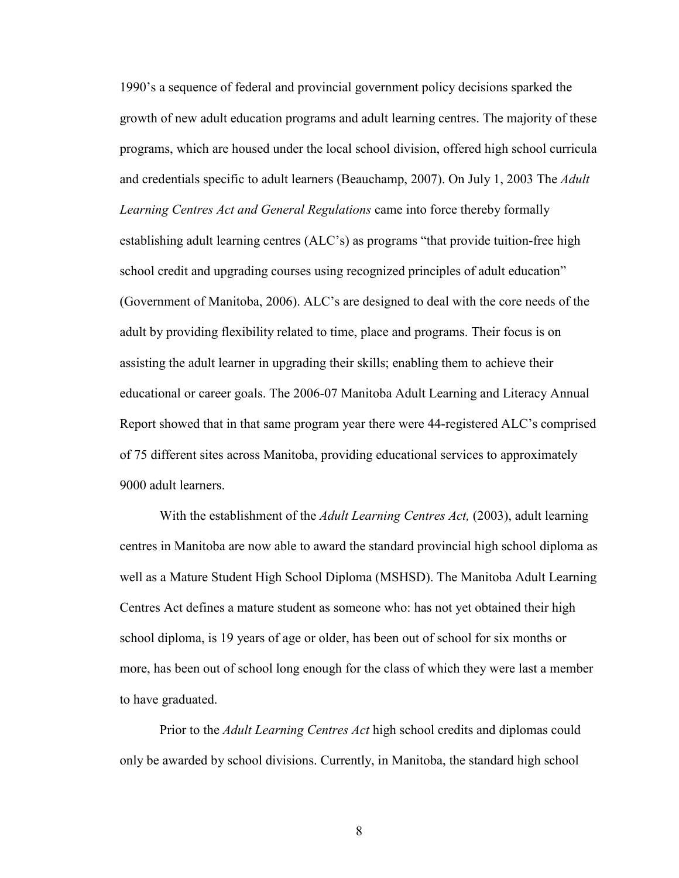1990's a sequence of federal and provincial government policy decisions sparked the growth of new adult education programs and adult learning centres. The majority of these programs, which are housed under the local school division, offered high school curricula and credentials specific to adult learners (Beauchamp, 2007). On July 1, 2003 The *Adult Learning Centres Act and General Regulations* came into force thereby formally establishing adult learning centres (ALC's) as programs "that provide tuition-free high school credit and upgrading courses using recognized principles of adult education" (Government of Manitoba, 2006). ALC's are designed to deal with the core needs of the adult by providing flexibility related to time, place and programs. Their focus is on assisting the adult learner in upgrading their skills; enabling them to achieve their educational or career goals. The 2006-07 Manitoba Adult Learning and Literacy Annual Report showed that in that same program year there were 44-registered ALC's comprised of 75 different sites across Manitoba, providing educational services to approximately 9000 adult learners.

With the establishment of the *Adult Learning Centres Act,* (2003), adult learning centres in Manitoba are now able to award the standard provincial high school diploma as well as a Mature Student High School Diploma (MSHSD). The Manitoba Adult Learning Centres Act defines a mature student as someone who: has not yet obtained their high school diploma, is 19 years of age or older, has been out of school for six months or more, has been out of school long enough for the class of which they were last a member to have graduated.

Prior to the *Adult Learning Centres Act* high school credits and diplomas could only be awarded by school divisions. Currently, in Manitoba, the standard high school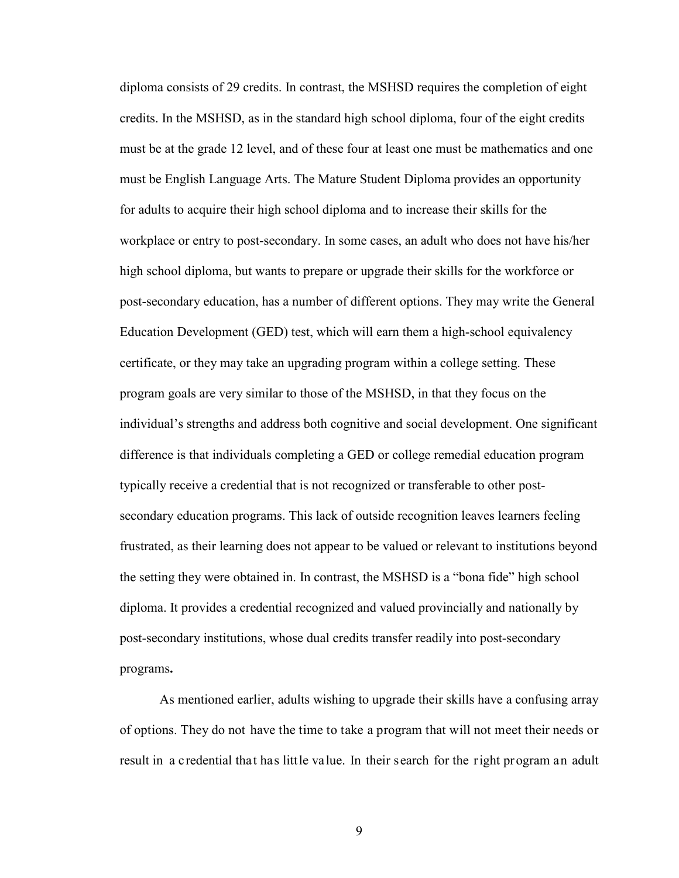diploma consists of 29 credits. In contrast, the MSHSD requires the completion of eight credits. In the MSHSD, as in the standard high school diploma, four of the eight credits must be at the grade 12 level, and of these four at least one must be mathematics and one must be English Language Arts. The Mature Student Diploma provides an opportunity for adults to acquire their high school diploma and to increase their skills for the workplace or entry to post-secondary. In some cases, an adult who does not have his/her high school diploma, but wants to prepare or upgrade their skills for the workforce or post-secondary education, has a number of different options. They may write the General Education Development (GED) test, which will earn them a high-school equivalency certificate, or they may take an upgrading program within a college setting. These program goals are very similar to those of the MSHSD, in that they focus on the individual's strengths and address both cognitive and social development. One significant difference is that individuals completing a GED or college remedial education program typically receive a credential that is not recognized or transferable to other postsecondary education programs. This lack of outside recognition leaves learners feeling frustrated, as their learning does not appear to be valued or relevant to institutions beyond the setting they were obtained in. In contrast, the MSHSD is a "bona fide" high school diploma. It provides a credential recognized and valued provincially and nationally by post-secondary institutions, whose dual credits transfer readily into post-secondary programs**.** 

As mentioned earlier, adults wishing to upgrade their skills have a confusing array of options. They do not have the time to take a program that will not meet their needs or result in a credential that has little value. In their search for the right program an adult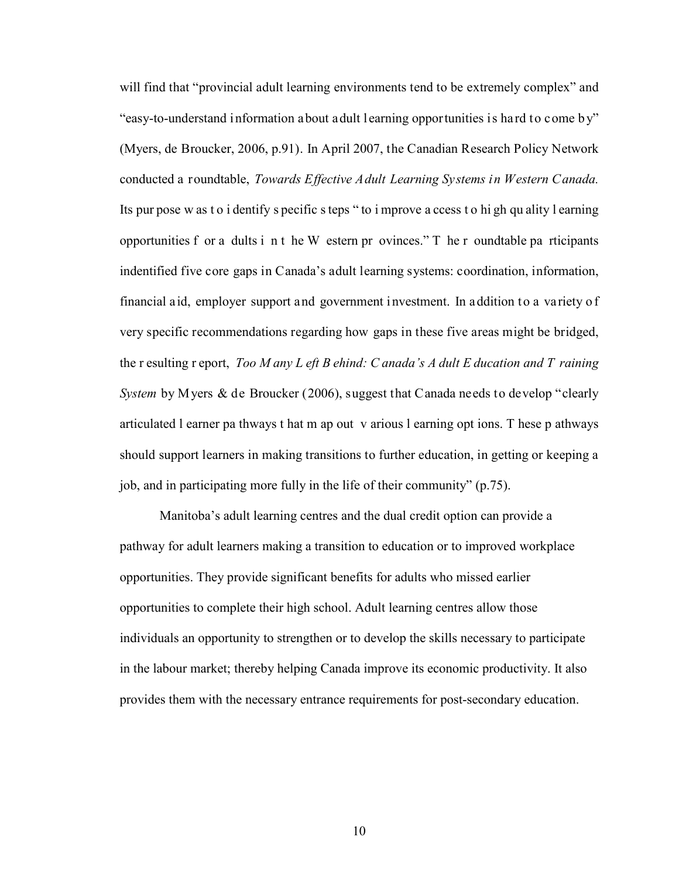will find that "provincial adult learning environments tend to be extremely complex" and "easy-to-understand information about adult learning opportunities is hard to come b y" (Myers, de Broucker, 2006, p.91). In April 2007, the Canadian Research Policy Network conducted a roundtable, *Towards Effective Adult Learning Systems in Western Canada.* Its pur pose w as t o i dentify s pecific s teps " to i mprove a ccess t o hi gh qu ality l earning opportunities f or a dults i n t he W estern pr ovinces." T he r oundtable pa rticipants indentified five core gaps in Canada's adult learning systems: coordination, information, financial aid, employer support and government investment. In addition to a variety o f very specific recommendations regarding how gaps in these five areas might be bridged, the r esulting r eport, *Too M any L eft B ehind: C anada's A dult E ducation and T raining System* by Myers & de Broucker (2006), suggest that Canada needs to develop "clearly articulated l earner pa thways t hat m ap out v arious l earning opt ions. T hese p athways should support learners in making transitions to further education, in getting or keeping a job, and in participating more fully in the life of their community" (p.75).

 Manitoba's adult learning centres and the dual credit option can provide a pathway for adult learners making a transition to education or to improved workplace opportunities. They provide significant benefits for adults who missed earlier opportunities to complete their high school. Adult learning centres allow those individuals an opportunity to strengthen or to develop the skills necessary to participate in the labour market; thereby helping Canada improve its economic productivity. It also provides them with the necessary entrance requirements for post-secondary education.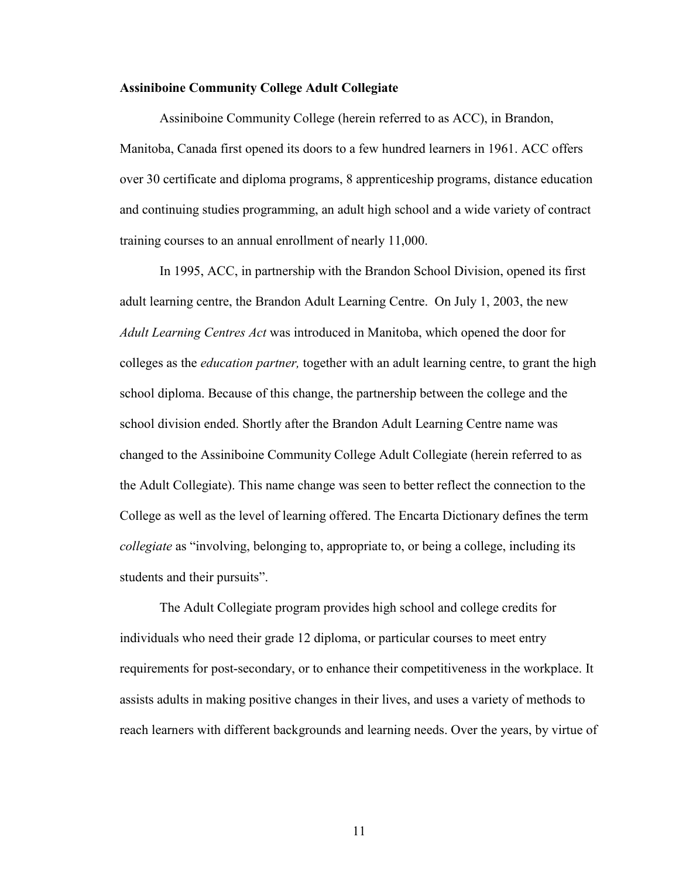#### <span id="page-10-0"></span>**Assiniboine Community College Adult Collegiate**

Assiniboine Community College (herein referred to as ACC), in Brandon, Manitoba, Canada first opened its doors to a few hundred learners in 1961. ACC offers over 30 certificate and diploma programs, 8 apprenticeship programs, distance education and continuing studies programming, an adult high school and a wide variety of contract training courses to an annual enrollment of nearly 11,000.

In 1995, ACC, in partnership with the Brandon School Division, opened its first adult learning centre, the Brandon Adult Learning Centre. On July 1, 2003, the new *Adult Learning Centres Act* was introduced in Manitoba, which opened the door for colleges as the *education partner,* together with an adult learning centre, to grant the high school diploma. Because of this change, the partnership between the college and the school division ended. Shortly after the Brandon Adult Learning Centre name was changed to the Assiniboine Community College Adult Collegiate (herein referred to as the Adult Collegiate). This name change was seen to better reflect the connection to the College as well as the level of learning offered. The Encarta Dictionary defines the term *collegiate* as "involving, belonging to, appropriate to, or being a college, including its students and their pursuits".

The Adult Collegiate program provides high school and college credits for individuals who need their grade 12 diploma, or particular courses to meet entry requirements for post-secondary, or to enhance their competitiveness in the workplace. It assists adults in making positive changes in their lives, and uses a variety of methods to reach learners with different backgrounds and learning needs. Over the years, by virtue of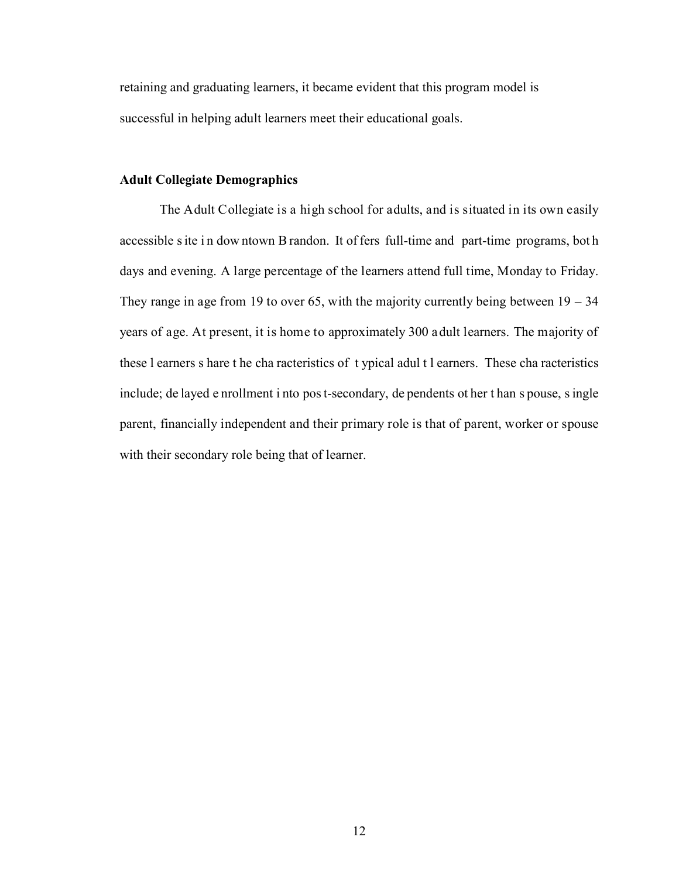<span id="page-11-0"></span>retaining and graduating learners, it became evident that this program model is successful in helping adult learners meet their educational goals.

#### **Adult Collegiate Demographics**

The Adult Collegiate is a high school for adults, and is situated in its own easily accessible s ite in dow ntown B randon. It of fers full-time and part-time programs, both days and evening. A large percentage of the learners attend full time, Monday to Friday. They range in age from 19 to over 65, with the majority currently being between  $19 - 34$ years of age. At present, it is home to approximately 300 adult learners. The majority of these l earners s hare t he cha racteristics of t ypical adul t l earners. These cha racteristics include; de layed e nrollment i nto pos t-secondary, de pendents ot her t han s pouse, s ingle parent, financially independent and their primary role is that of parent, worker or spouse with their secondary role being that of learner.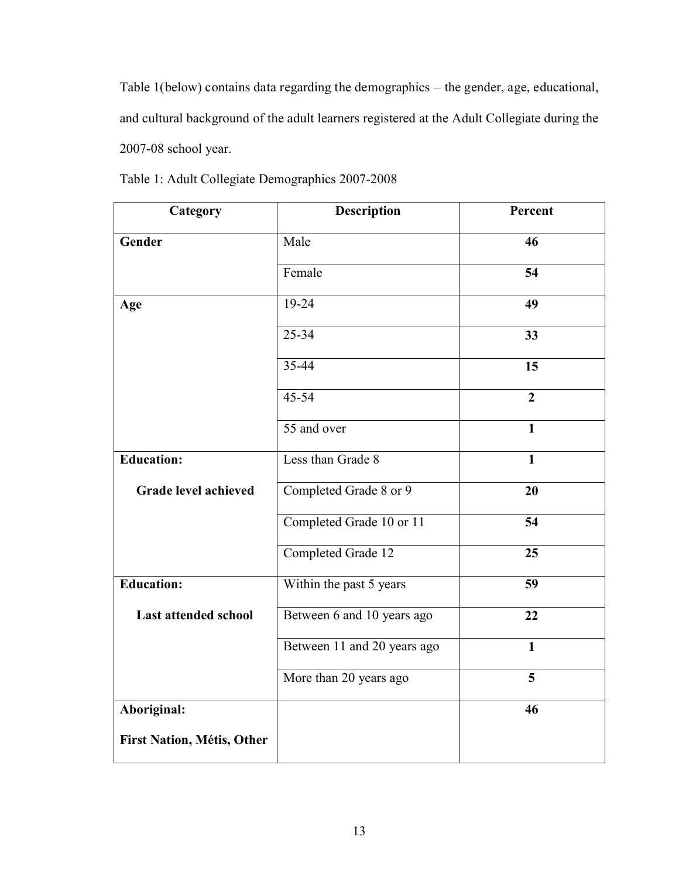<span id="page-12-0"></span>Table 1(below) contains data regarding the demographics – the gender, age, educational, and cultural background of the adult learners registered at the Adult Collegiate during the 2007-08 school year.

| Category                          | Description                 | Percent                 |
|-----------------------------------|-----------------------------|-------------------------|
| Gender                            | Male                        | 46                      |
|                                   | Female                      | 54                      |
| Age                               | $19 - 24$                   | 49                      |
|                                   | $25 - 34$                   | 33                      |
|                                   | $35 - 44$                   | $\overline{15}$         |
|                                   | $45 - 54$                   | $\overline{2}$          |
|                                   | $\overline{55}$ and over    | $\mathbf{1}$            |
| <b>Education:</b>                 | Less than Grade 8           | $\mathbf{1}$            |
| <b>Grade level achieved</b>       | Completed Grade 8 or 9      | 20                      |
|                                   | Completed Grade 10 or 11    | 54                      |
|                                   | Completed Grade 12          | 25                      |
| <b>Education:</b>                 | Within the past 5 years     | 59                      |
| <b>Last attended school</b>       | Between 6 and 10 years ago  | 22                      |
|                                   | Between 11 and 20 years ago | $\mathbf{1}$            |
|                                   | More than 20 years ago      | $\overline{\mathbf{5}}$ |
| Aboriginal:                       |                             | 46                      |
| <b>First Nation, Métis, Other</b> |                             |                         |

Table 1: Adult Collegiate Demographics 2007-2008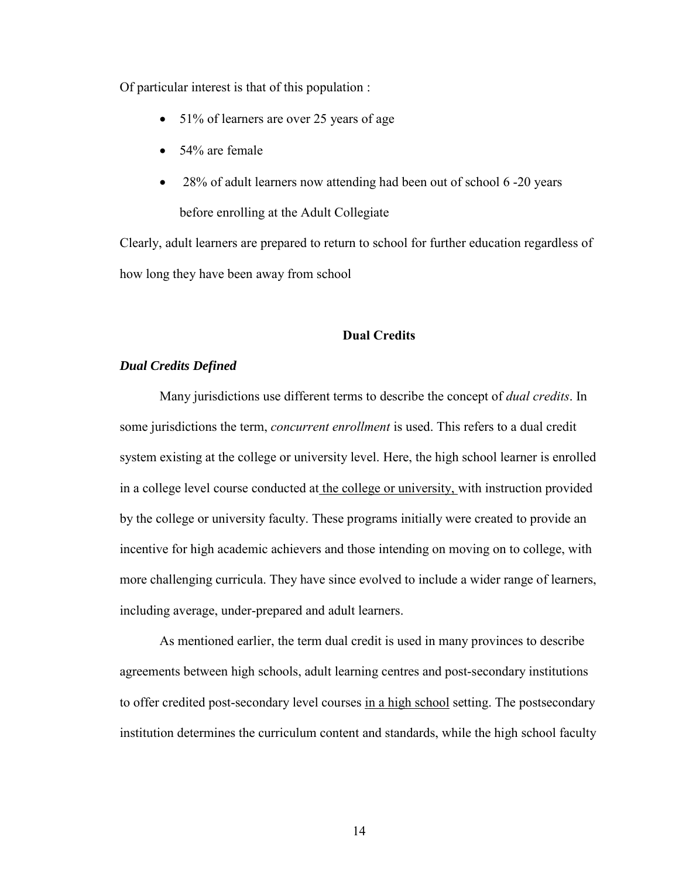<span id="page-13-0"></span>Of particular interest is that of this population :

- 51% of learners are over 25 years of age
- 54% are female
- 28% of adult learners now attending had been out of school 6 -20 years before enrolling at the Adult Collegiate

Clearly, adult learners are prepared to return to school for further education regardless of how long they have been away from school

#### **Dual Credits**

#### *Dual Credits Defined*

Many jurisdictions use different terms to describe the concept of *dual credits*. In some jurisdictions the term, *concurrent enrollment* is used. This refers to a dual credit system existing at the college or university level. Here, the high school learner is enrolled in a college level course conducted at the college or university, with instruction provided by the college or university faculty. These programs initially were created to provide an incentive for high academic achievers and those intending on moving on to college, with more challenging curricula. They have since evolved to include a wider range of learners, including average, under-prepared and adult learners.

 As mentioned earlier, the term dual credit is used in many provinces to describe agreements between high schools, adult learning centres and post-secondary institutions to offer credited post-secondary level courses in a high school setting. The postsecondary institution determines the curriculum content and standards, while the high school faculty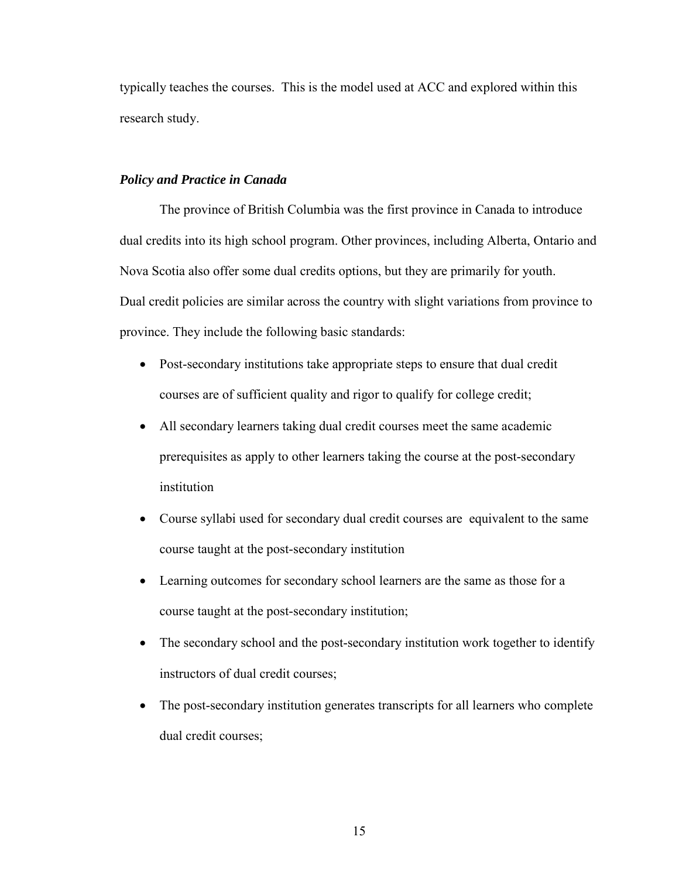<span id="page-14-0"></span>typically teaches the courses. This is the model used at ACC and explored within this research study.

#### *Policy and Practice in Canada*

 The province of British Columbia was the first province in Canada to introduce dual credits into its high school program. Other provinces, including Alberta, Ontario and Nova Scotia also offer some dual credits options, but they are primarily for youth. Dual credit policies are similar across the country with slight variations from province to province. They include the following basic standards:

- Post-secondary institutions take appropriate steps to ensure that dual credit courses are of sufficient quality and rigor to qualify for college credit;
- All secondary learners taking dual credit courses meet the same academic prerequisites as apply to other learners taking the course at the post-secondary institution
- Course syllabi used for secondary dual credit courses are equivalent to the same course taught at the post-secondary institution
- Learning outcomes for secondary school learners are the same as those for a course taught at the post-secondary institution;
- The secondary school and the post-secondary institution work together to identify instructors of dual credit courses;
- The post-secondary institution generates transcripts for all learners who complete dual credit courses;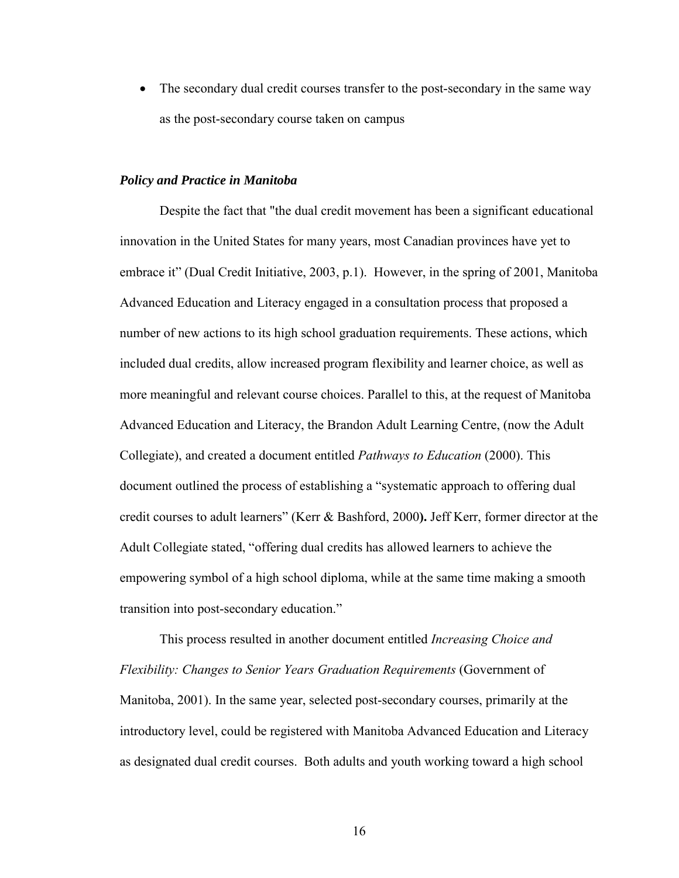<span id="page-15-0"></span>• The secondary dual credit courses transfer to the post-secondary in the same way as the post-secondary course taken on campus

#### *Policy and Practice in Manitoba*

 Despite the fact that "the dual credit movement has been a significant educational innovation in the United States for many years, most Canadian provinces have yet to embrace it" (Dual Credit Initiative, 2003, p.1). However, in the spring of 2001, Manitoba Advanced Education and Literacy engaged in a consultation process that proposed a number of new actions to its high school graduation requirements. These actions, which included dual credits, allow increased program flexibility and learner choice, as well as more meaningful and relevant course choices. Parallel to this, at the request of Manitoba Advanced Education and Literacy, the Brandon Adult Learning Centre, (now the Adult Collegiate), and created a document entitled *Pathways to Education* (2000). This document outlined the process of establishing a "systematic approach to offering dual credit courses to adult learners" (Kerr & Bashford, 2000**).** Jeff Kerr, former director at the Adult Collegiate stated, "offering dual credits has allowed learners to achieve the empowering symbol of a high school diploma, while at the same time making a smooth transition into post-secondary education."

This process resulted in another document entitled *Increasing Choice and Flexibility: Changes to Senior Years Graduation Requirements* (Government of Manitoba, 2001). In the same year, selected post-secondary courses, primarily at the introductory level, could be registered with Manitoba Advanced Education and Literacy as designated dual credit courses. Both adults and youth working toward a high school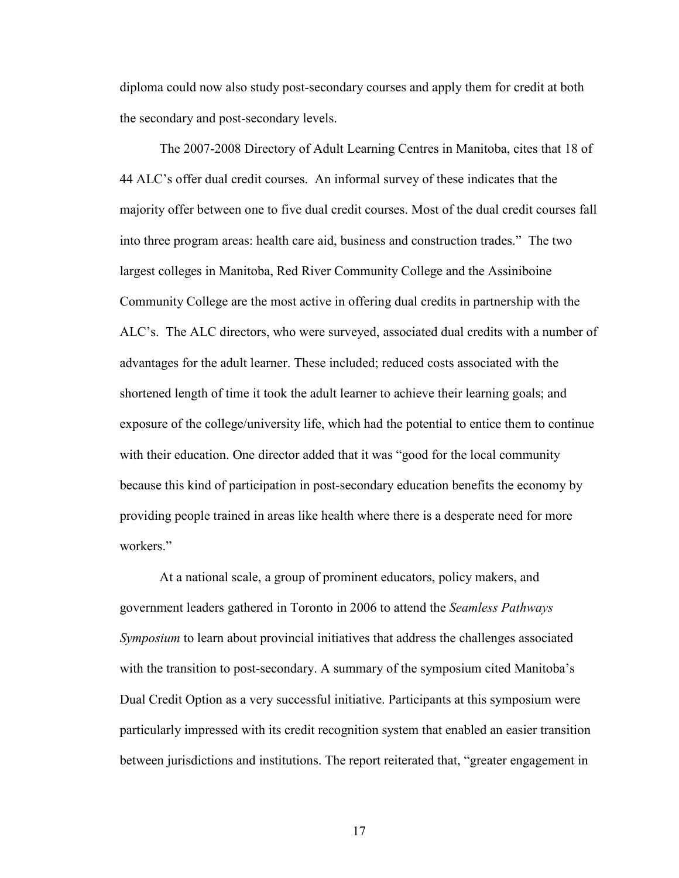diploma could now also study post-secondary courses and apply them for credit at both the secondary and post-secondary levels.

The 2007-2008 Directory of Adult Learning Centres in Manitoba, cites that 18 of 44 ALC's offer dual credit courses. An informal survey of these indicates that the majority offer between one to five dual credit courses. Most of the dual credit courses fall into three program areas: health care aid, business and construction trades." The two largest colleges in Manitoba, Red River Community College and the Assiniboine Community College are the most active in offering dual credits in partnership with the ALC's. The ALC directors, who were surveyed, associated dual credits with a number of advantages for the adult learner. These included; reduced costs associated with the shortened length of time it took the adult learner to achieve their learning goals; and exposure of the college/university life, which had the potential to entice them to continue with their education. One director added that it was "good for the local community because this kind of participation in post-secondary education benefits the economy by providing people trained in areas like health where there is a desperate need for more workers."

 At a national scale, a group of prominent educators, policy makers, and government leaders gathered in Toronto in 2006 to attend the *Seamless Pathways Symposium* to learn about provincial initiatives that address the challenges associated with the transition to post-secondary. A summary of the symposium cited Manitoba's Dual Credit Option as a very successful initiative. Participants at this symposium were particularly impressed with its credit recognition system that enabled an easier transition between jurisdictions and institutions. The report reiterated that, "greater engagement in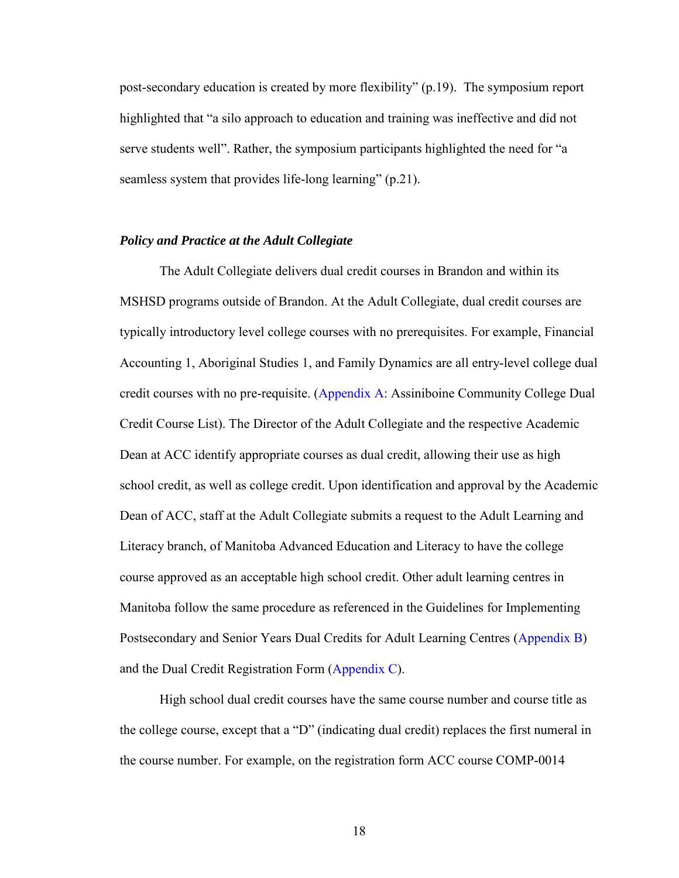<span id="page-17-0"></span>post-secondary education is created by more flexibility" (p.19). The symposium report highlighted that "a silo approach to education and training was ineffective and did not serve students well". Rather, the symposium participants highlighted the need for "a seamless system that provides life-long learning" (p.21).

#### *Policy and Practice at the Adult Collegiate*

 The Adult Collegiate delivers dual credit courses in Brandon and within its MSHSD programs outside of Brandon. At the Adult Collegiate, dual credit courses are typically introductory level college courses with no prerequisites. For example, Financial Accounting 1, Aboriginal Studies 1, and Family Dynamics are all entry-level college dual credit courses with no pre-requisite. [\(Appendix A:](#page-56-0) Assiniboine Community College Dual Credit Course List). The Director of the Adult Collegiate and the respective Academic Dean at ACC identify appropriate courses as dual credit, allowing their use as high school credit, as well as college credit. Upon identification and approval by the Academic Dean of ACC, staff at the Adult Collegiate submits a request to the Adult Learning and Literacy branch, of Manitoba Advanced Education and Literacy to have the college course approved as an acceptable high school credit. Other adult learning centres in Manitoba follow the same procedure as referenced in the Guidelines for Implementing Postsecondary and Senior Years Dual Credits for Adult Learning Centres [\(Appendix B\)](#page-60-0) and the Dual Credit Registration Form [\(Appendix C\)](#page-62-0).

High school dual credit courses have the same course number and course title as the college course, except that a "D" (indicating dual credit) replaces the first numeral in the course number. For example, on the registration form ACC course COMP-0014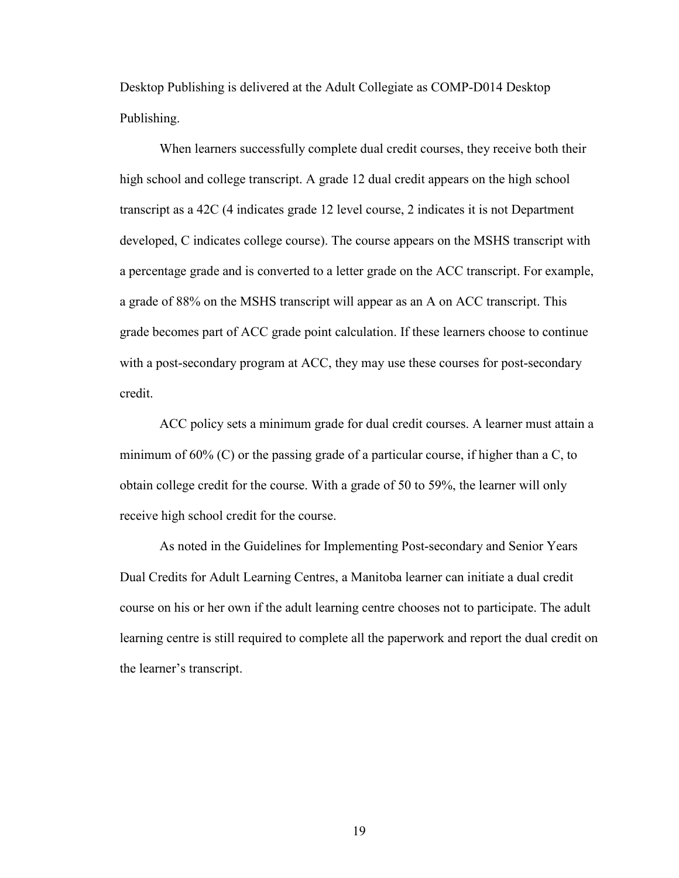Desktop Publishing is delivered at the Adult Collegiate as COMP-D014 Desktop Publishing.

When learners successfully complete dual credit courses, they receive both their high school and college transcript. A grade 12 dual credit appears on the high school transcript as a 42C (4 indicates grade 12 level course, 2 indicates it is not Department developed, C indicates college course). The course appears on the MSHS transcript with a percentage grade and is converted to a letter grade on the ACC transcript. For example, a grade of 88% on the MSHS transcript will appear as an A on ACC transcript. This grade becomes part of ACC grade point calculation. If these learners choose to continue with a post-secondary program at ACC, they may use these courses for post-secondary credit.

ACC policy sets a minimum grade for dual credit courses. A learner must attain a minimum of 60% (C) or the passing grade of a particular course, if higher than a C, to obtain college credit for the course. With a grade of 50 to 59%, the learner will only receive high school credit for the course.

As noted in the Guidelines for Implementing Post-secondary and Senior Years Dual Credits for Adult Learning Centres, a Manitoba learner can initiate a dual credit course on his or her own if the adult learning centre chooses not to participate. The adult learning centre is still required to complete all the paperwork and report the dual credit on the learner's transcript.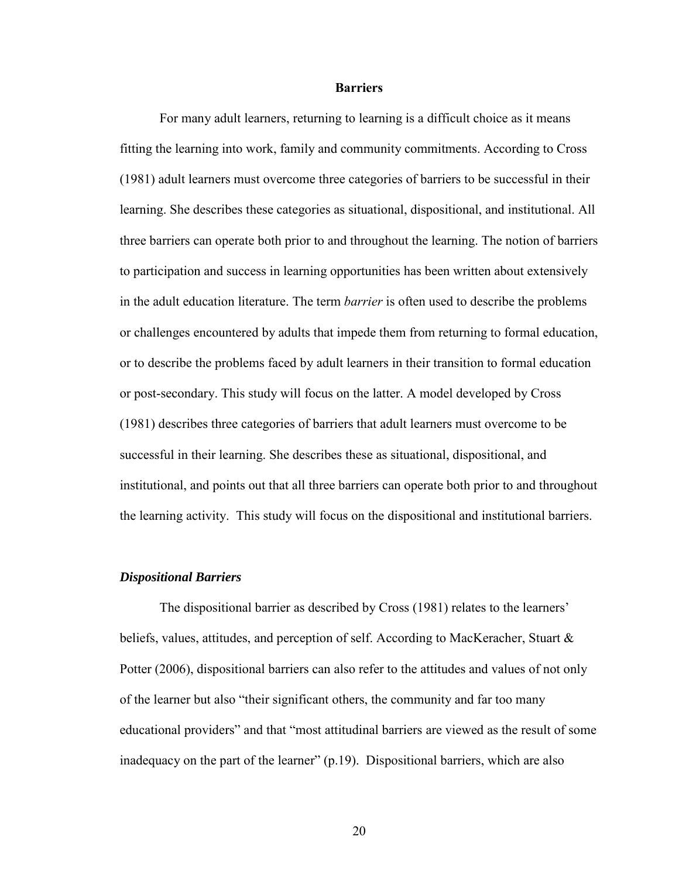#### **Barriers**

<span id="page-19-0"></span>For many adult learners, returning to learning is a difficult choice as it means fitting the learning into work, family and community commitments. According to Cross (1981) adult learners must overcome three categories of barriers to be successful in their learning. She describes these categories as situational, dispositional, and institutional. All three barriers can operate both prior to and throughout the learning. The notion of barriers to participation and success in learning opportunities has been written about extensively in the adult education literature. The term *barrier* is often used to describe the problems or challenges encountered by adults that impede them from returning to formal education, or to describe the problems faced by adult learners in their transition to formal education or post-secondary. This study will focus on the latter. A model developed by Cross (1981) describes three categories of barriers that adult learners must overcome to be successful in their learning. She describes these as situational, dispositional, and institutional, and points out that all three barriers can operate both prior to and throughout the learning activity. This study will focus on the dispositional and institutional barriers.

#### *Dispositional Barriers*

The dispositional barrier as described by Cross (1981) relates to the learners' beliefs, values, attitudes, and perception of self. According to MacKeracher, Stuart & Potter (2006), dispositional barriers can also refer to the attitudes and values of not only of the learner but also "their significant others, the community and far too many educational providers" and that "most attitudinal barriers are viewed as the result of some inadequacy on the part of the learner" (p.19). Dispositional barriers, which are also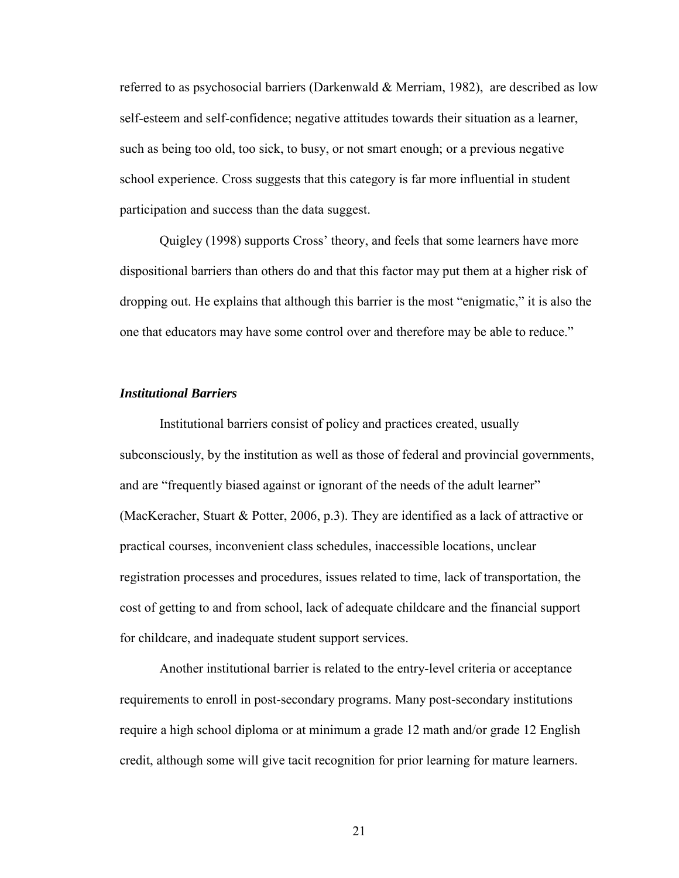<span id="page-20-0"></span>referred to as psychosocial barriers (Darkenwald & Merriam, 1982), are described as low self-esteem and self-confidence; negative attitudes towards their situation as a learner, such as being too old, too sick, to busy, or not smart enough; or a previous negative school experience. Cross suggests that this category is far more influential in student participation and success than the data suggest.

Quigley (1998) supports Cross' theory, and feels that some learners have more dispositional barriers than others do and that this factor may put them at a higher risk of dropping out. He explains that although this barrier is the most "enigmatic," it is also the one that educators may have some control over and therefore may be able to reduce."

#### *Institutional Barriers*

Institutional barriers consist of policy and practices created, usually subconsciously, by the institution as well as those of federal and provincial governments, and are "frequently biased against or ignorant of the needs of the adult learner" (MacKeracher, Stuart & Potter, 2006, p.3). They are identified as a lack of attractive or practical courses, inconvenient class schedules, inaccessible locations, unclear registration processes and procedures, issues related to time, lack of transportation, the cost of getting to and from school, lack of adequate childcare and the financial support for childcare, and inadequate student support services.

Another institutional barrier is related to the entry-level criteria or acceptance requirements to enroll in post-secondary programs. Many post-secondary institutions require a high school diploma or at minimum a grade 12 math and/or grade 12 English credit, although some will give tacit recognition for prior learning for mature learners.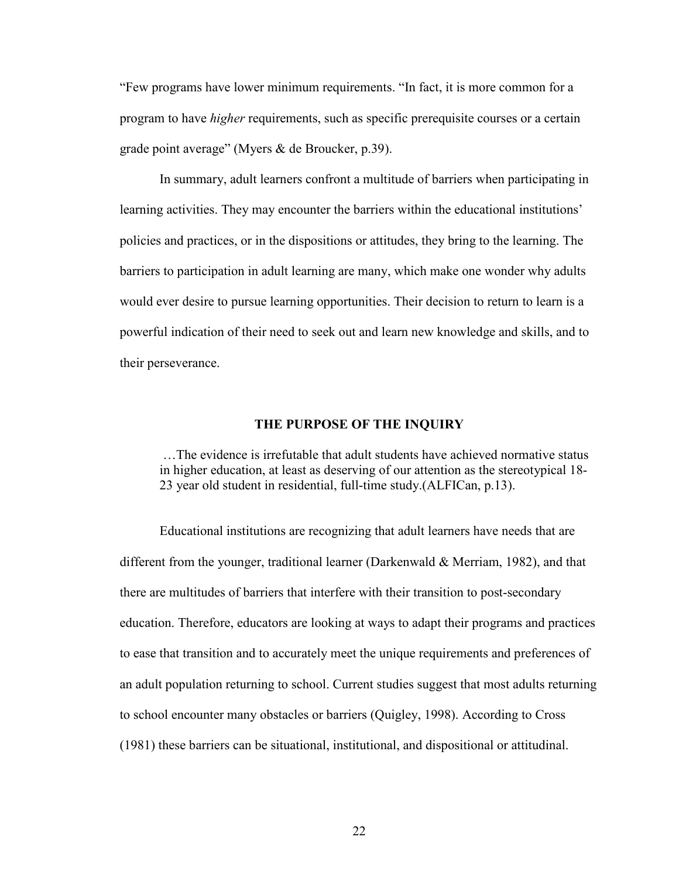<span id="page-21-0"></span>"Few programs have lower minimum requirements. "In fact, it is more common for a program to have *higher* requirements, such as specific prerequisite courses or a certain grade point average" (Myers & de Broucker, p.39).

In summary, adult learners confront a multitude of barriers when participating in learning activities. They may encounter the barriers within the educational institutions' policies and practices, or in the dispositions or attitudes, they bring to the learning. The barriers to participation in adult learning are many, which make one wonder why adults would ever desire to pursue learning opportunities. Their decision to return to learn is a powerful indication of their need to seek out and learn new knowledge and skills, and to their perseverance.

#### **THE PURPOSE OF THE INQUIRY**

 …The evidence is irrefutable that adult students have achieved normative status in higher education, at least as deserving of our attention as the stereotypical 18- 23 year old student in residential, full-time study.(ALFICan, p.13).

Educational institutions are recognizing that adult learners have needs that are different from the younger, traditional learner (Darkenwald  $\&$  Merriam, 1982), and that there are multitudes of barriers that interfere with their transition to post-secondary education. Therefore, educators are looking at ways to adapt their programs and practices to ease that transition and to accurately meet the unique requirements and preferences of an adult population returning to school. Current studies suggest that most adults returning to school encounter many obstacles or barriers (Quigley, 1998). According to Cross (1981) these barriers can be situational, institutional, and dispositional or attitudinal.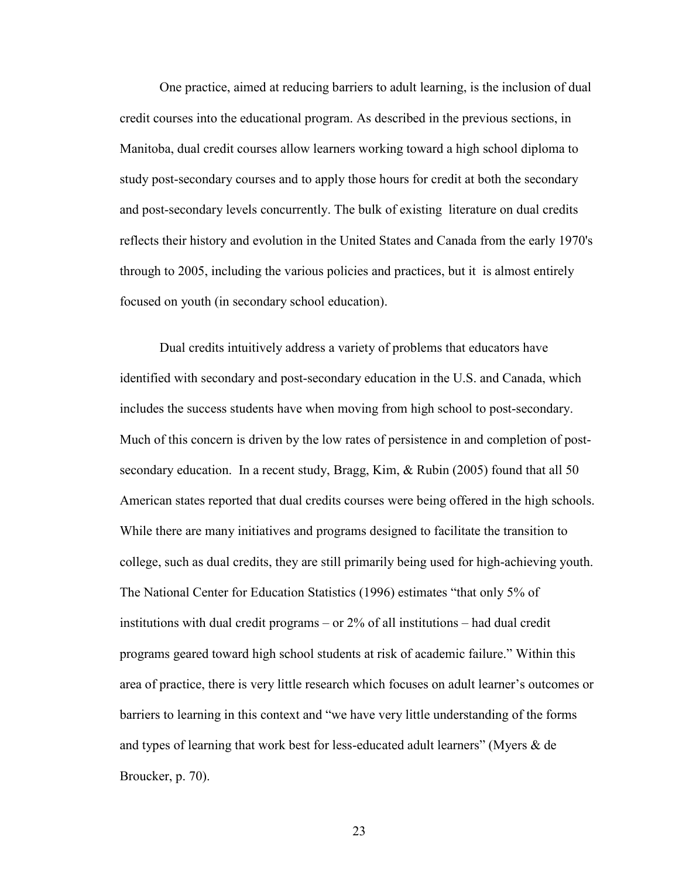One practice, aimed at reducing barriers to adult learning, is the inclusion of dual credit courses into the educational program. As described in the previous sections, in Manitoba, dual credit courses allow learners working toward a high school diploma to study post-secondary courses and to apply those hours for credit at both the secondary and post-secondary levels concurrently. The bulk of existing literature on dual credits reflects their history and evolution in the United States and Canada from the early 1970's through to 2005, including the various policies and practices, but it is almost entirely focused on youth (in secondary school education).

Dual credits intuitively address a variety of problems that educators have identified with secondary and post-secondary education in the U.S. and Canada, which includes the success students have when moving from high school to post-secondary. Much of this concern is driven by the low rates of persistence in and completion of postsecondary education. In a recent study, Bragg, Kim, & Rubin (2005) found that all 50 American states reported that dual credits courses were being offered in the high schools. While there are many initiatives and programs designed to facilitate the transition to college, such as dual credits, they are still primarily being used for high-achieving youth. The National Center for Education Statistics (1996) estimates "that only 5% of institutions with dual credit programs – or 2% of all institutions – had dual credit programs geared toward high school students at risk of academic failure." Within this area of practice, there is very little research which focuses on adult learner's outcomes or barriers to learning in this context and "we have very little understanding of the forms and types of learning that work best for less-educated adult learners" (Myers & de Broucker, p. 70).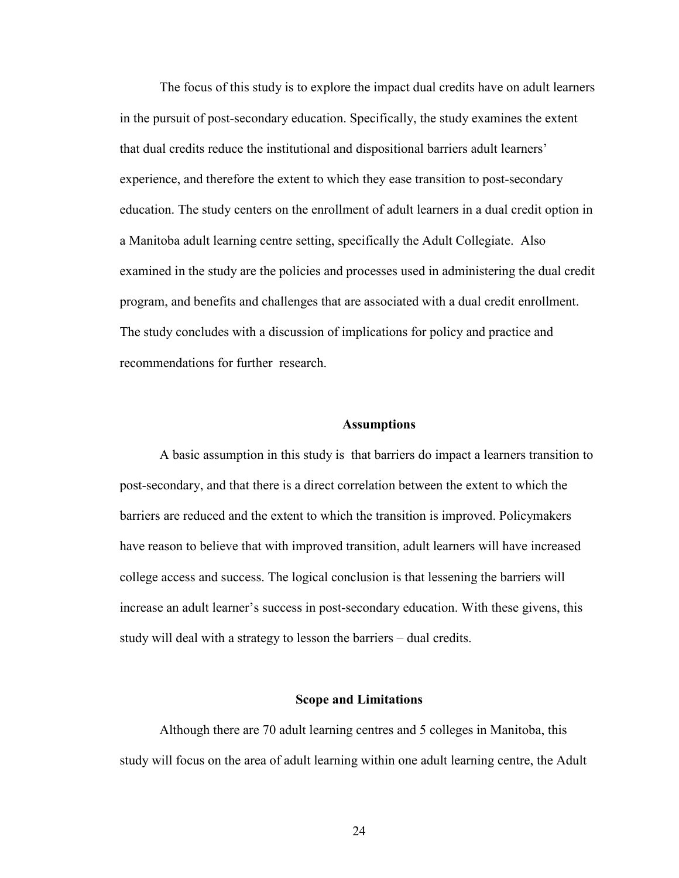<span id="page-23-0"></span>The focus of this study is to explore the impact dual credits have on adult learners in the pursuit of post-secondary education. Specifically, the study examines the extent that dual credits reduce the institutional and dispositional barriers adult learners' experience, and therefore the extent to which they ease transition to post-secondary education. The study centers on the enrollment of adult learners in a dual credit option in a Manitoba adult learning centre setting, specifically the Adult Collegiate. Also examined in the study are the policies and processes used in administering the dual credit program, and benefits and challenges that are associated with a dual credit enrollment. The study concludes with a discussion of implications for policy and practice and recommendations for further research.

#### **Assumptions**

A basic assumption in this study is that barriers do impact a learners transition to post-secondary, and that there is a direct correlation between the extent to which the barriers are reduced and the extent to which the transition is improved. Policymakers have reason to believe that with improved transition, adult learners will have increased college access and success. The logical conclusion is that lessening the barriers will increase an adult learner's success in post-secondary education. With these givens, this study will deal with a strategy to lesson the barriers – dual credits.

#### **Scope and Limitations**

 Although there are 70 adult learning centres and 5 colleges in Manitoba, this study will focus on the area of adult learning within one adult learning centre, the Adult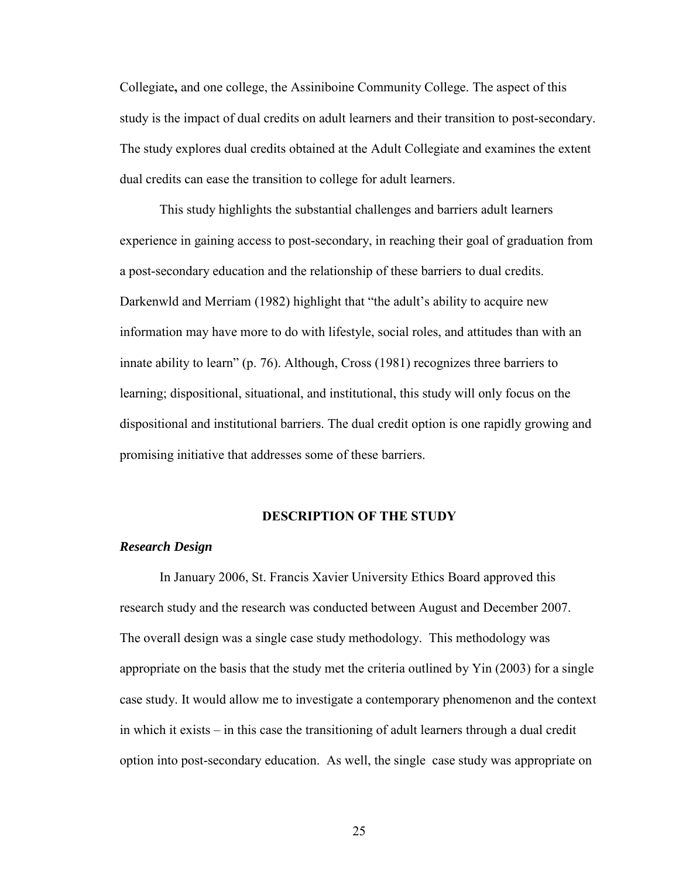<span id="page-24-0"></span>Collegiate**,** and one college, the Assiniboine Community College. The aspect of this study is the impact of dual credits on adult learners and their transition to post-secondary. The study explores dual credits obtained at the Adult Collegiate and examines the extent dual credits can ease the transition to college for adult learners.

This study highlights the substantial challenges and barriers adult learners experience in gaining access to post-secondary, in reaching their goal of graduation from a post-secondary education and the relationship of these barriers to dual credits. Darkenwld and Merriam (1982) highlight that "the adult's ability to acquire new information may have more to do with lifestyle, social roles, and attitudes than with an innate ability to learn" (p. 76). Although, Cross (1981) recognizes three barriers to learning; dispositional, situational, and institutional, this study will only focus on the dispositional and institutional barriers. The dual credit option is one rapidly growing and promising initiative that addresses some of these barriers.

#### **DESCRIPTION OF THE STUDY**

#### *Research Design*

 In January 2006, St. Francis Xavier University Ethics Board approved this research study and the research was conducted between August and December 2007. The overall design was a single case study methodology. This methodology was appropriate on the basis that the study met the criteria outlined by Yin (2003) for a single case study. It would allow me to investigate a contemporary phenomenon and the context in which it exists – in this case the transitioning of adult learners through a dual credit option into post-secondary education. As well, the single case study was appropriate on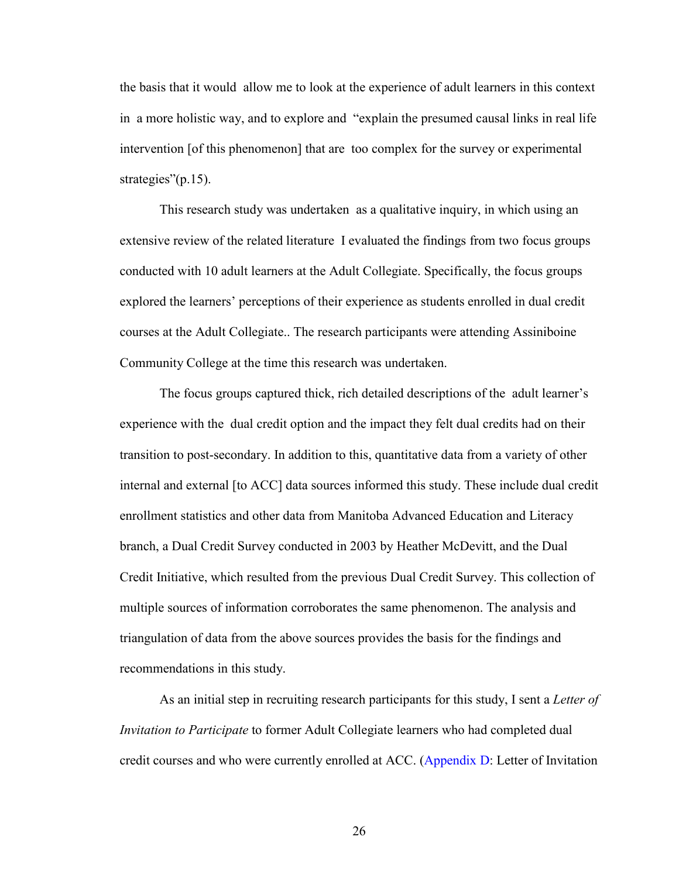the basis that it would allow me to look at the experience of adult learners in this context in a more holistic way, and to explore and "explain the presumed causal links in real life intervention [of this phenomenon] that are too complex for the survey or experimental strategies"(p.15).

This research study was undertaken as a qualitative inquiry, in which using an extensive review of the related literature I evaluated the findings from two focus groups conducted with 10 adult learners at the Adult Collegiate. Specifically, the focus groups explored the learners' perceptions of their experience as students enrolled in dual credit courses at the Adult Collegiate.. The research participants were attending Assiniboine Community College at the time this research was undertaken.

The focus groups captured thick, rich detailed descriptions of the adult learner's experience with the dual credit option and the impact they felt dual credits had on their transition to post-secondary. In addition to this, quantitative data from a variety of other internal and external [to ACC] data sources informed this study. These include dual credit enrollment statistics and other data from Manitoba Advanced Education and Literacy branch, a Dual Credit Survey conducted in 2003 by Heather McDevitt, and the Dual Credit Initiative, which resulted from the previous Dual Credit Survey. This collection of multiple sources of information corroborates the same phenomenon. The analysis and triangulation of data from the above sources provides the basis for the findings and recommendations in this study.

As an initial step in recruiting research participants for this study, I sent a *Letter of Invitation to Participate* to former Adult Collegiate learners who had completed dual credit courses and who were currently enrolled at ACC. [\(Appendix D:](#page-63-0) Letter of Invitation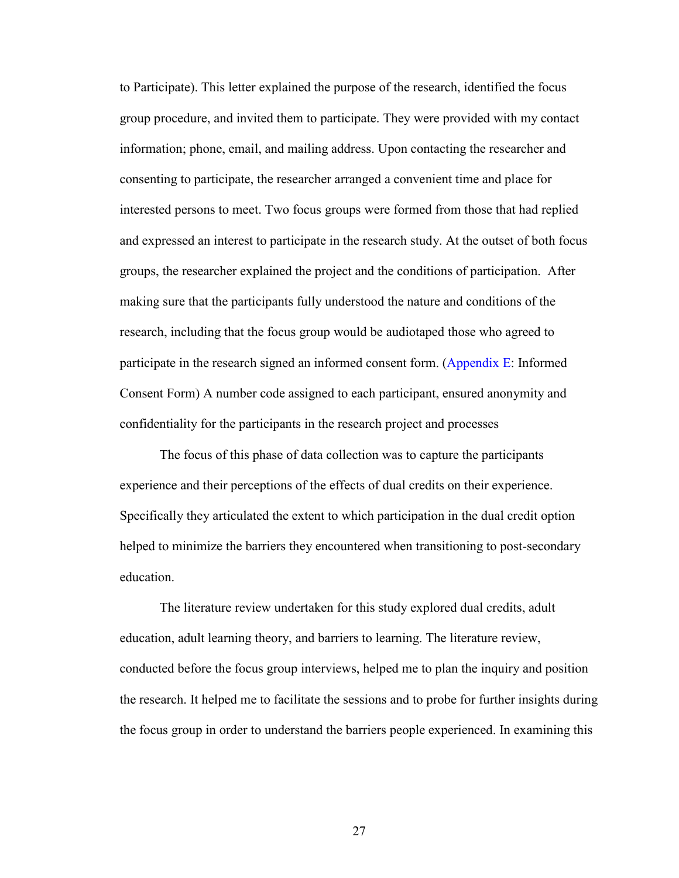to Participate). This letter explained the purpose of the research, identified the focus group procedure, and invited them to participate. They were provided with my contact information; phone, email, and mailing address. Upon contacting the researcher and consenting to participate, the researcher arranged a convenient time and place for interested persons to meet. Two focus groups were formed from those that had replied and expressed an interest to participate in the research study. At the outset of both focus groups, the researcher explained the project and the conditions of participation. After making sure that the participants fully understood the nature and conditions of the research, including that the focus group would be audiotaped those who agreed to participate in the research signed an informed consent form. [\(Appendix E:](#page-66-0) Informed Consent Form) A number code assigned to each participant, ensured anonymity and confidentiality for the participants in the research project and processes

The focus of this phase of data collection was to capture the participants experience and their perceptions of the effects of dual credits on their experience. Specifically they articulated the extent to which participation in the dual credit option helped to minimize the barriers they encountered when transitioning to post-secondary education.

The literature review undertaken for this study explored dual credits, adult education, adult learning theory, and barriers to learning. The literature review, conducted before the focus group interviews, helped me to plan the inquiry and position the research. It helped me to facilitate the sessions and to probe for further insights during the focus group in order to understand the barriers people experienced. In examining this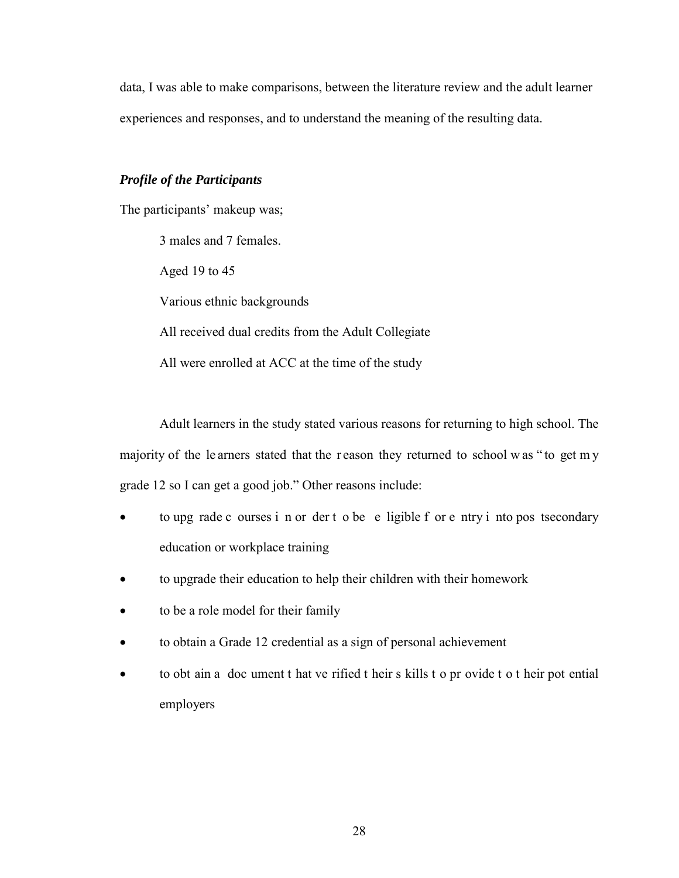<span id="page-27-0"></span>data, I was able to make comparisons, between the literature review and the adult learner experiences and responses, and to understand the meaning of the resulting data.

### *Profile of the Participants*

The participants' makeup was;

3 males and 7 females. Aged 19 to 45 Various ethnic backgrounds All received dual credits from the Adult Collegiate All were enrolled at ACC at the time of the study

 Adult learners in the study stated various reasons for returning to high school. The majority of the le arners stated that the r eason they returned to school w as " to get m y grade 12 so I can get a good job." Other reasons include:

- to upg rade c ourses i n or der t o be e ligible f or e ntry i nto pos tsecondary education or workplace training
- to upgrade their education to help their children with their homework
- to be a role model for their family
- to obtain a Grade 12 credential as a sign of personal achievement
- to obt ain a doc ument t hat ve rified t heir s kills t o pr ovide t o t heir pot ential employers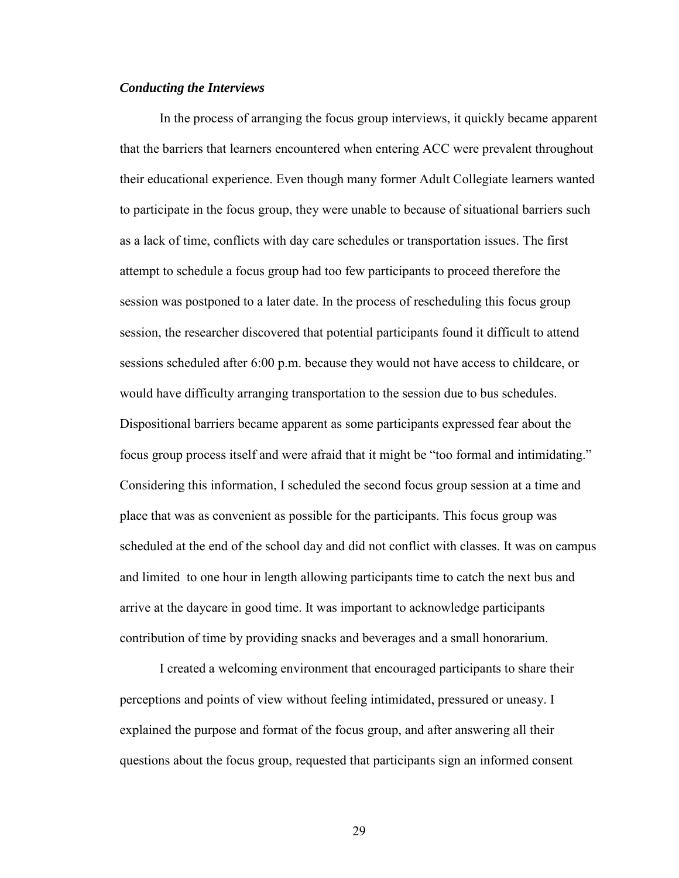#### <span id="page-28-0"></span>*Conducting the Interviews*

In the process of arranging the focus group interviews, it quickly became apparent that the barriers that learners encountered when entering ACC were prevalent throughout their educational experience. Even though many former Adult Collegiate learners wanted to participate in the focus group, they were unable to because of situational barriers such as a lack of time, conflicts with day care schedules or transportation issues. The first attempt to schedule a focus group had too few participants to proceed therefore the session was postponed to a later date. In the process of rescheduling this focus group session, the researcher discovered that potential participants found it difficult to attend sessions scheduled after 6:00 p.m. because they would not have access to childcare, or would have difficulty arranging transportation to the session due to bus schedules. Dispositional barriers became apparent as some participants expressed fear about the focus group process itself and were afraid that it might be "too formal and intimidating." Considering this information, I scheduled the second focus group session at a time and place that was as convenient as possible for the participants. This focus group was scheduled at the end of the school day and did not conflict with classes. It was on campus and limited to one hour in length allowing participants time to catch the next bus and arrive at the daycare in good time. It was important to acknowledge participants contribution of time by providing snacks and beverages and a small honorarium.

I created a welcoming environment that encouraged participants to share their perceptions and points of view without feeling intimidated, pressured or uneasy. I explained the purpose and format of the focus group, and after answering all their questions about the focus group, requested that participants sign an informed consent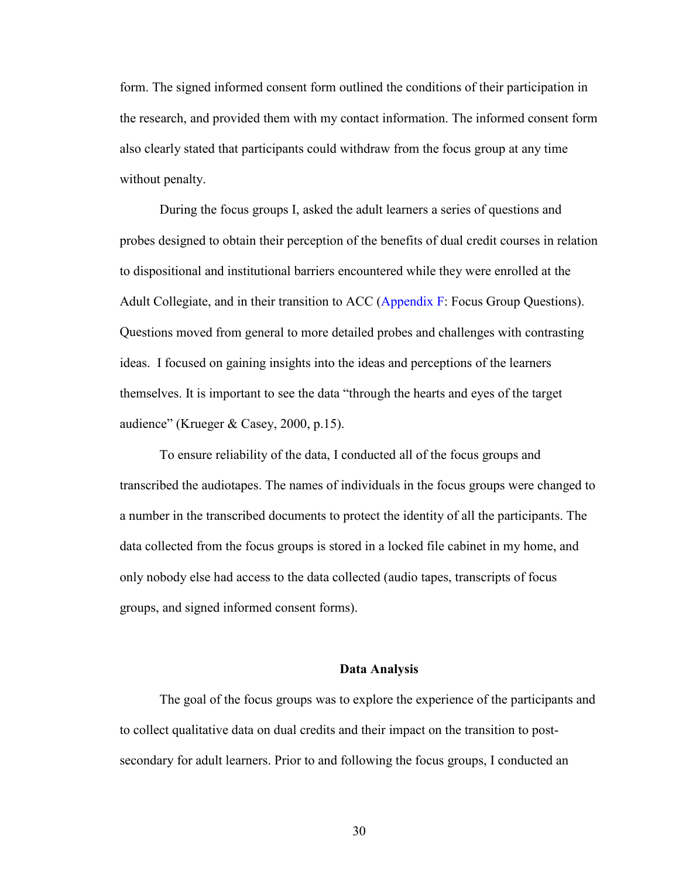<span id="page-29-0"></span>form. The signed informed consent form outlined the conditions of their participation in the research, and provided them with my contact information. The informed consent form also clearly stated that participants could withdraw from the focus group at any time without penalty.

During the focus groups I, asked the adult learners a series of questions and probes designed to obtain their perception of the benefits of dual credit courses in relation to dispositional and institutional barriers encountered while they were enrolled at the Adult Collegiate, and in their transition to ACC [\(Appendix F:](#page-68-0) Focus Group Questions). Questions moved from general to more detailed probes and challenges with contrasting ideas. I focused on gaining insights into the ideas and perceptions of the learners themselves. It is important to see the data "through the hearts and eyes of the target audience" (Krueger & Casey, 2000, p.15).

To ensure reliability of the data, I conducted all of the focus groups and transcribed the audiotapes. The names of individuals in the focus groups were changed to a number in the transcribed documents to protect the identity of all the participants. The data collected from the focus groups is stored in a locked file cabinet in my home, and only nobody else had access to the data collected (audio tapes, transcripts of focus groups, and signed informed consent forms).

#### **Data Analysis**

The goal of the focus groups was to explore the experience of the participants and to collect qualitative data on dual credits and their impact on the transition to postsecondary for adult learners. Prior to and following the focus groups, I conducted an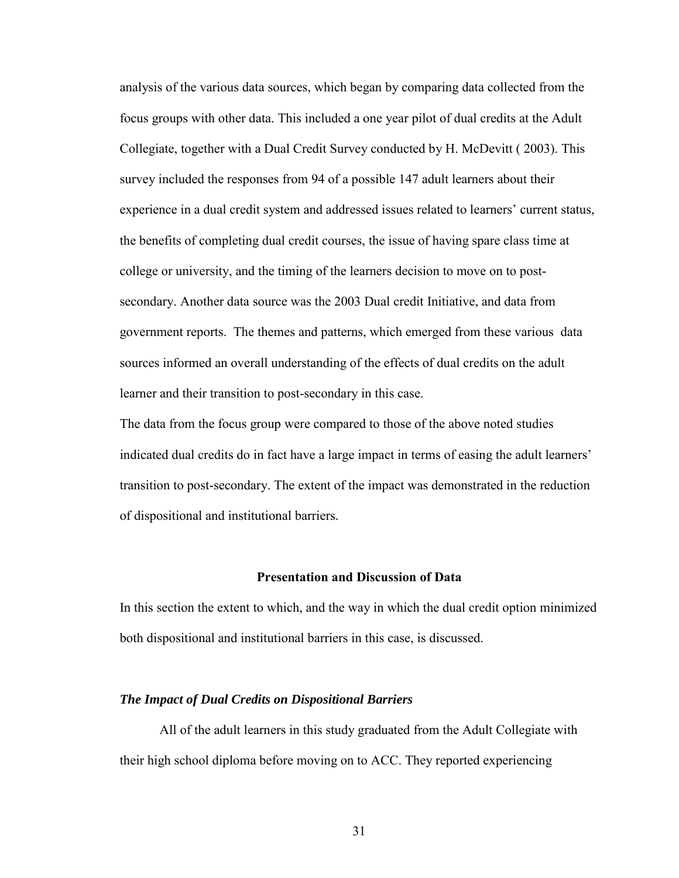<span id="page-30-0"></span>analysis of the various data sources, which began by comparing data collected from the focus groups with other data. This included a one year pilot of dual credits at the Adult Collegiate, together with a Dual Credit Survey conducted by H. McDevitt ( 2003). This survey included the responses from 94 of a possible 147 adult learners about their experience in a dual credit system and addressed issues related to learners' current status, the benefits of completing dual credit courses, the issue of having spare class time at college or university, and the timing of the learners decision to move on to postsecondary. Another data source was the 2003 Dual credit Initiative, and data from government reports. The themes and patterns, which emerged from these various data sources informed an overall understanding of the effects of dual credits on the adult learner and their transition to post-secondary in this case.

The data from the focus group were compared to those of the above noted studies indicated dual credits do in fact have a large impact in terms of easing the adult learners' transition to post-secondary. The extent of the impact was demonstrated in the reduction of dispositional and institutional barriers.

#### **Presentation and Discussion of Data**

In this section the extent to which, and the way in which the dual credit option minimized both dispositional and institutional barriers in this case, is discussed.

#### *The Impact of Dual Credits on Dispositional Barriers*

All of the adult learners in this study graduated from the Adult Collegiate with their high school diploma before moving on to ACC. They reported experiencing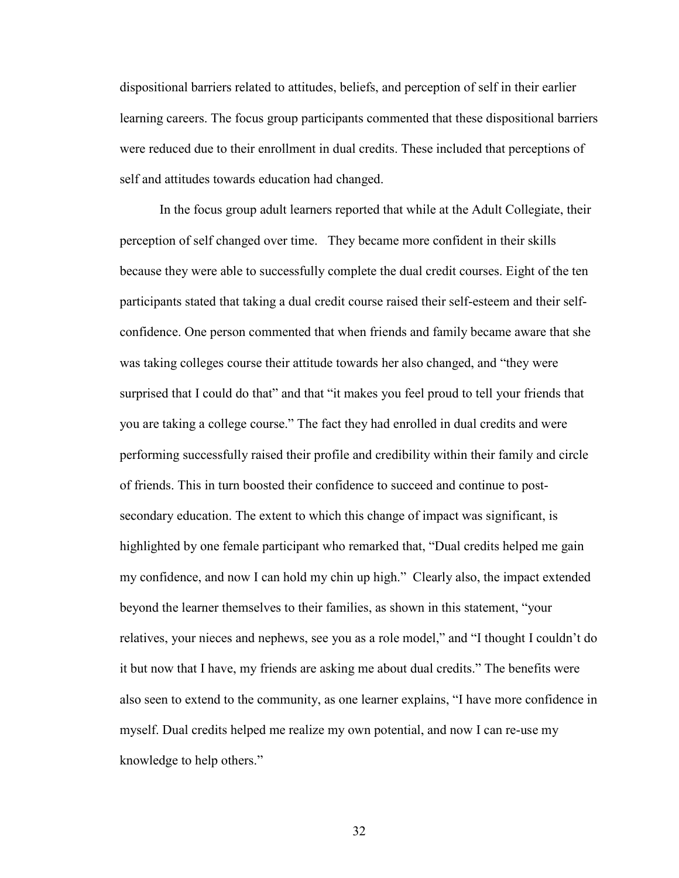dispositional barriers related to attitudes, beliefs, and perception of self in their earlier learning careers. The focus group participants commented that these dispositional barriers were reduced due to their enrollment in dual credits. These included that perceptions of self and attitudes towards education had changed.

In the focus group adult learners reported that while at the Adult Collegiate, their perception of self changed over time. They became more confident in their skills because they were able to successfully complete the dual credit courses. Eight of the ten participants stated that taking a dual credit course raised their self-esteem and their selfconfidence. One person commented that when friends and family became aware that she was taking colleges course their attitude towards her also changed, and "they were surprised that I could do that" and that "it makes you feel proud to tell your friends that you are taking a college course." The fact they had enrolled in dual credits and were performing successfully raised their profile and credibility within their family and circle of friends. This in turn boosted their confidence to succeed and continue to postsecondary education. The extent to which this change of impact was significant, is highlighted by one female participant who remarked that, "Dual credits helped me gain my confidence, and now I can hold my chin up high." Clearly also, the impact extended beyond the learner themselves to their families, as shown in this statement, "your relatives, your nieces and nephews, see you as a role model," and "I thought I couldn't do it but now that I have, my friends are asking me about dual credits." The benefits were also seen to extend to the community, as one learner explains, "I have more confidence in myself. Dual credits helped me realize my own potential, and now I can re-use my knowledge to help others."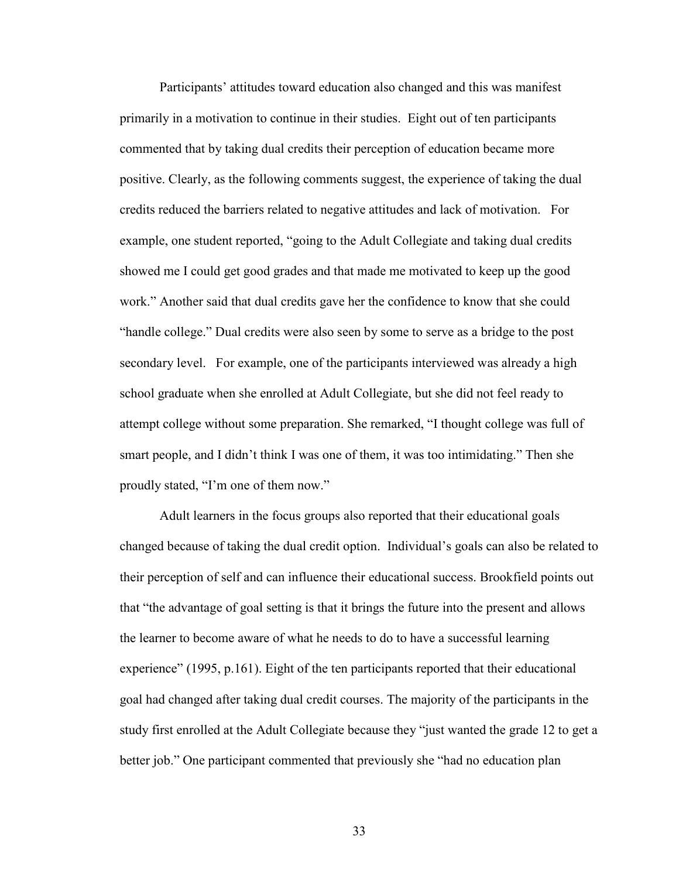Participants' attitudes toward education also changed and this was manifest primarily in a motivation to continue in their studies. Eight out of ten participants commented that by taking dual credits their perception of education became more positive. Clearly, as the following comments suggest, the experience of taking the dual credits reduced the barriers related to negative attitudes and lack of motivation. For example, one student reported, "going to the Adult Collegiate and taking dual credits showed me I could get good grades and that made me motivated to keep up the good work." Another said that dual credits gave her the confidence to know that she could "handle college." Dual credits were also seen by some to serve as a bridge to the post secondary level. For example, one of the participants interviewed was already a high school graduate when she enrolled at Adult Collegiate, but she did not feel ready to attempt college without some preparation. She remarked, "I thought college was full of smart people, and I didn't think I was one of them, it was too intimidating." Then she proudly stated, "I'm one of them now."

Adult learners in the focus groups also reported that their educational goals changed because of taking the dual credit option. Individual's goals can also be related to their perception of self and can influence their educational success. Brookfield points out that "the advantage of goal setting is that it brings the future into the present and allows the learner to become aware of what he needs to do to have a successful learning experience" (1995, p.161). Eight of the ten participants reported that their educational goal had changed after taking dual credit courses. The majority of the participants in the study first enrolled at the Adult Collegiate because they "just wanted the grade 12 to get a better job." One participant commented that previously she "had no education plan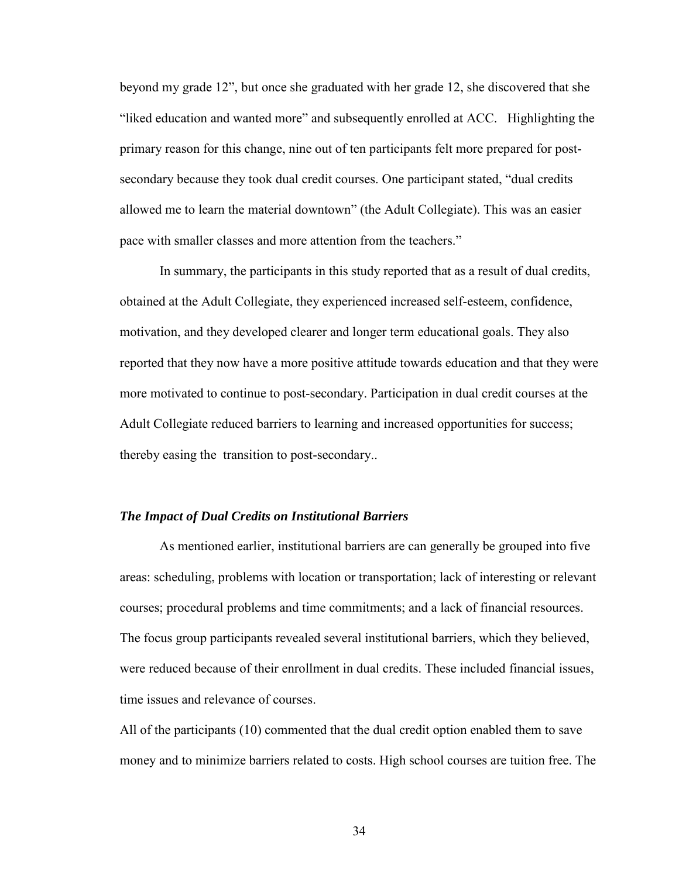<span id="page-33-0"></span>beyond my grade 12", but once she graduated with her grade 12, she discovered that she "liked education and wanted more" and subsequently enrolled at ACC. Highlighting the primary reason for this change, nine out of ten participants felt more prepared for postsecondary because they took dual credit courses. One participant stated, "dual credits allowed me to learn the material downtown" (the Adult Collegiate). This was an easier pace with smaller classes and more attention from the teachers."

 In summary, the participants in this study reported that as a result of dual credits, obtained at the Adult Collegiate, they experienced increased self-esteem, confidence, motivation, and they developed clearer and longer term educational goals. They also reported that they now have a more positive attitude towards education and that they were more motivated to continue to post-secondary. Participation in dual credit courses at the Adult Collegiate reduced barriers to learning and increased opportunities for success; thereby easing the transition to post-secondary..

#### *The Impact of Dual Credits on Institutional Barriers*

As mentioned earlier, institutional barriers are can generally be grouped into five areas: scheduling, problems with location or transportation; lack of interesting or relevant courses; procedural problems and time commitments; and a lack of financial resources. The focus group participants revealed several institutional barriers, which they believed, were reduced because of their enrollment in dual credits. These included financial issues, time issues and relevance of courses.

All of the participants (10) commented that the dual credit option enabled them to save money and to minimize barriers related to costs. High school courses are tuition free. The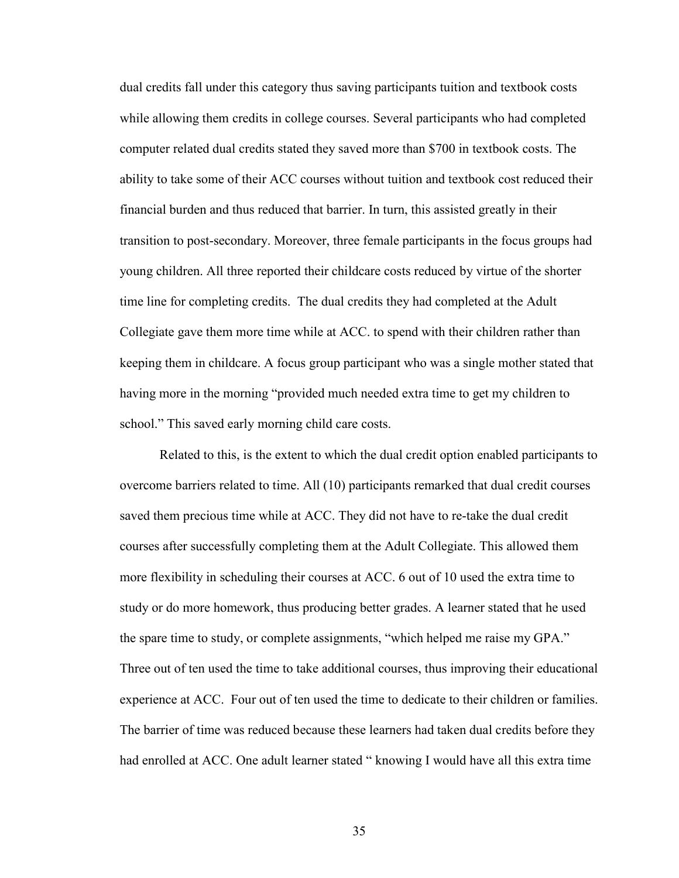dual credits fall under this category thus saving participants tuition and textbook costs while allowing them credits in college courses. Several participants who had completed computer related dual credits stated they saved more than \$700 in textbook costs. The ability to take some of their ACC courses without tuition and textbook cost reduced their financial burden and thus reduced that barrier. In turn, this assisted greatly in their transition to post-secondary. Moreover, three female participants in the focus groups had young children. All three reported their childcare costs reduced by virtue of the shorter time line for completing credits. The dual credits they had completed at the Adult Collegiate gave them more time while at ACC. to spend with their children rather than keeping them in childcare. A focus group participant who was a single mother stated that having more in the morning "provided much needed extra time to get my children to school." This saved early morning child care costs.

Related to this, is the extent to which the dual credit option enabled participants to overcome barriers related to time. All (10) participants remarked that dual credit courses saved them precious time while at ACC. They did not have to re-take the dual credit courses after successfully completing them at the Adult Collegiate. This allowed them more flexibility in scheduling their courses at ACC. 6 out of 10 used the extra time to study or do more homework, thus producing better grades. A learner stated that he used the spare time to study, or complete assignments, "which helped me raise my GPA." Three out of ten used the time to take additional courses, thus improving their educational experience at ACC. Four out of ten used the time to dedicate to their children or families. The barrier of time was reduced because these learners had taken dual credits before they had enrolled at ACC. One adult learner stated "knowing I would have all this extra time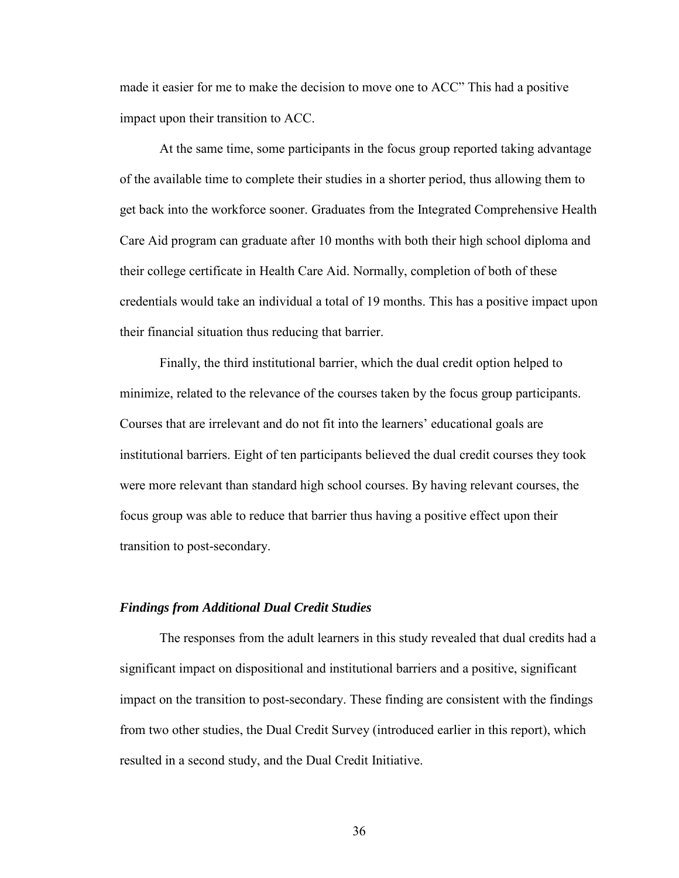<span id="page-35-0"></span>made it easier for me to make the decision to move one to ACC" This had a positive impact upon their transition to ACC.

At the same time, some participants in the focus group reported taking advantage of the available time to complete their studies in a shorter period, thus allowing them to get back into the workforce sooner. Graduates from the Integrated Comprehensive Health Care Aid program can graduate after 10 months with both their high school diploma and their college certificate in Health Care Aid. Normally, completion of both of these credentials would take an individual a total of 19 months. This has a positive impact upon their financial situation thus reducing that barrier.

Finally, the third institutional barrier, which the dual credit option helped to minimize, related to the relevance of the courses taken by the focus group participants. Courses that are irrelevant and do not fit into the learners' educational goals are institutional barriers. Eight of ten participants believed the dual credit courses they took were more relevant than standard high school courses. By having relevant courses, the focus group was able to reduce that barrier thus having a positive effect upon their transition to post-secondary.

#### *Findings from Additional Dual Credit Studies*

The responses from the adult learners in this study revealed that dual credits had a significant impact on dispositional and institutional barriers and a positive, significant impact on the transition to post-secondary. These finding are consistent with the findings from two other studies, the Dual Credit Survey (introduced earlier in this report), which resulted in a second study, and the Dual Credit Initiative.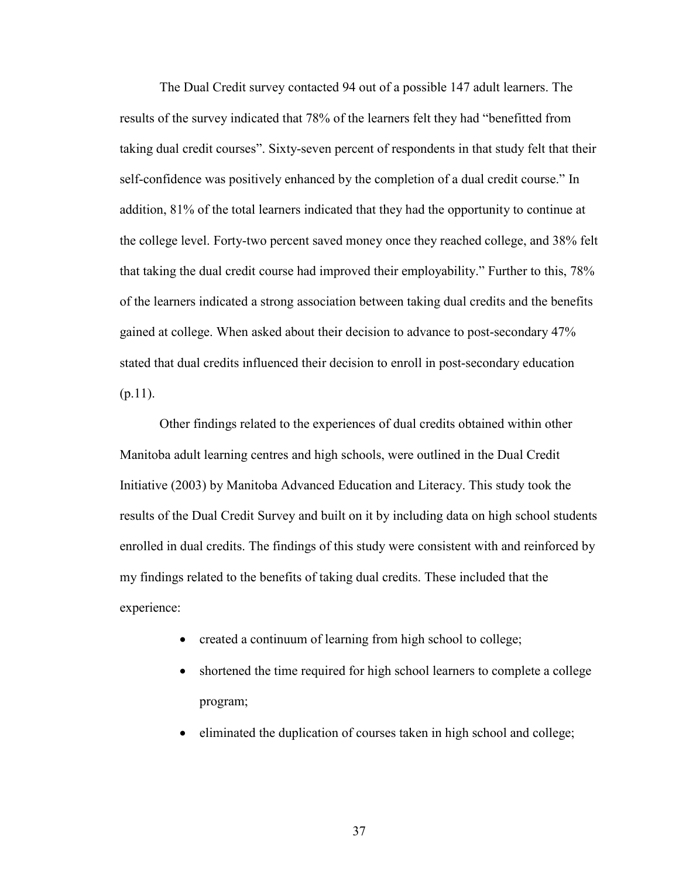The Dual Credit survey contacted 94 out of a possible 147 adult learners. The results of the survey indicated that 78% of the learners felt they had "benefitted from taking dual credit courses". Sixty-seven percent of respondents in that study felt that their self-confidence was positively enhanced by the completion of a dual credit course." In addition, 81% of the total learners indicated that they had the opportunity to continue at the college level. Forty-two percent saved money once they reached college, and 38% felt that taking the dual credit course had improved their employability." Further to this, 78% of the learners indicated a strong association between taking dual credits and the benefits gained at college. When asked about their decision to advance to post-secondary 47% stated that dual credits influenced their decision to enroll in post-secondary education  $(p.11)$ .

Other findings related to the experiences of dual credits obtained within other Manitoba adult learning centres and high schools, were outlined in the Dual Credit Initiative (2003) by Manitoba Advanced Education and Literacy. This study took the results of the Dual Credit Survey and built on it by including data on high school students enrolled in dual credits. The findings of this study were consistent with and reinforced by my findings related to the benefits of taking dual credits. These included that the experience:

- created a continuum of learning from high school to college;
- shortened the time required for high school learners to complete a college program;
- eliminated the duplication of courses taken in high school and college;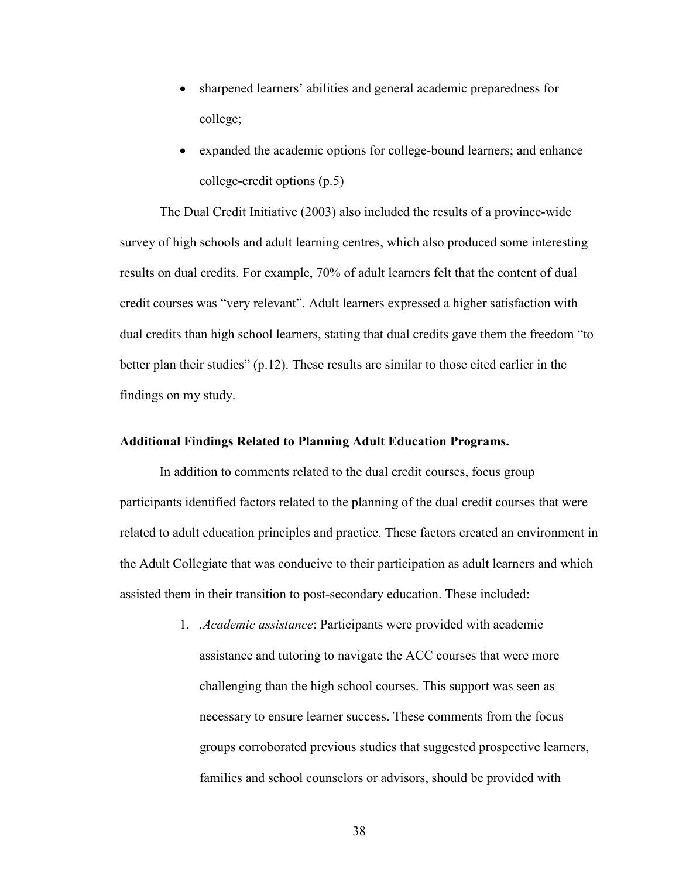- <span id="page-37-0"></span>• sharpened learners' abilities and general academic preparedness for college;
- expanded the academic options for college-bound learners; and enhance college-credit options (p.5)

 The Dual Credit Initiative (2003) also included the results of a province-wide survey of high schools and adult learning centres, which also produced some interesting results on dual credits. For example, 70% of adult learners felt that the content of dual credit courses was "very relevant". Adult learners expressed a higher satisfaction with dual credits than high school learners, stating that dual credits gave them the freedom "to better plan their studies" (p.12). These results are similar to those cited earlier in the findings on my study.

#### **Additional Findings Related to Planning Adult Education Programs.**

In addition to comments related to the dual credit courses, focus group participants identified factors related to the planning of the dual credit courses that were related to adult education principles and practice. These factors created an environment in the Adult Collegiate that was conducive to their participation as adult learners and which assisted them in their transition to post-secondary education. These included:

> 1. *.Academic assistance*: Participants were provided with academic assistance and tutoring to navigate the ACC courses that were more challenging than the high school courses. This support was seen as necessary to ensure learner success. These comments from the focus groups corroborated previous studies that suggested prospective learners, families and school counselors or advisors, should be provided with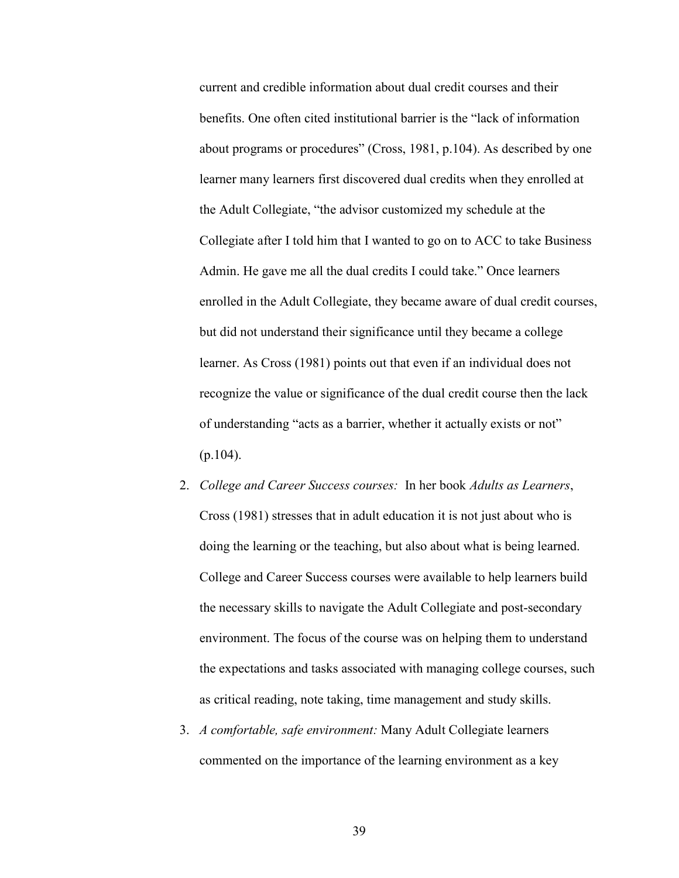current and credible information about dual credit courses and their benefits. One often cited institutional barrier is the "lack of information about programs or procedures" (Cross, 1981, p.104). As described by one learner many learners first discovered dual credits when they enrolled at the Adult Collegiate, "the advisor customized my schedule at the Collegiate after I told him that I wanted to go on to ACC to take Business Admin. He gave me all the dual credits I could take." Once learners enrolled in the Adult Collegiate, they became aware of dual credit courses, but did not understand their significance until they became a college learner. As Cross (1981) points out that even if an individual does not recognize the value or significance of the dual credit course then the lack of understanding "acts as a barrier, whether it actually exists or not" (p.104).

- 2. *College and Career Success courses:* In her book *Adults as Learners*, Cross (1981) stresses that in adult education it is not just about who is doing the learning or the teaching, but also about what is being learned. College and Career Success courses were available to help learners build the necessary skills to navigate the Adult Collegiate and post-secondary environment. The focus of the course was on helping them to understand the expectations and tasks associated with managing college courses, such as critical reading, note taking, time management and study skills.
- 3. *A comfortable, safe environment:* Many Adult Collegiate learners commented on the importance of the learning environment as a key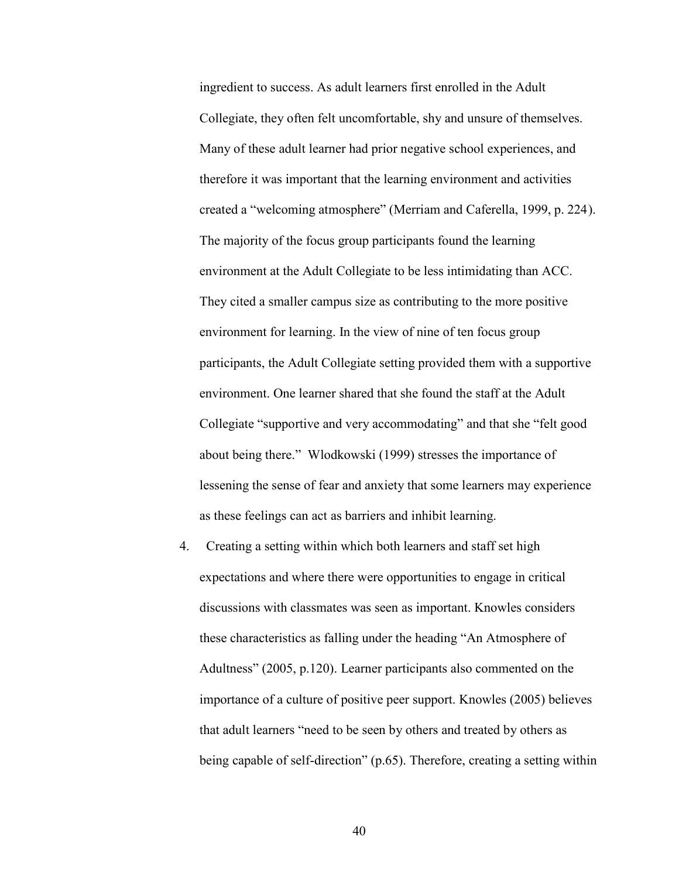ingredient to success. As adult learners first enrolled in the Adult Collegiate, they often felt uncomfortable, shy and unsure of themselves. Many of these adult learner had prior negative school experiences, and therefore it was important that the learning environment and activities created a "welcoming atmosphere" (Merriam and Caferella, 1999, p. 224). The majority of the focus group participants found the learning environment at the Adult Collegiate to be less intimidating than ACC. They cited a smaller campus size as contributing to the more positive environment for learning. In the view of nine of ten focus group participants, the Adult Collegiate setting provided them with a supportive environment. One learner shared that she found the staff at the Adult Collegiate "supportive and very accommodating" and that she "felt good about being there." Wlodkowski (1999) stresses the importance of lessening the sense of fear and anxiety that some learners may experience as these feelings can act as barriers and inhibit learning.

4. Creating a setting within which both learners and staff set high expectations and where there were opportunities to engage in critical discussions with classmates was seen as important. Knowles considers these characteristics as falling under the heading "An Atmosphere of Adultness" (2005, p.120). Learner participants also commented on the importance of a culture of positive peer support. Knowles (2005) believes that adult learners "need to be seen by others and treated by others as being capable of self-direction" (p.65). Therefore, creating a setting within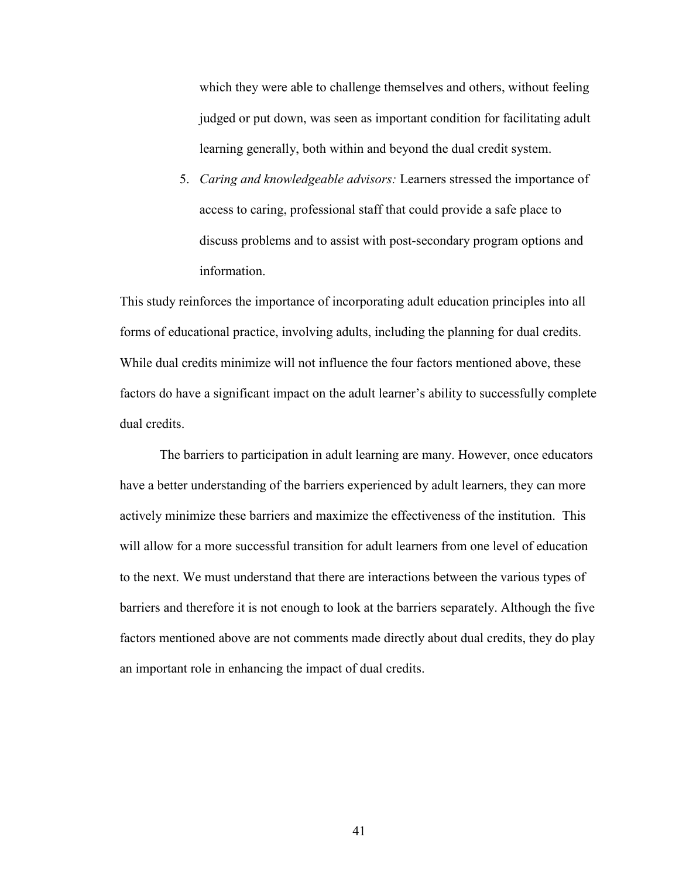which they were able to challenge themselves and others, without feeling judged or put down, was seen as important condition for facilitating adult learning generally, both within and beyond the dual credit system.

5. *Caring and knowledgeable advisors:* Learners stressed the importance of access to caring, professional staff that could provide a safe place to discuss problems and to assist with post-secondary program options and information.

This study reinforces the importance of incorporating adult education principles into all forms of educational practice, involving adults, including the planning for dual credits. While dual credits minimize will not influence the four factors mentioned above, these factors do have a significant impact on the adult learner's ability to successfully complete dual credits.

 The barriers to participation in adult learning are many. However, once educators have a better understanding of the barriers experienced by adult learners, they can more actively minimize these barriers and maximize the effectiveness of the institution. This will allow for a more successful transition for adult learners from one level of education to the next. We must understand that there are interactions between the various types of barriers and therefore it is not enough to look at the barriers separately. Although the five factors mentioned above are not comments made directly about dual credits, they do play an important role in enhancing the impact of dual credits.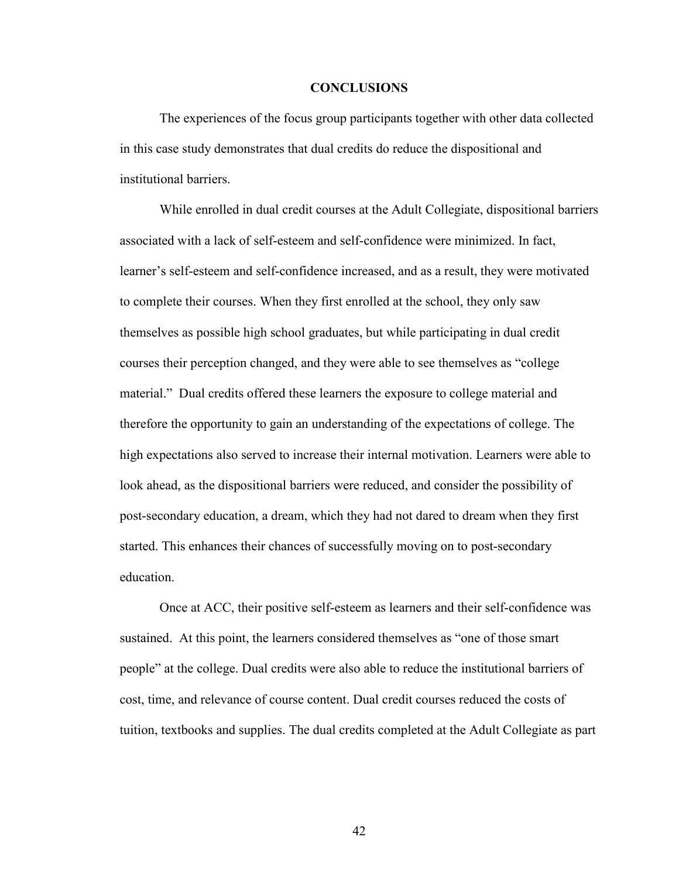#### **CONCLUSIONS**

<span id="page-41-0"></span>The experiences of the focus group participants together with other data collected in this case study demonstrates that dual credits do reduce the dispositional and institutional barriers.

While enrolled in dual credit courses at the Adult Collegiate, dispositional barriers associated with a lack of self-esteem and self-confidence were minimized. In fact, learner's self-esteem and self-confidence increased, and as a result, they were motivated to complete their courses. When they first enrolled at the school, they only saw themselves as possible high school graduates, but while participating in dual credit courses their perception changed, and they were able to see themselves as "college material." Dual credits offered these learners the exposure to college material and therefore the opportunity to gain an understanding of the expectations of college. The high expectations also served to increase their internal motivation. Learners were able to look ahead, as the dispositional barriers were reduced, and consider the possibility of post-secondary education, a dream, which they had not dared to dream when they first started. This enhances their chances of successfully moving on to post-secondary education.

Once at ACC, their positive self-esteem as learners and their self-confidence was sustained. At this point, the learners considered themselves as "one of those smart people" at the college. Dual credits were also able to reduce the institutional barriers of cost, time, and relevance of course content. Dual credit courses reduced the costs of tuition, textbooks and supplies. The dual credits completed at the Adult Collegiate as part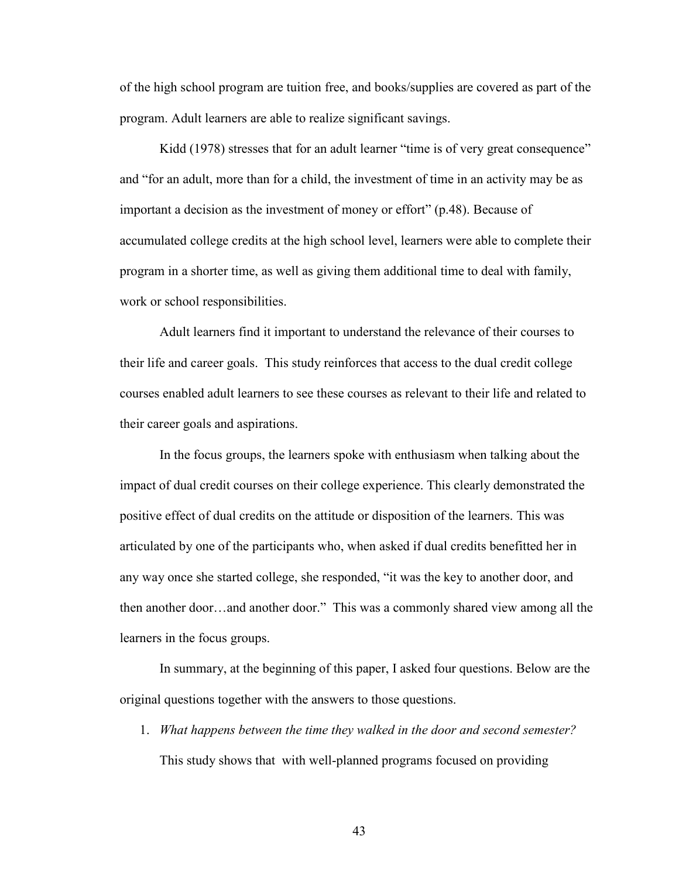of the high school program are tuition free, and books/supplies are covered as part of the program. Adult learners are able to realize significant savings.

Kidd (1978) stresses that for an adult learner "time is of very great consequence" and "for an adult, more than for a child, the investment of time in an activity may be as important a decision as the investment of money or effort" (p.48). Because of accumulated college credits at the high school level, learners were able to complete their program in a shorter time, as well as giving them additional time to deal with family, work or school responsibilities.

Adult learners find it important to understand the relevance of their courses to their life and career goals. This study reinforces that access to the dual credit college courses enabled adult learners to see these courses as relevant to their life and related to their career goals and aspirations.

In the focus groups, the learners spoke with enthusiasm when talking about the impact of dual credit courses on their college experience. This clearly demonstrated the positive effect of dual credits on the attitude or disposition of the learners. This was articulated by one of the participants who, when asked if dual credits benefitted her in any way once she started college, she responded, "it was the key to another door, and then another door…and another door." This was a commonly shared view among all the learners in the focus groups.

 In summary, at the beginning of this paper, I asked four questions. Below are the original questions together with the answers to those questions.

1. *What happens between the time they walked in the door and second semester?* This study shows that with well-planned programs focused on providing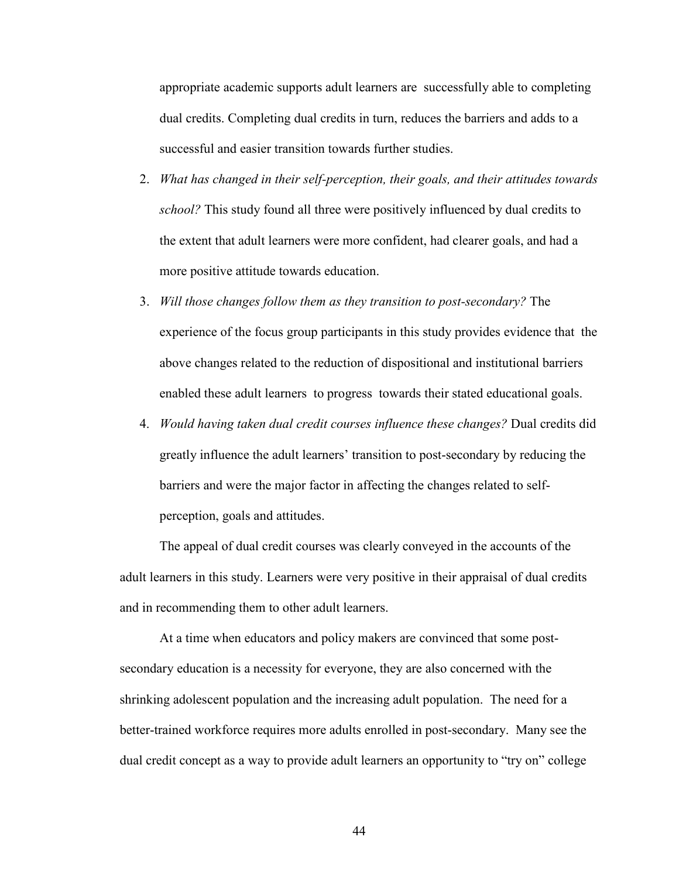appropriate academic supports adult learners are successfully able to completing dual credits. Completing dual credits in turn, reduces the barriers and adds to a successful and easier transition towards further studies.

- 2. *What has changed in their self-perception, their goals, and their attitudes towards school?* This study found all three were positively influenced by dual credits to the extent that adult learners were more confident, had clearer goals, and had a more positive attitude towards education.
- 3. *Will those changes follow them as they transition to post-secondary?* The experience of the focus group participants in this study provides evidence that the above changes related to the reduction of dispositional and institutional barriers enabled these adult learners to progress towards their stated educational goals.
- 4. *Would having taken dual credit courses influence these changes?* Dual credits did greatly influence the adult learners' transition to post-secondary by reducing the barriers and were the major factor in affecting the changes related to selfperception, goals and attitudes.

The appeal of dual credit courses was clearly conveyed in the accounts of the adult learners in this study. Learners were very positive in their appraisal of dual credits and in recommending them to other adult learners.

At a time when educators and policy makers are convinced that some postsecondary education is a necessity for everyone, they are also concerned with the shrinking adolescent population and the increasing adult population. The need for a better-trained workforce requires more adults enrolled in post-secondary. Many see the dual credit concept as a way to provide adult learners an opportunity to "try on" college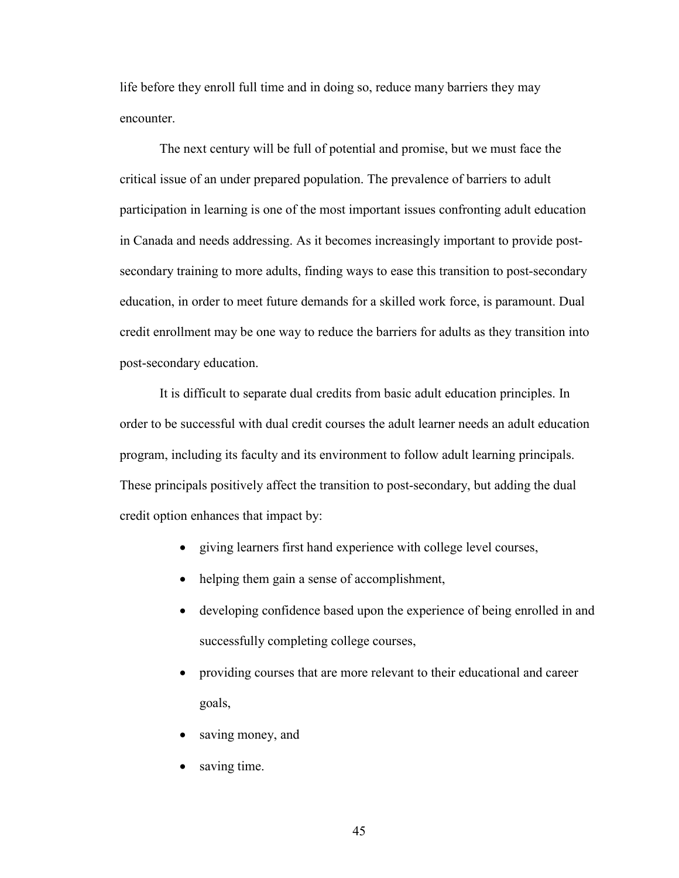life before they enroll full time and in doing so, reduce many barriers they may **encounter** 

The next century will be full of potential and promise, but we must face the critical issue of an under prepared population. The prevalence of barriers to adult participation in learning is one of the most important issues confronting adult education in Canada and needs addressing. As it becomes increasingly important to provide postsecondary training to more adults, finding ways to ease this transition to post-secondary education, in order to meet future demands for a skilled work force, is paramount. Dual credit enrollment may be one way to reduce the barriers for adults as they transition into post-secondary education.

It is difficult to separate dual credits from basic adult education principles. In order to be successful with dual credit courses the adult learner needs an adult education program, including its faculty and its environment to follow adult learning principals. These principals positively affect the transition to post-secondary, but adding the dual credit option enhances that impact by:

- giving learners first hand experience with college level courses,
- helping them gain a sense of accomplishment,
- developing confidence based upon the experience of being enrolled in and successfully completing college courses,
- providing courses that are more relevant to their educational and career goals,
- saving money, and
- saving time.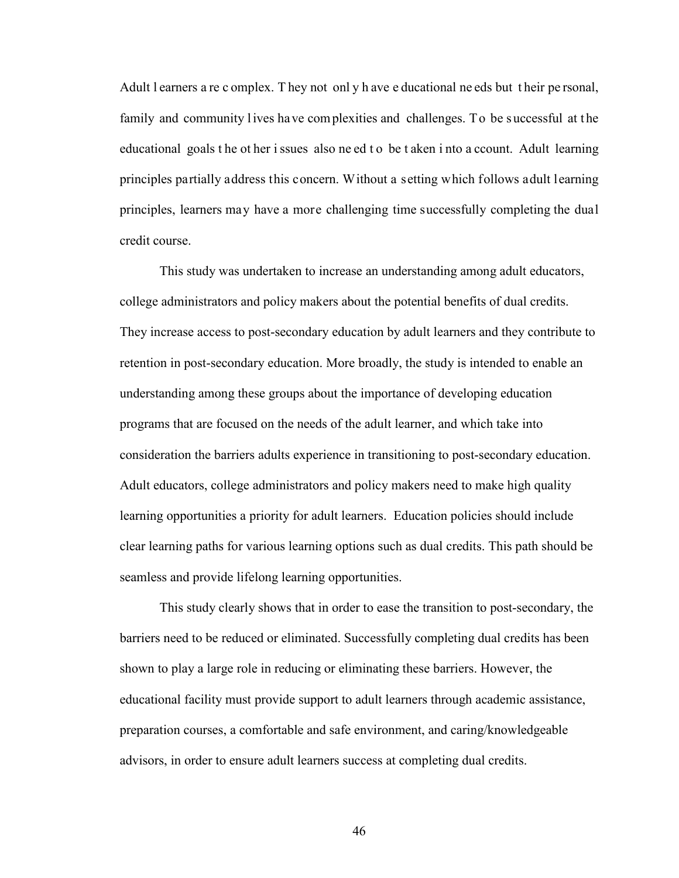Adult l earners a re c omplex. They not only h ave e ducational ne eds but their pe rsonal, family and community lives have complexities and challenges. To be successful at the educational goals t he ot her i ssues also ne ed t o be t aken i nto a ccount. Adult learning principles partially address this concern. Without a setting which follows adult learning principles, learners may have a more challenging time successfully completing the dual credit course.

 This study was undertaken to increase an understanding among adult educators, college administrators and policy makers about the potential benefits of dual credits. They increase access to post-secondary education by adult learners and they contribute to retention in post-secondary education. More broadly, the study is intended to enable an understanding among these groups about the importance of developing education programs that are focused on the needs of the adult learner, and which take into consideration the barriers adults experience in transitioning to post-secondary education. Adult educators, college administrators and policy makers need to make high quality learning opportunities a priority for adult learners. Education policies should include clear learning paths for various learning options such as dual credits. This path should be seamless and provide lifelong learning opportunities.

This study clearly shows that in order to ease the transition to post-secondary, the barriers need to be reduced or eliminated. Successfully completing dual credits has been shown to play a large role in reducing or eliminating these barriers. However, the educational facility must provide support to adult learners through academic assistance, preparation courses, a comfortable and safe environment, and caring/knowledgeable advisors, in order to ensure adult learners success at completing dual credits.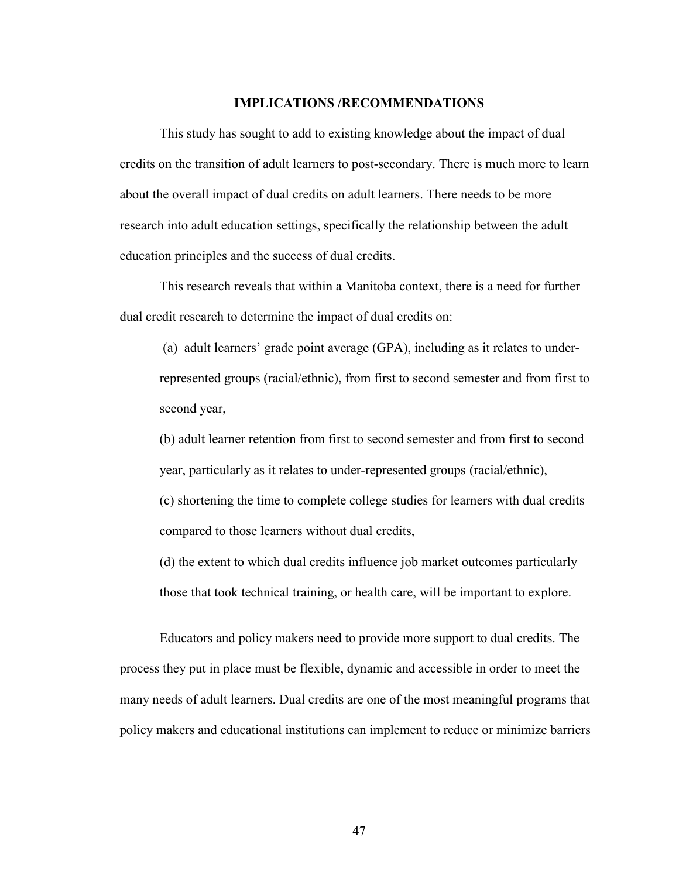#### **IMPLICATIONS /RECOMMENDATIONS**

<span id="page-46-0"></span>This study has sought to add to existing knowledge about the impact of dual credits on the transition of adult learners to post-secondary. There is much more to learn about the overall impact of dual credits on adult learners. There needs to be more research into adult education settings, specifically the relationship between the adult education principles and the success of dual credits.

This research reveals that within a Manitoba context, there is a need for further dual credit research to determine the impact of dual credits on:

 (a) adult learners' grade point average (GPA), including as it relates to underrepresented groups (racial/ethnic), from first to second semester and from first to second year,

(b) adult learner retention from first to second semester and from first to second year, particularly as it relates to under-represented groups (racial/ethnic),

(c) shortening the time to complete college studies for learners with dual credits compared to those learners without dual credits,

(d) the extent to which dual credits influence job market outcomes particularly those that took technical training, or health care, will be important to explore.

Educators and policy makers need to provide more support to dual credits. The process they put in place must be flexible, dynamic and accessible in order to meet the many needs of adult learners. Dual credits are one of the most meaningful programs that policy makers and educational institutions can implement to reduce or minimize barriers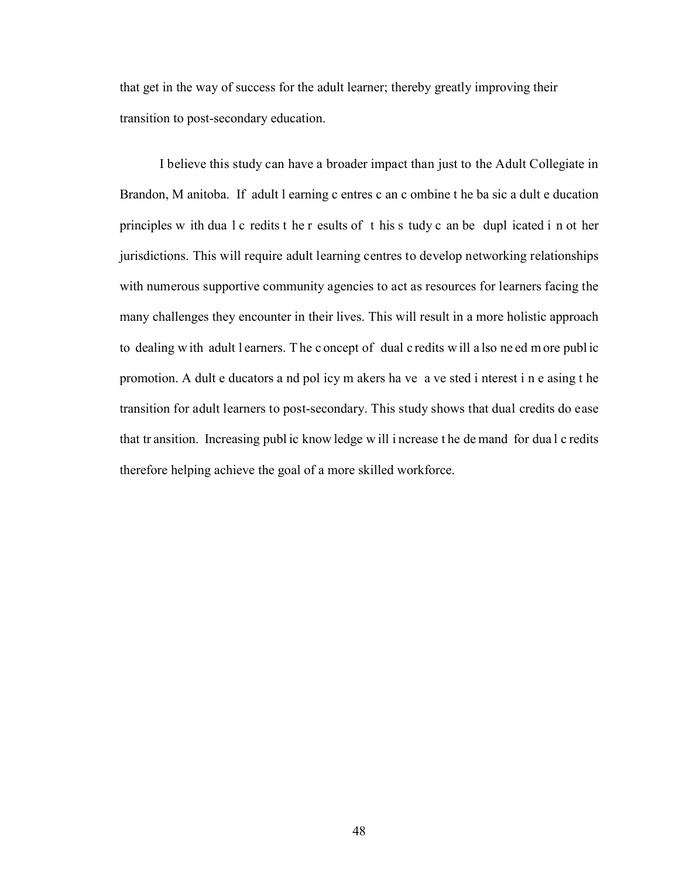that get in the way of success for the adult learner; thereby greatly improving their transition to post-secondary education.

I believe this study can have a broader impact than just to the Adult Collegiate in Brandon, M anitoba. If adult l earning c entres c an c ombine t he ba sic a dult e ducation principles w ith dua l c redits t he r esults of t his s tudy c an be dupl icated i n ot her jurisdictions. This will require adult learning centres to develop networking relationships with numerous supportive community agencies to act as resources for learners facing the many challenges they encounter in their lives. This will result in a more holistic approach to dealing w ith adult l earners. T he c oncept of dual c redits w ill a lso ne ed m ore publ ic promotion. A dult e ducators a nd pol icy m akers ha ve a ve sted i nterest i n e asing t he transition for adult learners to post-secondary. This study shows that dual credits do ease that tr ansition. Increasing publ ic know ledge w ill i ncrease t he de mand for dua l c redits therefore helping achieve the goal of a more skilled workforce.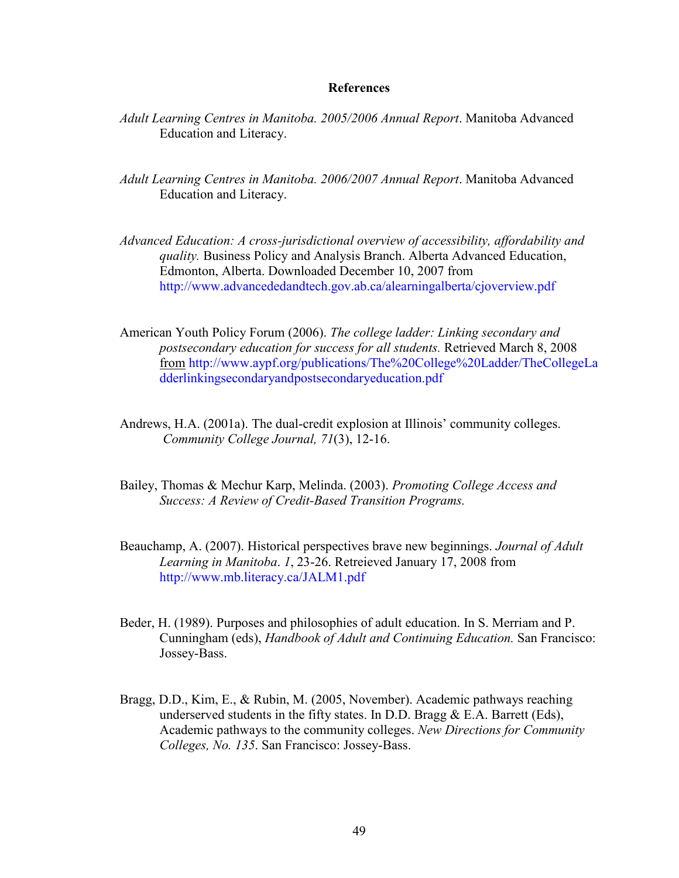#### **References**

- <span id="page-48-0"></span>*Adult Learning Centres in Manitoba. 2005/2006 Annual Report*. Manitoba Advanced Education and Literacy.
- *Adult Learning Centres in Manitoba. 2006/2007 Annual Report*. Manitoba Advanced Education and Literacy.
- *Advanced Education: A cross-jurisdictional overview of accessibility, affordability and quality.* Business Policy and Analysis Branch. Alberta Advanced Education, Edmonton, Alberta. Downloaded December 10, 2007 from <http://www.advancededandtech.gov.ab.ca/alearningalberta/cjoverview.pdf>
- American Youth Policy Forum (2006). *The college ladder: Linking secondary and postsecondary education for success for all students.* Retrieved March 8, 2008 from [http://www.aypf.org/publications/The%20College%20Ladder/TheCollegeLa](http://www.aypf.org/publications/The%20College%20Ladder/TheCollegeLadderlinkingsecondaryandpostsecondaryeducation.pdf) [dderlinkingsecondaryandpostsecondaryeducation.pdf](http://www.aypf.org/publications/The%20College%20Ladder/TheCollegeLadderlinkingsecondaryandpostsecondaryeducation.pdf)
- Andrews, H.A. (2001a). The dual-credit explosion at Illinois' community colleges. *Community College Journal, 71*(3), 12-16.
- Bailey, Thomas & Mechur Karp, Melinda. (2003). *Promoting College Access and Success: A Review of Credit-Based Transition Programs.*
- Beauchamp, A. (2007). Historical perspectives brave new beginnings. *Journal of Adult Learning in Manitoba*. *1*, 23-26. Retreieved January 17, 2008 from <http://www.mb.literacy.ca/JALM1.pdf>
- Beder, H. (1989). Purposes and philosophies of adult education. In S. Merriam and P. Cunningham (eds), *Handbook of Adult and Continuing Education.* San Francisco: Jossey-Bass.
- Bragg, D.D., Kim, E., & Rubin, M. (2005, November). Academic pathways reaching underserved students in the fifty states. In D.D. Bragg  $& E.A.$  Barrett (Eds), Academic pathways to the community colleges. *New Directions for Community Colleges, No. 135*. San Francisco: Jossey-Bass.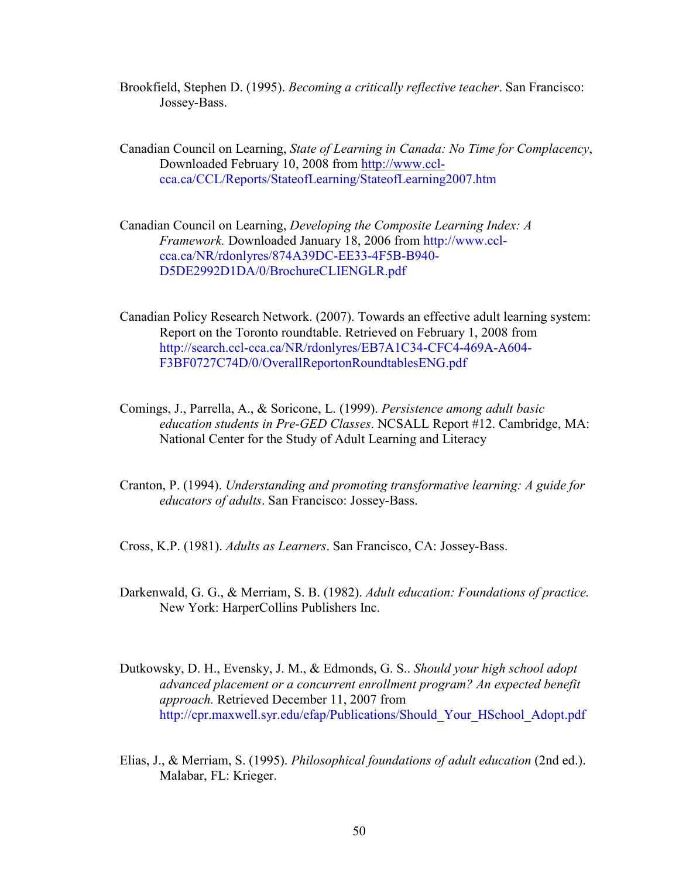- Brookfield, Stephen D. (1995). *Becoming a critically reflective teacher*. San Francisco: Jossey-Bass.
- Canadian Council on Learning, *State of Learning in Canada: No Time for Complacency*, Downloaded February 10, 2008 from http://www.ccl [cca.ca/CCL/Reports/StateofLearning/StateofLearning2007.htm](http://www.ccl-cca.ca/CCL/Reports/StateofLearning/StateofLearning2007.htm)
- Canadian Council on Learning, *Developing the Composite Learning Index: A Framework.* Downloaded January 18, 2006 from [http://www.ccl](http://www.ccl-cca.ca/NR/rdonlyres/874A39DC-EE33-4F5B-B940-D5DE2992D1DA/0/BrochureCLIENGLR.pdf) [cca.ca/NR/rdonlyres/874A39DC-EE33-4F5B-B940-](http://www.ccl-cca.ca/NR/rdonlyres/874A39DC-EE33-4F5B-B940-D5DE2992D1DA/0/BrochureCLIENGLR.pdf) [D5DE2992D1DA/0/BrochureCLIENGLR.pdf](http://www.ccl-cca.ca/NR/rdonlyres/874A39DC-EE33-4F5B-B940-D5DE2992D1DA/0/BrochureCLIENGLR.pdf)
- Canadian Policy Research Network. (2007). Towards an effective adult learning system: Report on the Toronto roundtable. Retrieved on February 1, 2008 from <http://search.ccl-cca.ca/NR/rdonlyres/EB7A1C34-CFC4-469A-A604-> F3BF0727C74D/0/OverallReportonRoundtablesENG.pdf
- Comings, J., Parrella, A., & Soricone, L. (1999). *Persistence among adult basic education students in Pre-GED Classes*. NCSALL Report #12. Cambridge, MA: National Center for the Study of Adult Learning and Literacy
- Cranton, P. (1994). *Understanding and promoting transformative learning: A guide for educators of adults*. San Francisco: Jossey-Bass.
- Cross, K.P. (1981). *Adults as Learners*. San Francisco, CA: Jossey-Bass.
- Darkenwald, G. G., & Merriam, S. B. (1982). *Adult education: Foundations of practice.* New York: HarperCollins Publishers Inc.
- Dutkowsky, D. H., Evensky, J. M., & Edmonds, G. S.. *Should your high school adopt advanced placement or a concurrent enrollment program? An expected benefit approach.* Retrieved December 11, 2007 from [http://cpr.maxwell.syr.edu/efap/Publications/Should\\_Your\\_HSchool\\_Adopt.pdf](http://cpr.maxwell.syr.edu/efap/Publications/Should_Your_HSchool_Adopt.pdf)
- Elias, J., & Merriam, S. (1995). *Philosophical foundations of adult education* (2nd ed.). Malabar, FL: Krieger.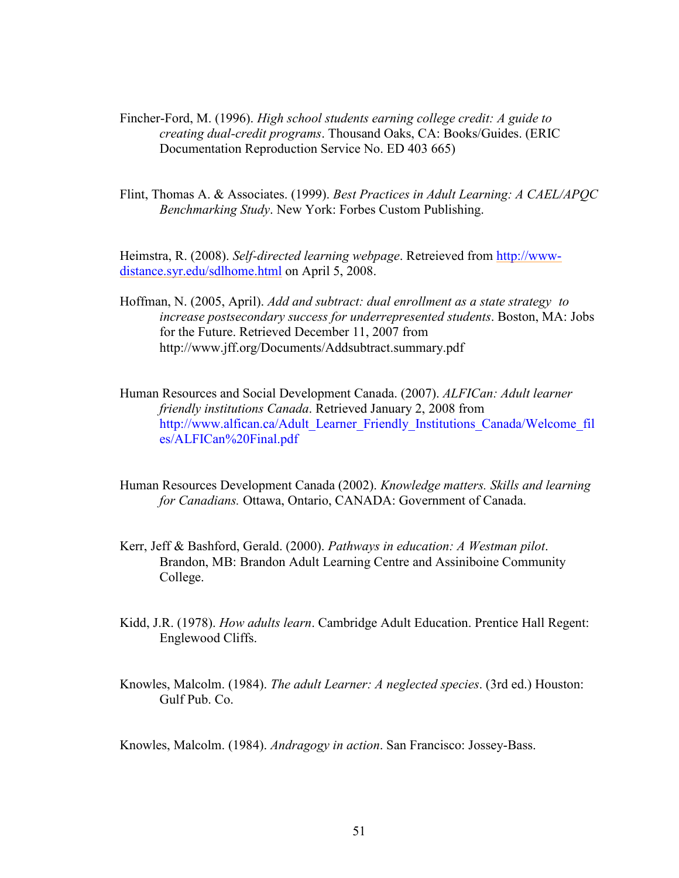- Fincher-Ford, M. (1996). *High school students earning college credit: A guide to creating dual-credit programs*. Thousand Oaks, CA: Books/Guides. (ERIC Documentation Reproduction Service No. ED 403 665)
- Flint, Thomas A. & Associates. (1999). *Best Practices in Adult Learning: A CAEL/APQC Benchmarking Study*. New York: Forbes Custom Publishing.

Heimstra, R. (2008). *Self-directed learning webpage*. Retreieved from [http://www](http://www-distance.syr.edu/sdlhome.html)[distance.syr.edu/sdlhome.html](http://www-distance.syr.edu/sdlhome.html) on April 5, 2008.

- Hoffman, N. (2005, April). *Add and subtract: dual enrollment as a state strategy to increase postsecondary success for underrepresented students*. Boston, MA: Jobs for the Future. Retrieved December 11, 2007 from <http://www.jff.org/Documents/Addsubtract.summary.pdf>
- Human Resources and Social Development Canada. (2007). *ALFICan: Adult learner friendly institutions Canada*. Retrieved January 2, 2008 from [http://www.alfican.ca/Adult\\_Learner\\_Friendly\\_Institutions\\_Canada/Welcome\\_fil](http://www.alfican.ca/Adult_Learner_Friendly_Institutions_Canada/Welcome_fil) es/ALFICan%20Final.pdf
- Human Resources Development Canada (2002). *Knowledge matters. Skills and learning for Canadians.* Ottawa, Ontario, CANADA: Government of Canada.
- Kerr, Jeff & Bashford, Gerald. (2000). *Pathways in education: A Westman pilot*. Brandon, MB: Brandon Adult Learning Centre and Assiniboine Community College.
- Kidd, J.R. (1978). *How adults learn*. Cambridge Adult Education. Prentice Hall Regent: Englewood Cliffs.
- Knowles, Malcolm. (1984). *The adult Learner: A neglected species*. (3rd ed.) Houston: Gulf Pub. Co.

Knowles, Malcolm. (1984). *Andragogy in action*. San Francisco: Jossey-Bass.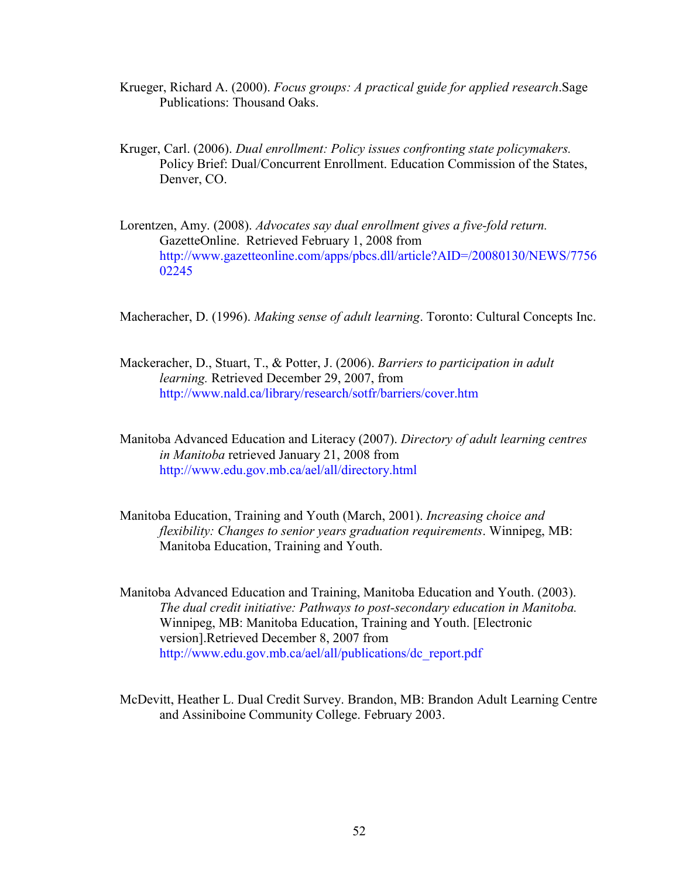- Krueger, Richard A. (2000). *Focus groups: A practical guide for applied research*.Sage Publications: Thousand Oaks.
- Kruger, Carl. (2006). *Dual enrollment: Policy issues confronting state policymakers.* Policy Brief: Dual/Concurrent Enrollment. Education Commission of the States, Denver, CO.
- Lorentzen, Amy. (2008). *Advocates say dual enrollment gives a five-fold return.* GazetteOnline. Retrieved February 1, 2008 from <http://www.gazetteonline.com/apps/pbcs.dll/article?AID=/20080130/NEWS/7756> 02245

Macheracher, D. (1996). *Making sense of adult learning*. Toronto: Cultural Concepts Inc.

- Mackeracher, D., Stuart, T., & Potter, J. (2006). *Barriers to participation in adult learning.* Retrieved December 29, 2007, from <http://www.nald.ca/library/research/sotfr/barriers/cover.htm>
- Manitoba Advanced Education and Literacy (2007). *Directory of adult learning centres in Manitoba* retrieved January 21, 2008 from <http://www.edu.gov.mb.ca/ael/all/directory.html>
- Manitoba Education, Training and Youth (March, 2001). *Increasing choice and flexibility: Changes to senior years graduation requirements*. Winnipeg, MB: Manitoba Education, Training and Youth.
- Manitoba Advanced Education and Training, Manitoba Education and Youth. (2003). *The dual credit initiative: Pathways to post-secondary education in Manitoba.*  Winnipeg, MB: Manitoba Education, Training and Youth. [Electronic version].Retrieved December 8, 2007 from [http://www.edu.gov.mb.ca/ael/all/publications/dc\\_report.pdf](http://www.edu.gov.mb.ca/ael/all/publications/dc_report.pdf)
- McDevitt, Heather L. Dual Credit Survey. Brandon, MB: Brandon Adult Learning Centre and Assiniboine Community College. February 2003.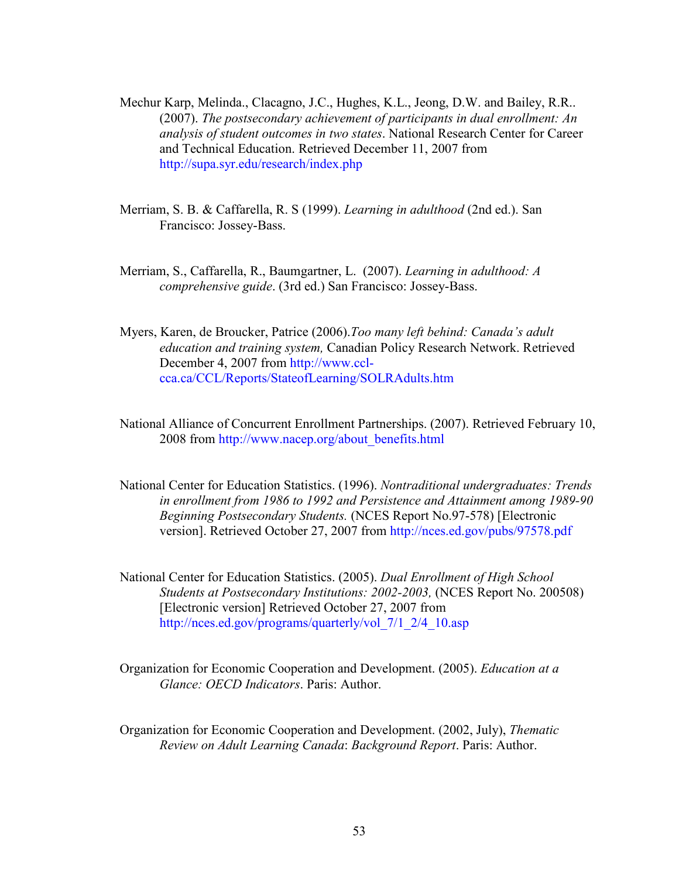- Mechur Karp, Melinda., Clacagno, J.C., Hughes, K.L., Jeong, D.W. and Bailey, R.R.. (2007). *The postsecondary achievement of participants in dual enrollment: An analysis of student outcomes in two states*. National Research Center for Career and Technical Education. Retrieved December 11, 2007 from <http://supa.syr.edu/research/index.php>
- Merriam, S. B. & Caffarella, R. S (1999). *Learning in adulthood* (2nd ed.). San Francisco: Jossey-Bass.
- Merriam, S., Caffarella, R., Baumgartner, L. (2007). *Learning in adulthood: A comprehensive guide*. (3rd ed.) San Francisco: Jossey-Bass.
- Myers, Karen, de Broucker, Patrice (2006).*Too many left behind: Canada's adult education and training system,* Canadian Policy Research Network. Retrieved December 4, 2007 from [http://www.ccl](http://www.ccl-cca.ca/CCL/Reports/StateofLearning/SOLRAdults.htm)[cca.ca/CCL/Reports/StateofLearning/SOLRAdults.htm](http://www.ccl-cca.ca/CCL/Reports/StateofLearning/SOLRAdults.htm)
- National Alliance of Concurrent Enrollment Partnerships. (2007). Retrieved February 10, 2008 from [http://www.nacep.org/about\\_benefits.html](http://www.nacep.org/about_benefits.html)
- National Center for Education Statistics. (1996). *Nontraditional undergraduates: Trends in enrollment from 1986 to 1992 and Persistence and Attainment among 1989-90 Beginning Postsecondary Students.* (NCES Report No.97-578) [Electronic version]. Retrieved October 27, 2007 from <http://nces.ed.gov/pubs/97578.pdf>
- National Center for Education Statistics. (2005). *Dual Enrollment of High School Students at Postsecondary Institutions: 2002-2003,* (NCES Report No. 200508) [Electronic version] Retrieved October 27, 2007 from [http://nces.ed.gov/programs/quarterly/vol\\_7/1\\_2/4\\_10.asp](http://nces.ed.gov/programs/quarterly/vol_7/1_2/4_10.asp)
- Organization for Economic Cooperation and Development. (2005). *Education at a Glance: OECD Indicators*. Paris: Author.
- Organization for Economic Cooperation and Development. (2002, July), *Thematic Review on Adult Learning Canada*: *Background Report*. Paris: Author.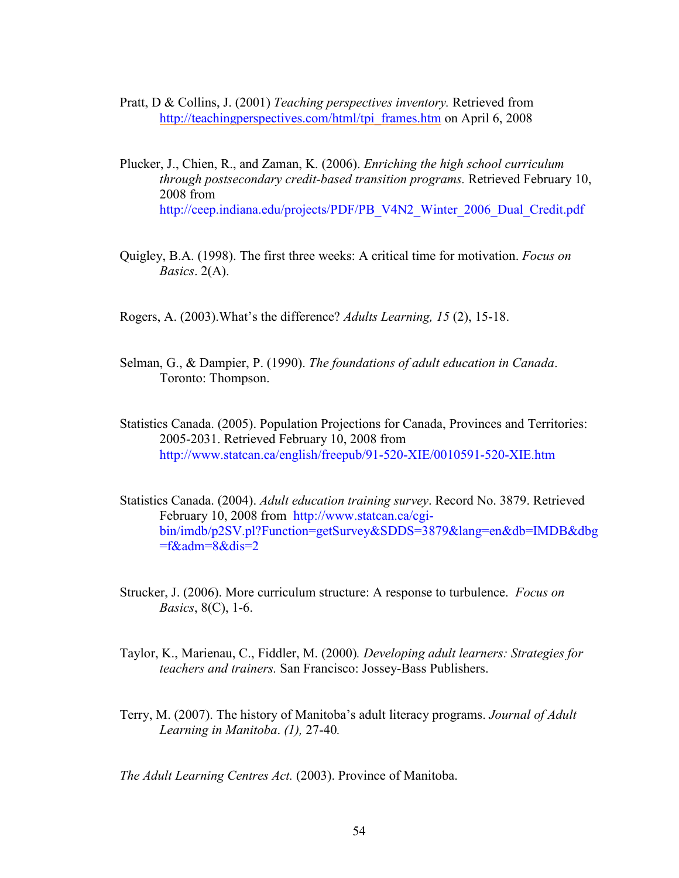- Pratt, D & Collins, J. (2001) *Teaching perspectives inventory.* Retrieved from [http://teachingperspectives.com/html/tpi\\_frames.htm](http://teachingperspectives.com/html/tpi_frames.htm) on April 6, 2008
- Plucker, J., Chien, R., and Zaman, K. (2006). *Enriching the high school curriculum through postsecondary credit-based transition programs.* Retrieved February 10, 2008 from [http://ceep.indiana.edu/projects/PDF/PB\\_V4N2\\_Winter\\_2006\\_Dual\\_Credit.pdf](http://ceep.indiana.edu/projects/PDF/PB_V4N2_Winter_2006_Dual_Credit.pdf)
- Quigley, B.A. (1998). The first three weeks: A critical time for motivation. *Focus on Basics*. 2(A).
- Rogers, A. (2003).What's the difference? *Adults Learning, 15* (2), 15-18.
- Selman, G., & Dampier, P. (1990). *The foundations of adult education in Canada*. Toronto: Thompson.
- Statistics Canada. (2005). Population Projections for Canada, Provinces and Territories: 2005-2031. Retrieved February 10, 2008 from <http://www.statcan.ca/english/freepub/91-520-XIE/0010591-520-XIE.htm>
- Statistics Canada. (2004). *Adult education training survey*. Record No. 3879. Retrieved February 10, 2008 from [http://www.statcan.ca/cgi](http://www.statcan.ca/cgi-bin/imdb/p2SV.pl?Function=getSurvey&SDDS=3879&lang=en&db=IMDB&dbg=f&adm=8&dis=2)  [bin/imdb/p2SV.pl?Function=getSurvey&SDDS=3879&lang=en&db=IMDB&dbg](http://www.statcan.ca/cgi-bin/imdb/p2SV.pl?Function=getSurvey&SDDS=3879&lang=en&db=IMDB&dbg=f&adm=8&dis=2)  $=f\&adm=8\&dis=2$
- Strucker, J. (2006). More curriculum structure: A response to turbulence. *Focus on Basics*, 8(C), 1-6.
- Taylor, K., Marienau, C., Fiddler, M. (2000)*. Developing adult learners: Strategies for teachers and trainers.* San Francisco: Jossey-Bass Publishers.
- Terry, M. (2007). The history of Manitoba's adult literacy programs. *Journal of Adult Learning in Manitoba*. *(1),* 27-40*.*

*The Adult Learning Centres Act.* (2003). Province of Manitoba.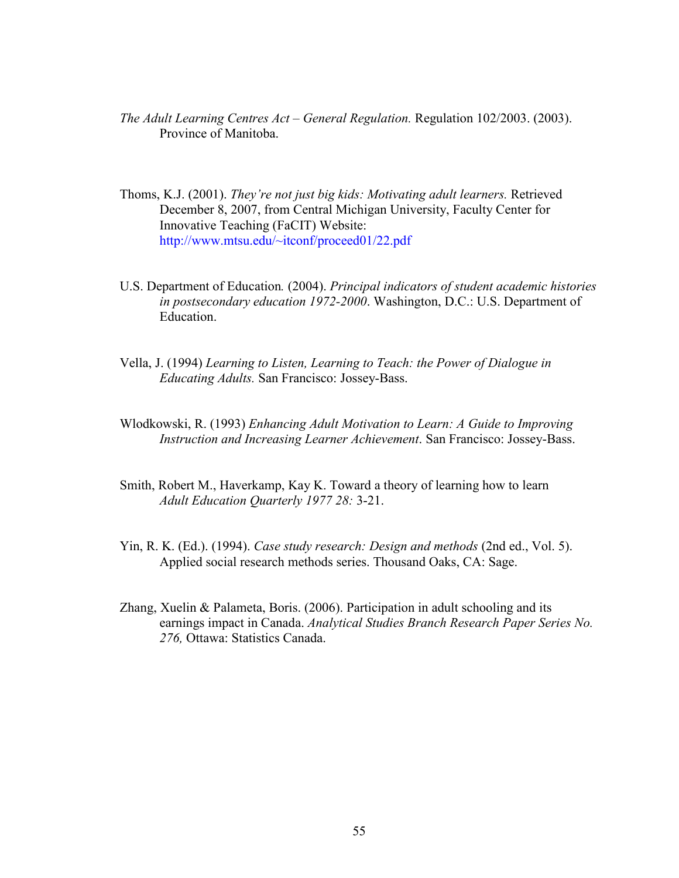- *The Adult Learning Centres Act General Regulation.* Regulation 102/2003. (2003). Province of Manitoba.
- Thoms, K.J. (2001). *They're not just big kids: Motivating adult learners.* Retrieved December 8, 2007, from Central Michigan University, Faculty Center for Innovative Teaching (FaCIT) Website: <http://www.mtsu.edu/~itconf/proceed01/22.pdf>
- U.S. Department of Education*.* (2004). *Principal indicators of student academic histories in postsecondary education 1972-2000*. Washington, D.C.: U.S. Department of Education.
- Vella, J. (1994) *Learning to Listen, Learning to Teach: the Power of Dialogue in Educating Adults.* San Francisco: Jossey-Bass.
- Wlodkowski, R. (1993) *Enhancing Adult Motivation to Learn: A Guide to Improving Instruction and Increasing Learner Achievement*. San Francisco: Jossey-Bass.
- Smith, Robert M., Haverkamp, Kay K. Toward a theory of learning how to learn *Adult Education Quarterly 1977 28:* 3-21.
- Yin, R. K. (Ed.). (1994). *Case study research: Design and methods* (2nd ed., Vol. 5). Applied social research methods series. Thousand Oaks, CA: Sage.
- Zhang, Xuelin & Palameta, Boris. (2006). Participation in adult schooling and its earnings impact in Canada. *Analytical Studies Branch Research Paper Series No. 276,* Ottawa: Statistics Canada.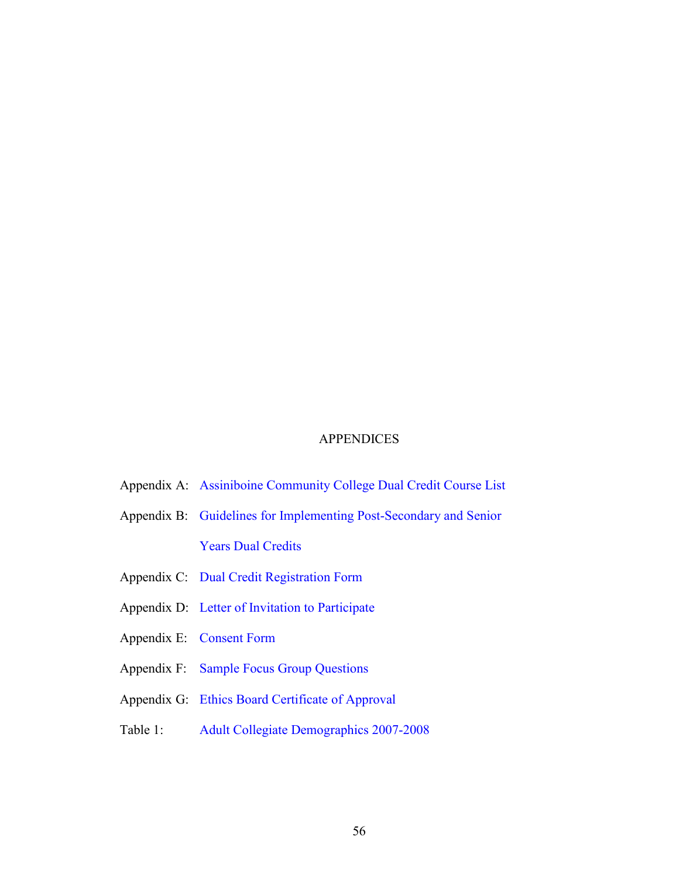## **APPENDICES**

- <span id="page-55-0"></span>Appendix A: [Assiniboine Community College Dual Credit Course List](#page-56-0)
- Appendix B: [Guidelines for Implementing Post-Secondary and Senior](#page-60-0)  Years Dual Credits
- Appendix C: [Dual Credit Registration Form](#page-62-0)
- Appendix D: [Letter of Invitation to Participate](#page-63-0)
- Appendix E: [Consent Form](#page-66-0)
- Appendix F: [Sample Focus Group Questions](#page-68-0)
- Appendix G: [Ethics Board Certificate of Approval](#page-70-0)
- Table 1: [Adult Collegiate Demographics 2007-2008](#page-12-0)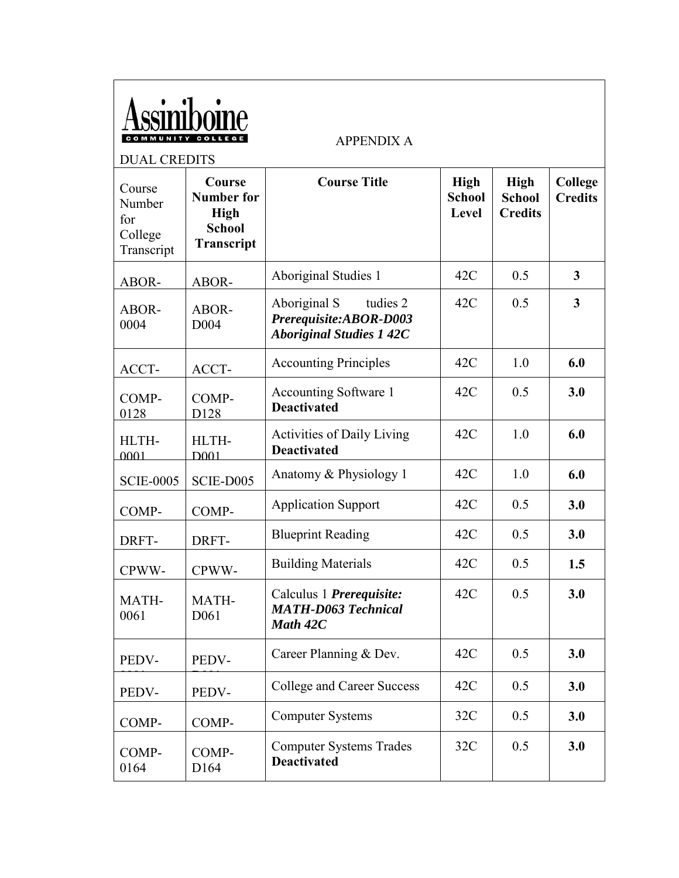<span id="page-56-0"></span>

|       | Assimibolne       |  |
|-------|-------------------|--|
| MMUNI | <b>TY COLLEGE</b> |  |

APPENDIX A

| <b>DUAL CREDITS</b>                              |                                                                           |                                                                                       |                                |                                                |                           |
|--------------------------------------------------|---------------------------------------------------------------------------|---------------------------------------------------------------------------------------|--------------------------------|------------------------------------------------|---------------------------|
| Course<br>Number<br>for<br>College<br>Transcript | Course<br><b>Number for</b><br><b>High</b><br><b>School</b><br>Transcript | <b>Course Title</b>                                                                   | High<br><b>School</b><br>Level | <b>High</b><br><b>School</b><br><b>Credits</b> | College<br><b>Credits</b> |
| ABOR-                                            | ABOR-                                                                     | Aboriginal Studies 1                                                                  | 42C                            | 0.5                                            | $\mathbf{3}$              |
| ABOR-<br>0004                                    | ABOR-<br>D <sub>004</sub>                                                 | Aboriginal S<br>tudies 2<br>Prerequisite:ABOR-D003<br><b>Aboriginal Studies 1 42C</b> | 42C                            | 0.5                                            | $\overline{\mathbf{3}}$   |
| ACCT-                                            | ACCT-                                                                     | <b>Accounting Principles</b>                                                          | 42C                            | 1.0                                            | 6.0                       |
| COMP-<br>0128                                    | COMP-<br>D128                                                             | Accounting Software 1<br><b>Deactivated</b>                                           | 42C                            | 0.5                                            | 3.0                       |
| HLTH-<br>0001                                    | HLTH-<br>D <sub>001</sub>                                                 | <b>Activities of Daily Living</b><br><b>Deactivated</b>                               | 42C                            | 1.0                                            | 6.0                       |
| <b>SCIE-0005</b>                                 | SCIE-D005                                                                 | Anatomy & Physiology 1                                                                | 42C                            | 1.0                                            | 6.0                       |
| COMP-                                            | COMP-                                                                     | <b>Application Support</b>                                                            | 42C                            | 0.5                                            | 3.0                       |
| DRFT-                                            | DRFT-                                                                     | <b>Blueprint Reading</b>                                                              | 42C                            | 0.5                                            | 3.0                       |
| CPWW-                                            | CPWW-                                                                     | <b>Building Materials</b>                                                             | 42C                            | 0.5                                            | 1.5                       |
| MATH-<br>0061                                    | MATH-<br>D <sub>061</sub>                                                 | Calculus 1 <i>Prerequisite:</i><br><b>MATH-D063 Technical</b><br>Math 42C             | 42C                            | 0.5                                            | 3.0                       |
| PEDV-                                            | PEDV-                                                                     | Career Planning & Dev.                                                                | 42C                            | 0.5                                            | 3.0                       |
| PEDV-                                            | PEDV-                                                                     | College and Career Success                                                            | 42C                            | 0.5                                            | 3.0                       |
| COMP-                                            | COMP-                                                                     | <b>Computer Systems</b>                                                               | 32C                            | 0.5                                            | 3.0                       |
| COMP-<br>0164                                    | COMP-<br>D <sub>164</sub>                                                 | <b>Computer Systems Trades</b><br><b>Deactivated</b>                                  | 32C                            | 0.5                                            | 3.0                       |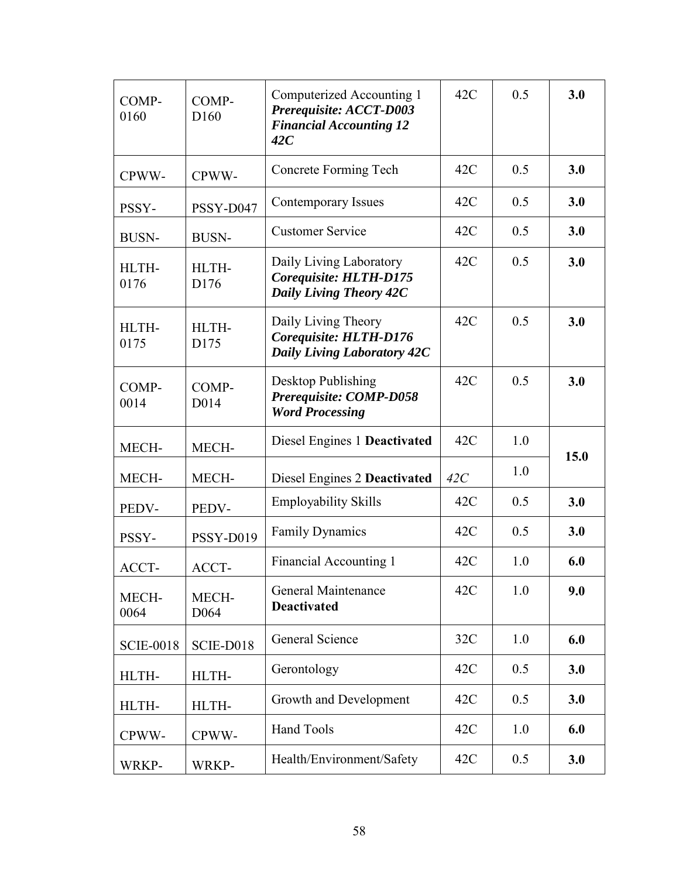| COMP-<br>0160    | COMP-<br>D <sub>160</sub>  | Computerized Accounting 1<br>Prerequisite: ACCT-D003<br><b>Financial Accounting 12</b><br>42C | 42C | 0.5 | 3.0  |
|------------------|----------------------------|-----------------------------------------------------------------------------------------------|-----|-----|------|
| CPWW-            | CPWW-                      | Concrete Forming Tech                                                                         | 42C | 0.5 | 3.0  |
| PSSY-            | PSSY-D047                  | Contemporary Issues                                                                           | 42C | 0.5 | 3.0  |
| <b>BUSN-</b>     | <b>BUSN-</b>               | <b>Customer Service</b>                                                                       | 42C | 0.5 | 3.0  |
| HLTH-<br>0176    | HLTH-<br>D176              | Daily Living Laboratory<br>Corequisite: HLTH-D175<br><b>Daily Living Theory 42C</b>           | 42C | 0.5 | 3.0  |
| HLTH-<br>0175    | HLTH-<br>D175              | Daily Living Theory<br>Corequisite: HLTH-D176<br><b>Daily Living Laboratory 42C</b>           | 42C | 0.5 | 3.0  |
| COMP-<br>0014    | COMP-<br>D <sub>0</sub> 14 | Desktop Publishing<br>Prerequisite: COMP-D058<br><b>Word Processing</b>                       | 42C | 0.5 | 3.0  |
| MECH-            | MECH-                      | Diesel Engines 1 Deactivated                                                                  | 42C | 1.0 | 15.0 |
| MECH-            | MECH-                      | Diesel Engines 2 Deactivated                                                                  | 42C | 1.0 |      |
| PEDV-            | PEDV-                      | <b>Employability Skills</b>                                                                   | 42C | 0.5 | 3.0  |
| PSSY-            | PSSY-D019                  | <b>Family Dynamics</b>                                                                        | 42C | 0.5 | 3.0  |
| ACCT-            | ACCT-                      | Financial Accounting 1                                                                        | 42C | 1.0 | 6.0  |
| MECH-<br>0064    | MECH-<br>D <sub>064</sub>  | General Maintenance<br><b>Deactivated</b>                                                     | 42C | 1.0 | 9.0  |
| <b>SCIE-0018</b> | SCIE-D018                  | General Science                                                                               | 32C | 1.0 | 6.0  |
| HLTH-            | HLTH-                      | Gerontology                                                                                   | 42C | 0.5 | 3.0  |
| HLTH-            | HLTH-                      | Growth and Development                                                                        | 42C | 0.5 | 3.0  |
| CPWW-            | CPWW-                      | <b>Hand Tools</b>                                                                             | 42C | 1.0 | 6.0  |
| WRKP-            | WRKP-                      | Health/Environment/Safety                                                                     | 42C | 0.5 | 3.0  |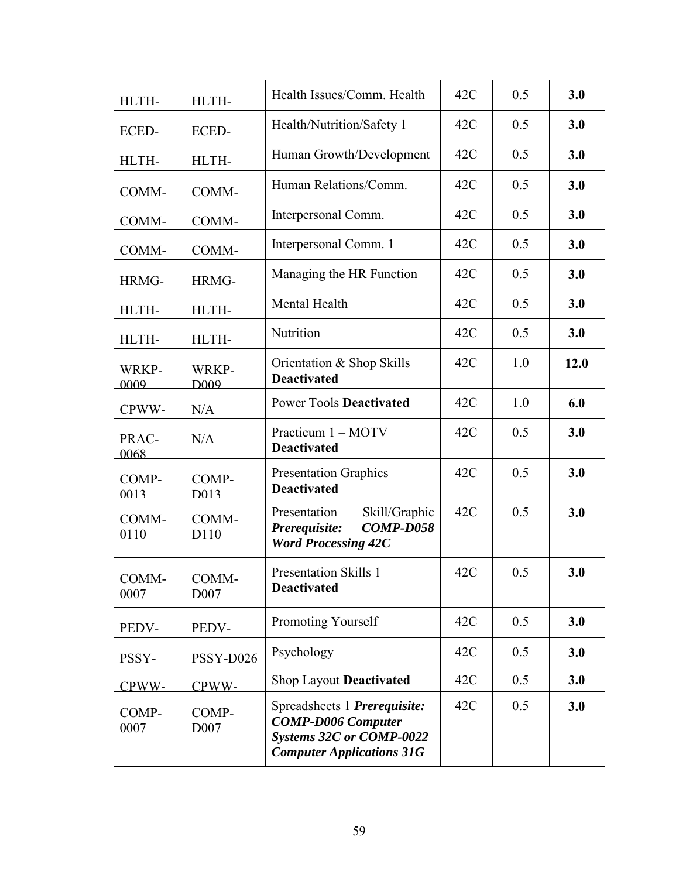| HLTH-         | HLTH-                     | Health Issues/Comm. Health                                                                                                | 42C | 0.5 | 3.0  |
|---------------|---------------------------|---------------------------------------------------------------------------------------------------------------------------|-----|-----|------|
| ECED-         | ECED-                     | Health/Nutrition/Safety 1                                                                                                 | 42C | 0.5 | 3.0  |
| HLTH-         | HLTH-                     | Human Growth/Development                                                                                                  | 42C | 0.5 | 3.0  |
| COMM-         | COMM-                     | Human Relations/Comm.                                                                                                     | 42C | 0.5 | 3.0  |
| COMM-         | COMM-                     | Interpersonal Comm.                                                                                                       | 42C | 0.5 | 3.0  |
| COMM-         | COMM-                     | Interpersonal Comm. 1                                                                                                     | 42C | 0.5 | 3.0  |
| HRMG-         | HRMG-                     | Managing the HR Function                                                                                                  | 42C | 0.5 | 3.0  |
| HLTH-         | HLTH-                     | Mental Health                                                                                                             | 42C | 0.5 | 3.0  |
| HLTH-         | HLTH-                     | Nutrition                                                                                                                 | 42C | 0.5 | 3.0  |
| WRKP-<br>0009 | WRKP-<br>D <sub>009</sub> | Orientation & Shop Skills<br><b>Deactivated</b>                                                                           | 42C | 1.0 | 12.0 |
| CPWW-         | N/A                       | <b>Power Tools Deactivated</b>                                                                                            | 42C | 1.0 | 6.0  |
| PRAC-<br>0068 | N/A                       | Practicum 1 - MOTV<br><b>Deactivated</b>                                                                                  | 42C | 0.5 | 3.0  |
| COMP-<br>0013 | COMP-<br>D <sub>013</sub> | <b>Presentation Graphics</b><br><b>Deactivated</b>                                                                        | 42C | 0.5 | 3.0  |
| COMM-<br>0110 | COMM-<br>D110             | Skill/Graphic<br>Presentation<br><b>COMP-D058</b><br>Prerequisite:<br><b>Word Processing 42C</b>                          | 42C | 0.5 | 3.0  |
| COMM-<br>0007 | COMM-<br>D007             | <b>Presentation Skills 1</b><br><b>Deactivated</b>                                                                        | 42C | 0.5 | 3.0  |
| PEDV-         | PEDV-                     | Promoting Yourself                                                                                                        | 42C | 0.5 | 3.0  |
| PSSY-         | PSSY-D026                 | Psychology                                                                                                                | 42C | 0.5 | 3.0  |
| CPWW-         | CPWW-                     | <b>Shop Layout Deactivated</b>                                                                                            | 42C | 0.5 | 3.0  |
| COMP-<br>0007 | COMP-<br>D007             | Spreadsheets 1 Prerequisite:<br><b>COMP-D006 Computer</b><br>Systems 32C or COMP-0022<br><b>Computer Applications 31G</b> | 42C | 0.5 | 3.0  |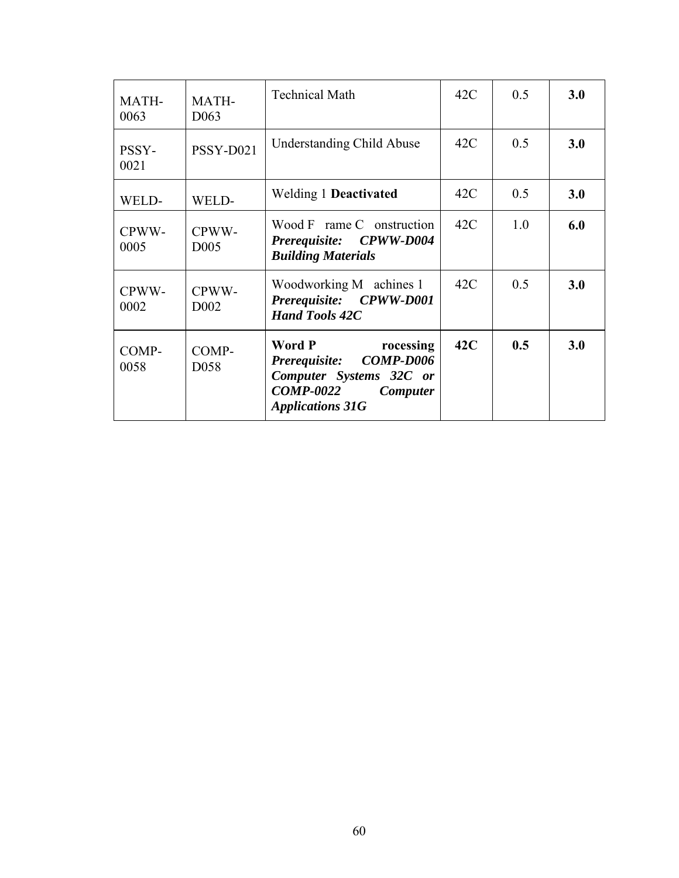| MATH-<br>0063 | MATH-<br>D <sub>063</sub>  | <b>Technical Math</b>                                                                                                                       | 42C | 0.5 | 3.0 |
|---------------|----------------------------|---------------------------------------------------------------------------------------------------------------------------------------------|-----|-----|-----|
| PSSY-<br>0021 | PSSY-D021                  | <b>Understanding Child Abuse</b>                                                                                                            | 42C | 0.5 | 3.0 |
| WELD-         | WELD-                      | <b>Welding 1 Deactivated</b>                                                                                                                | 42C | 0.5 | 3.0 |
| CPWW-<br>0005 | CPWW-<br>D <sub>005</sub>  | Wood F rame C onstruction<br>Prerequisite: CPWW-D004<br><b>Building Materials</b>                                                           | 42C | 1.0 | 6.0 |
| CPWW-<br>0002 | CPWW-<br>D <sub>0</sub> 02 | Woodworking M achines 1<br>Prerequisite: CPWW-D001<br><b>Hand Tools 42C</b>                                                                 | 42C | 0.5 | 3.0 |
| COMP-<br>0058 | COMP-<br>D <sub>058</sub>  | Word P<br>rocessing<br>Prerequisite: COMP-D006<br>Computer Systems 32C or<br><b>COMP-0022</b><br><b>Computer</b><br><b>Applications 31G</b> | 42C | 0.5 | 3.0 |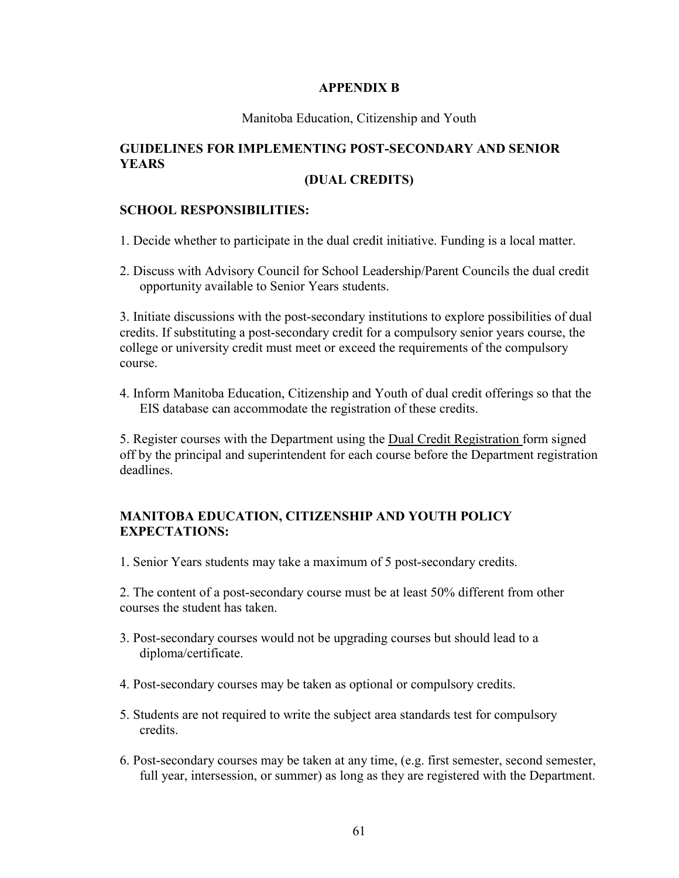### **APPENDIX B**

#### Manitoba Education, Citizenship and Youth

# <span id="page-60-0"></span>**GUIDELINES FOR IMPLEMENTING POST-SECONDARY AND SENIOR YEARS**

## **(DUAL CREDITS)**

## **SCHOOL RESPONSIBILITIES:**

- 1. Decide whether to participate in the dual credit initiative. Funding is a local matter.
- 2. Discuss with Advisory Council for School Leadership/Parent Councils the dual credit opportunity available to Senior Years students.

3. Initiate discussions with the post-secondary institutions to explore possibilities of dual credits. If substituting a post-secondary credit for a compulsory senior years course, the college or university credit must meet or exceed the requirements of the compulsory course.

4. Inform Manitoba Education, Citizenship and Youth of dual credit offerings so that the EIS database can accommodate the registration of these credits.

5. Register courses with the Department using the Dual Credit Registration form signed off by the principal and superintendent for each course before the Department registration deadlines.

## **MANITOBA EDUCATION, CITIZENSHIP AND YOUTH POLICY EXPECTATIONS:**

1. Senior Years students may take a maximum of 5 post-secondary credits.

2. The content of a post-secondary course must be at least 50% different from other courses the student has taken.

- 3. Post-secondary courses would not be upgrading courses but should lead to a diploma/certificate.
- 4. Post-secondary courses may be taken as optional or compulsory credits.
- 5. Students are not required to write the subject area standards test for compulsory credits.
- 6. Post-secondary courses may be taken at any time, (e.g. first semester, second semester, full year, intersession, or summer) as long as they are registered with the Department.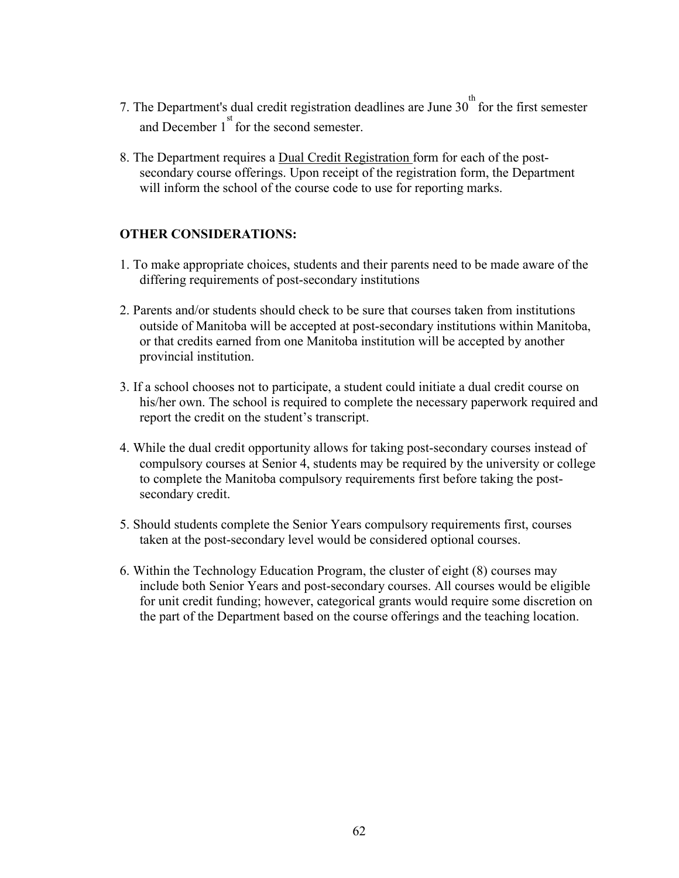- 7. The Department's dual credit registration deadlines are June  $30<sup>th</sup>$  for the first semester and December  $1<sup>st</sup>$  for the second semester.
- 8. The Department requires a Dual Credit Registration form for each of the postsecondary course offerings. Upon receipt of the registration form, the Department will inform the school of the course code to use for reporting marks.

## **OTHER CONSIDERATIONS:**

- 1. To make appropriate choices, students and their parents need to be made aware of the differing requirements of post-secondary institutions
- 2. Parents and/or students should check to be sure that courses taken from institutions outside of Manitoba will be accepted at post-secondary institutions within Manitoba, or that credits earned from one Manitoba institution will be accepted by another provincial institution.
- 3. If a school chooses not to participate, a student could initiate a dual credit course on his/her own. The school is required to complete the necessary paperwork required and report the credit on the student's transcript.
- 4. While the dual credit opportunity allows for taking post-secondary courses instead of compulsory courses at Senior 4, students may be required by the university or college to complete the Manitoba compulsory requirements first before taking the postsecondary credit.
- 5. Should students complete the Senior Years compulsory requirements first, courses taken at the post-secondary level would be considered optional courses.
- 6. Within the Technology Education Program, the cluster of eight (8) courses may include both Senior Years and post-secondary courses. All courses would be eligible for unit credit funding; however, categorical grants would require some discretion on the part of the Department based on the course offerings and the teaching location.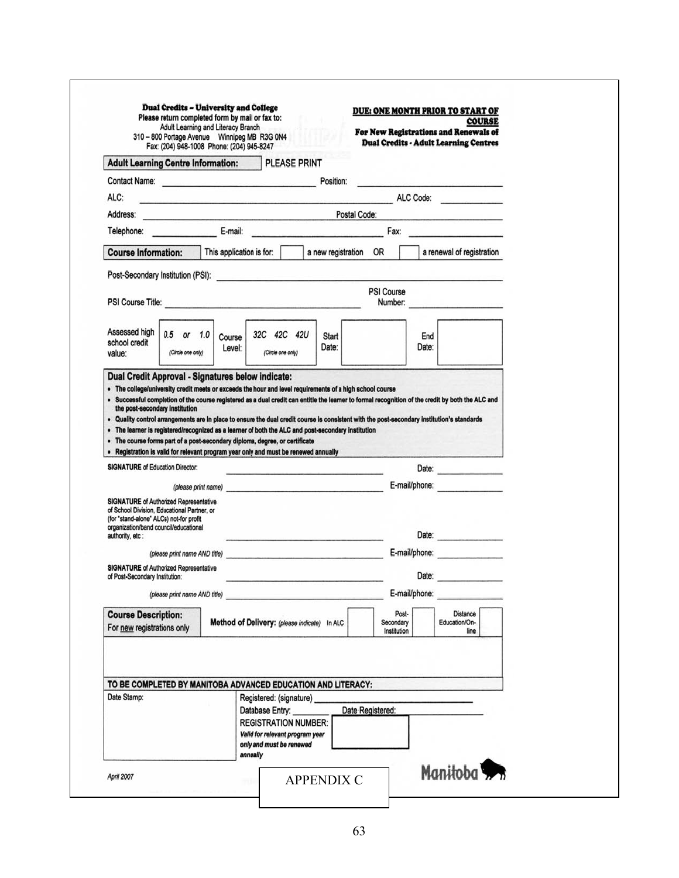<span id="page-62-0"></span>

| 310 - 800 Portage Avenue Winnipeg MB R3G 0N4<br>Fax: (204) 948-1008 Phone: (204) 945-8247                                                                                                                                                                                                                                                                                                              |                                                                                                                                                                                                                               |                                                                                                                                                                                                      |                     |                                                                                                                                                   |                                                       | <b>Dual Credits - Adult Learning Centres</b> |                                          |
|--------------------------------------------------------------------------------------------------------------------------------------------------------------------------------------------------------------------------------------------------------------------------------------------------------------------------------------------------------------------------------------------------------|-------------------------------------------------------------------------------------------------------------------------------------------------------------------------------------------------------------------------------|------------------------------------------------------------------------------------------------------------------------------------------------------------------------------------------------------|---------------------|---------------------------------------------------------------------------------------------------------------------------------------------------|-------------------------------------------------------|----------------------------------------------|------------------------------------------|
| <b>Adult Learning Centre Information:</b>                                                                                                                                                                                                                                                                                                                                                              |                                                                                                                                                                                                                               |                                                                                                                                                                                                      | <b>PLEASE PRINT</b> |                                                                                                                                                   |                                                       |                                              |                                          |
| Contact Name: <b>Example 2018</b>                                                                                                                                                                                                                                                                                                                                                                      |                                                                                                                                                                                                                               |                                                                                                                                                                                                      |                     | Position:                                                                                                                                         |                                                       |                                              |                                          |
| ALC:                                                                                                                                                                                                                                                                                                                                                                                                   | <u> 1987 - Paragona de Carlos Antigatos de Carlos Antigatos </u>                                                                                                                                                              |                                                                                                                                                                                                      |                     |                                                                                                                                                   |                                                       |                                              | ALC Code:                                |
| Address:                                                                                                                                                                                                                                                                                                                                                                                               | the control of the control of the control of the control of the control of                                                                                                                                                    |                                                                                                                                                                                                      |                     | Postal Code:                                                                                                                                      |                                                       |                                              |                                          |
| Telephone:                                                                                                                                                                                                                                                                                                                                                                                             | E-mail:                                                                                                                                                                                                                       |                                                                                                                                                                                                      |                     | .<br>A milion of the Chevy and Material Alline and                                                                                                |                                                       |                                              | <b>Fax:</b> Particularly 2008.           |
| <b>Course Information:</b>                                                                                                                                                                                                                                                                                                                                                                             | This application is for:                                                                                                                                                                                                      |                                                                                                                                                                                                      |                     | a new registration OR                                                                                                                             |                                                       |                                              | a renewal of registration                |
| Post-Secondary Institution (PSI): <b>Canadian Contract Contract Contract Contract Contract Contract Contract Contract Contract Contract Contract Contract Contract Contract Contract Contract Contract Contract Contract Contrac</b>                                                                                                                                                                   |                                                                                                                                                                                                                               |                                                                                                                                                                                                      |                     |                                                                                                                                                   |                                                       |                                              |                                          |
| PSI Course Title: <b>Example 2018</b>                                                                                                                                                                                                                                                                                                                                                                  |                                                                                                                                                                                                                               |                                                                                                                                                                                                      |                     |                                                                                                                                                   | <b>PSI Course</b>                                     |                                              | Number:                                  |
|                                                                                                                                                                                                                                                                                                                                                                                                        |                                                                                                                                                                                                                               |                                                                                                                                                                                                      |                     |                                                                                                                                                   |                                                       |                                              |                                          |
| Assessed high<br>0.5 or 1.0<br>school credit<br>value:<br>(Circle one only)                                                                                                                                                                                                                                                                                                                            | Course<br>Level:                                                                                                                                                                                                              | 32C 42C 42U<br>(Circle one only)                                                                                                                                                                     |                     | <b>Start</b><br>Date:                                                                                                                             |                                                       | End<br>Date:                                 |                                          |
|                                                                                                                                                                                                                                                                                                                                                                                                        |                                                                                                                                                                                                                               |                                                                                                                                                                                                      |                     |                                                                                                                                                   |                                                       |                                              |                                          |
| the post-secondary institution<br>Quality control arrangements are in place to ensure the dual credit course is consistent with the post-secondary institution's standards                                                                                                                                                                                                                             |                                                                                                                                                                                                                               |                                                                                                                                                                                                      |                     | . Successful completion of the course registered as a dual credit can entitle the learner to formal recognition of the credit by both the ALC and |                                                       |                                              |                                          |
|                                                                                                                                                                                                                                                                                                                                                                                                        |                                                                                                                                                                                                                               |                                                                                                                                                                                                      |                     |                                                                                                                                                   |                                                       |                                              |                                          |
| ٠<br>. The course forms part of a post-secondary diploma, degree, or certificate<br>. Registration is valid for relevant program year only and must be renewed annually<br><b>SIGNATURE of Education Director:</b><br><b>SIGNATURE of Authorized Representative</b><br>of School Division, Educational Partner, or<br>(for "stand-alone" ALCs) not-for profit<br>organization/band council/educational | (please print name) expansion of the contract of the contract of the contract of the contract of the contract of the contract of the contract of the contract of the contract of the contract of the contract of the contract |                                                                                                                                                                                                      |                     |                                                                                                                                                   |                                                       |                                              | E-mail/phone:                            |
| authority, etc:                                                                                                                                                                                                                                                                                                                                                                                        |                                                                                                                                                                                                                               |                                                                                                                                                                                                      |                     |                                                                                                                                                   |                                                       |                                              |                                          |
|                                                                                                                                                                                                                                                                                                                                                                                                        | (please print name AND title)                                                                                                                                                                                                 |                                                                                                                                                                                                      |                     |                                                                                                                                                   |                                                       |                                              | E-mail/phone:                            |
|                                                                                                                                                                                                                                                                                                                                                                                                        |                                                                                                                                                                                                                               |                                                                                                                                                                                                      |                     |                                                                                                                                                   |                                                       | Date:                                        |                                          |
| (please print name AND title)                                                                                                                                                                                                                                                                                                                                                                          |                                                                                                                                                                                                                               |                                                                                                                                                                                                      |                     |                                                                                                                                                   |                                                       | E-mail/phone:                                | <b>Contract of Contract Avenue</b>       |
| . The learner is registered/recognized as a learner of both the ALC and post-secondary institution<br><b>SIGNATURE of Authorized Representative</b><br>of Post-Secondary Institution:                                                                                                                                                                                                                  |                                                                                                                                                                                                                               |                                                                                                                                                                                                      |                     |                                                                                                                                                   |                                                       |                                              |                                          |
| <b>Course Description:</b><br>For new registrations only<br>TO BE COMPLETED BY MANITOBA ADVANCED EDUCATION AND LITERACY:<br>Date Stamp:                                                                                                                                                                                                                                                                |                                                                                                                                                                                                                               | Method of Delivery: (please indicate) In ALC<br>Registered: (signature)<br>Database Entry:<br><b>REGISTRATION NUMBER:</b><br>Valid for relevant program year<br>only and must be renewed<br>annually |                     |                                                                                                                                                   | Post-<br>Secondary<br>Institution<br>Date Registered: |                                              | <b>Distance</b><br>Education/On-<br>line |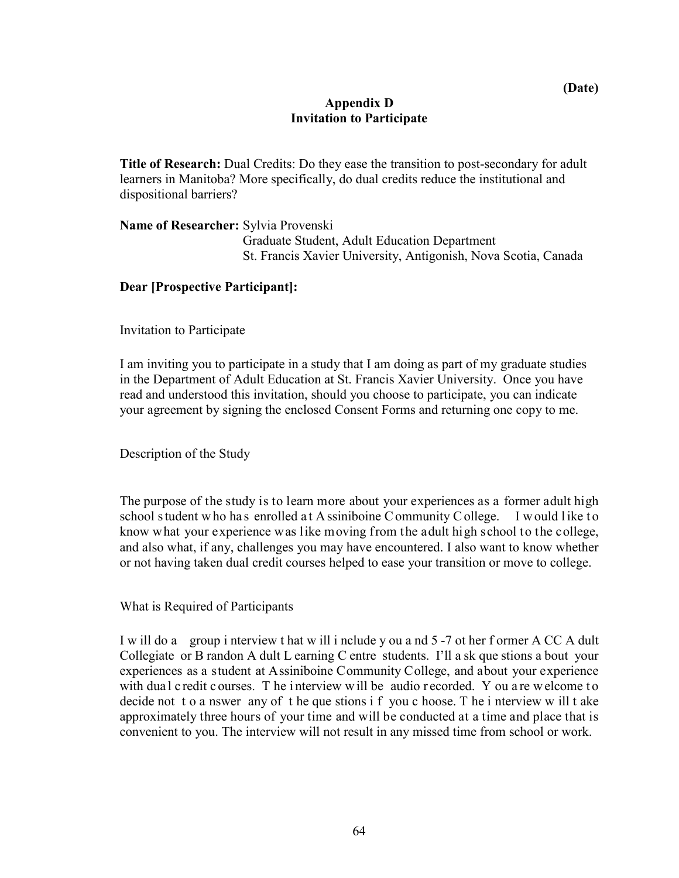## **Appendix D Invitation to Participate**

<span id="page-63-0"></span>**Title of Research:** Dual Credits: Do they ease the transition to post-secondary for adult learners in Manitoba? More specifically, do dual credits reduce the institutional and dispositional barriers?

**Name of Researcher:** Sylvia Provenski Graduate Student, Adult Education Department St. Francis Xavier University, Antigonish, Nova Scotia, Canada

## **Dear [Prospective Participant]:**

Invitation to Participate

I am inviting you to participate in a study that I am doing as part of my graduate studies in the Department of Adult Education at St. Francis Xavier University. Once you have read and understood this invitation, should you choose to participate, you can indicate your agreement by signing the enclosed Consent Forms and returning one copy to me.

Description of the Study

The purpose of the study is to learn more about your experiences as a former adult high school s tudent who has enrolled at A ssiniboine C ommunity C ollege. I would like to know what your experience was like moving from the adult high school to the college, and also what, if any, challenges you may have encountered. I also want to know whether or not having taken dual credit courses helped to ease your transition or move to college.

What is Required of Participants

I w ill do a group i nterview t hat w ill i nclude y ou a nd 5 -7 ot her f ormer A CC A dult Collegiate or B randon A dult L earning C entre students. I'll a sk que stions a bout your experiences as a student at Assiniboine Community College, and about your experience with dual c redit c ourses. T he interview will be audio r ecorded. Y ou are w elcome to decide not t o a nswer any of t he que stions i f you c hoose. T he i nterview w ill t ake approximately three hours of your time and will be conducted at a time and place that is convenient to you. The interview will not result in any missed time from school or work.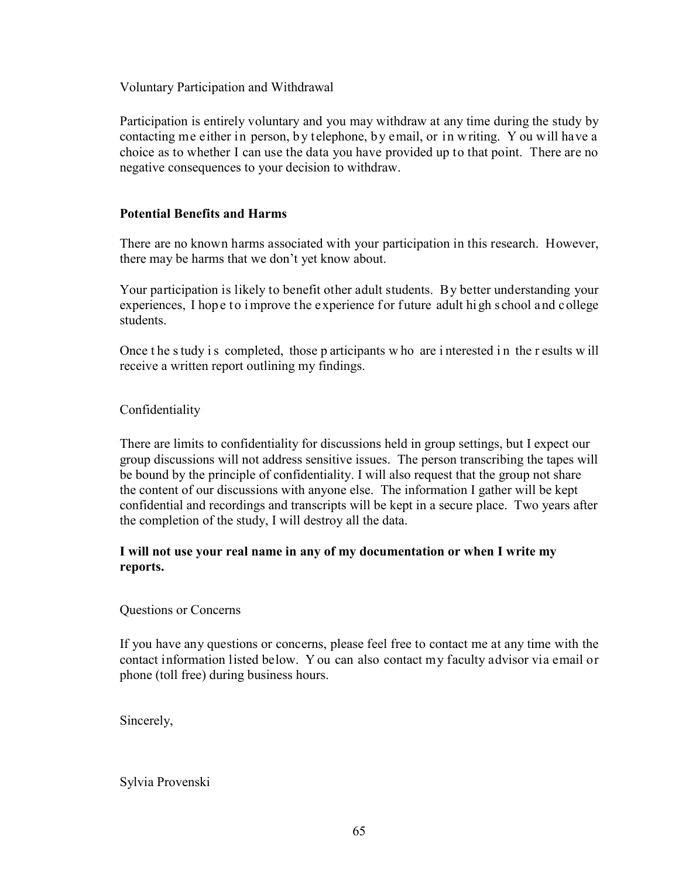Voluntary Participation and Withdrawal

Participation is entirely voluntary and you may withdraw at any time during the study by contacting me either in person, by telephone, by email, or in writing. Y ou will have a choice as to whether I can use the data you have provided up to that point. There are no negative consequences to your decision to withdraw.

## **Potential Benefits and Harms**

There are no known harms associated with your participation in this research. However, there may be harms that we don't yet know about.

Your participation is likely to benefit other adult students. By better understanding your experiences, I hope to improve the experience for future adult high school and college students.

Once the study is completed, those p articipants w ho are interested in the r esults will receive a written report outlining my findings.

## Confidentiality

There are limits to confidentiality for discussions held in group settings, but I expect our group discussions will not address sensitive issues. The person transcribing the tapes will be bound by the principle of confidentiality. I will also request that the group not share the content of our discussions with anyone else. The information I gather will be kept confidential and recordings and transcripts will be kept in a secure place. Two years after the completion of the study, I will destroy all the data.

## **I will not use your real name in any of my documentation or when I write my reports.**

Questions or Concerns

If you have any questions or concerns, please feel free to contact me at any time with the contact information listed below. Y ou can also contact my faculty advisor via email or phone (toll free) during business hours.

Sincerely,

Sylvia Provenski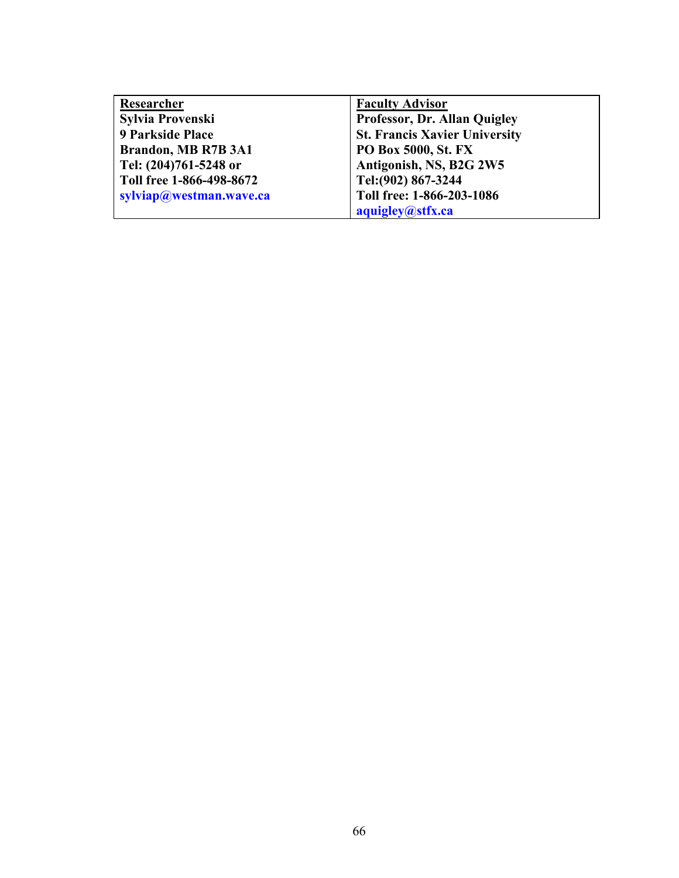| Researcher               | <b>Faculty Advisor</b>               |
|--------------------------|--------------------------------------|
| Sylvia Provenski         | Professor, Dr. Allan Quigley         |
| <b>9 Parkside Place</b>  | <b>St. Francis Xavier University</b> |
| Brandon, MB R7B 3A1      | PO Box 5000, St. FX                  |
| Tel: (204)761-5248 or    | Antigonish, NS, B2G 2W5              |
| Toll free 1-866-498-8672 | Tel: (902) 867-3244                  |
| sylviap@westman.wave.ca  | Toll free: 1-866-203-1086            |
|                          | aquigley@stfx.ca                     |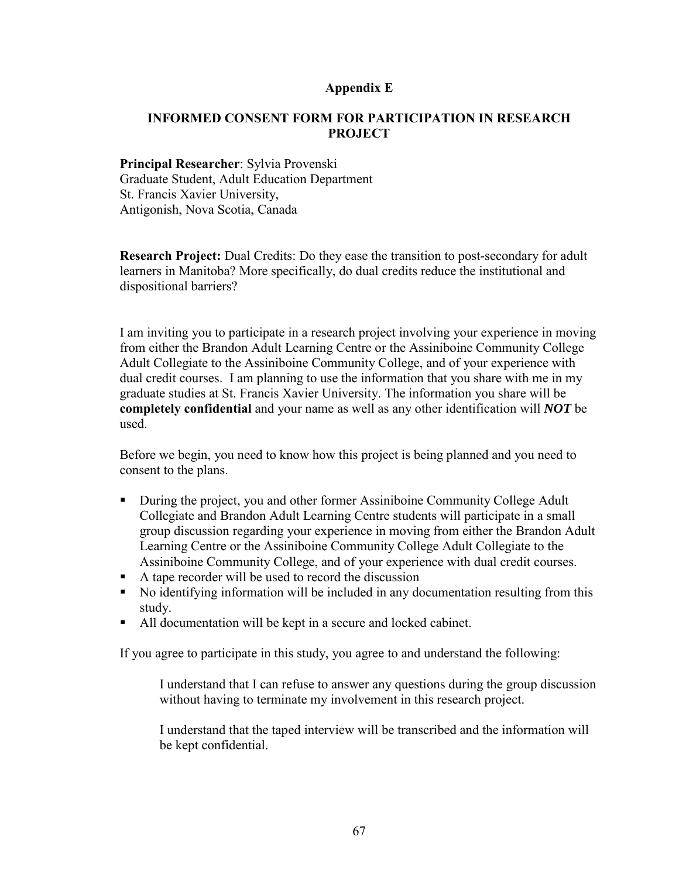## **Appendix E**

## <span id="page-66-0"></span>**INFORMED CONSENT FORM FOR PARTICIPATION IN RESEARCH PROJECT**

## **Principal Researcher**: Sylvia Provenski Graduate Student, Adult Education Department St. Francis Xavier University, Antigonish, Nova Scotia, Canada

**Research Project:** Dual Credits: Do they ease the transition to post-secondary for adult learners in Manitoba? More specifically, do dual credits reduce the institutional and dispositional barriers?

I am inviting you to participate in a research project involving your experience in moving from either the Brandon Adult Learning Centre or the Assiniboine Community College Adult Collegiate to the Assiniboine Community College, and of your experience with dual credit courses. I am planning to use the information that you share with me in my graduate studies at St. Francis Xavier University. The information you share will be **completely confidential** and your name as well as any other identification will *NOT* be used.

Before we begin, you need to know how this project is being planned and you need to consent to the plans.

- During the project, you and other former Assiniboine Community College Adult Collegiate and Brandon Adult Learning Centre students will participate in a small group discussion regarding your experience in moving from either the Brandon Adult Learning Centre or the Assiniboine Community College Adult Collegiate to the Assiniboine Community College, and of your experience with dual credit courses.
- A tape recorder will be used to record the discussion
- No identifying information will be included in any documentation resulting from this study.
- All documentation will be kept in a secure and locked cabinet.

If you agree to participate in this study, you agree to and understand the following:

I understand that I can refuse to answer any questions during the group discussion without having to terminate my involvement in this research project.

I understand that the taped interview will be transcribed and the information will be kept confidential.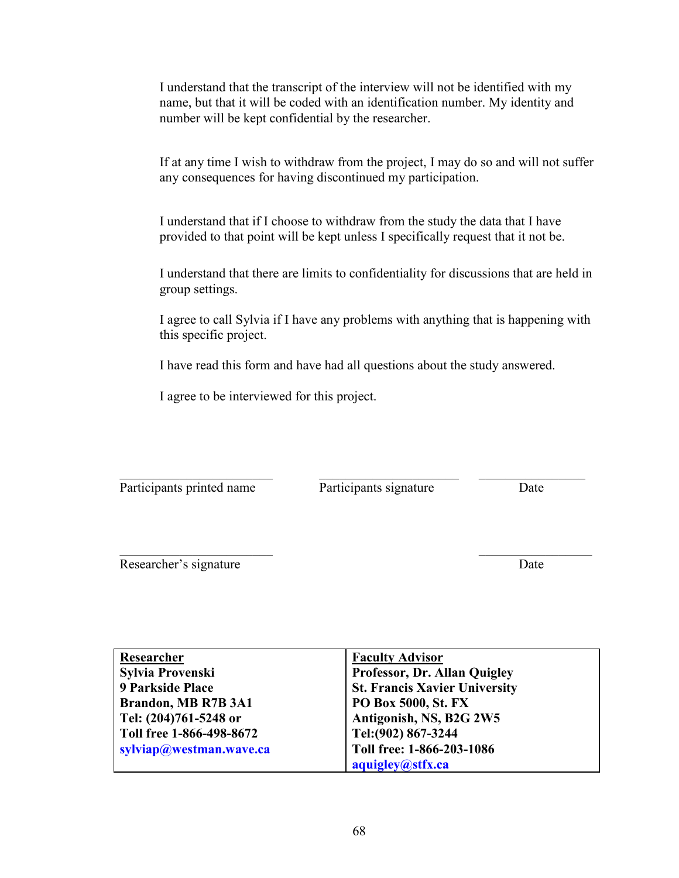I understand that the transcript of the interview will not be identified with my name, but that it will be coded with an identification number. My identity and number will be kept confidential by the researcher.

If at any time I wish to withdraw from the project, I may do so and will not suffer any consequences for having discontinued my participation.

I understand that if I choose to withdraw from the study the data that I have provided to that point will be kept unless I specifically request that it not be.

I understand that there are limits to confidentiality for discussions that are held in group settings.

I agree to call Sylvia if I have any problems with anything that is happening with this specific project.

I have read this form and have had all questions about the study answered.

I agree to be interviewed for this project.

 $\_$  ,  $\_$  ,  $\_$  ,  $\_$  ,  $\_$  ,  $\_$  ,  $\_$  ,  $\_$  ,  $\_$  ,  $\_$  ,  $\_$  ,  $\_$  ,  $\_$  ,  $\_$  ,  $\_$  ,  $\_$  ,  $\_$  ,  $\_$  ,  $\_$ Participants printed name Participants signature Date

Researcher's signature Date

| Researcher               | <b>Faculty Advisor</b>               |
|--------------------------|--------------------------------------|
| Sylvia Provenski         | Professor, Dr. Allan Quigley         |
| 9 Parkside Place         | <b>St. Francis Xavier University</b> |
| Brandon, MB R7B 3A1      | <b>PO Box 5000, St. FX</b>           |
| Tel: (204)761-5248 or    | Antigonish, NS, B2G 2W5              |
| Toll free 1-866-498-8672 | Tel: (902) 867-3244                  |
| sylviap@westman.wave.ca  | Toll free: 1-866-203-1086            |
|                          | aquigley@stfx.ca                     |

 $\overline{\phantom{a}}$  , and the contract of the contract of the contract of the contract of the contract of the contract of the contract of the contract of the contract of the contract of the contract of the contract of the contrac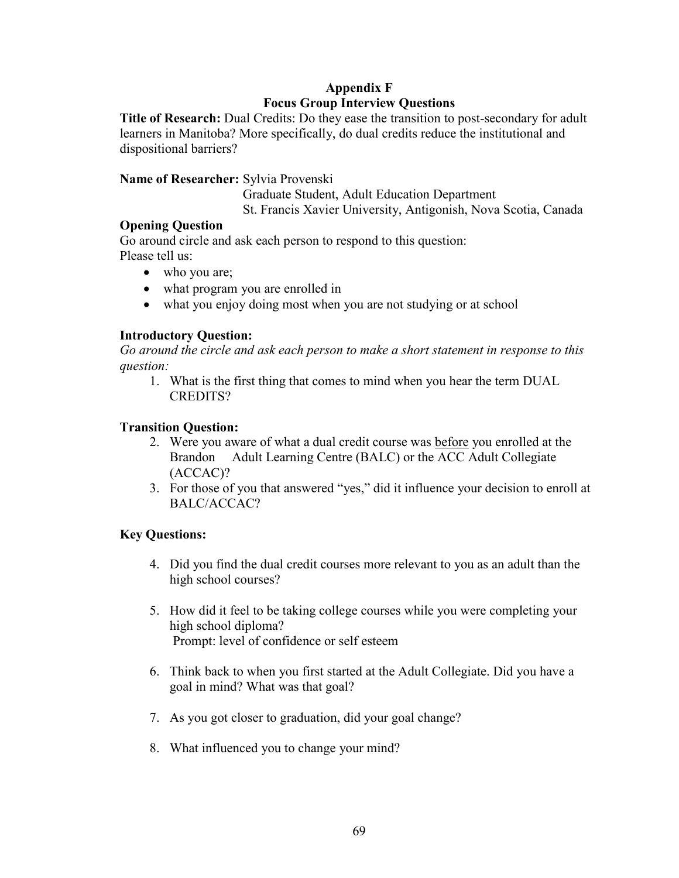# **Appendix F Focus Group Interview Questions**

<span id="page-68-0"></span>**Title of Research:** Dual Credits: Do they ease the transition to post-secondary for adult learners in Manitoba? More specifically, do dual credits reduce the institutional and dispositional barriers?

## **Name of Researcher:** Sylvia Provenski

Graduate Student, Adult Education Department

St. Francis Xavier University, Antigonish, Nova Scotia, Canada

# **Opening Question**

Go around circle and ask each person to respond to this question: Please tell us:

- who you are;
- what program you are enrolled in
- what you enjoy doing most when you are not studying or at school

# **Introductory Question:**

*Go around the circle and ask each person to make a short statement in response to this question:* 

1. What is the first thing that comes to mind when you hear the term DUAL CREDITS?

# **Transition Question:**

- 2. Were you aware of what a dual credit course was before you enrolled at the Brandon Adult Learning Centre (BALC) or the ACC Adult Collegiate (ACCAC)?
- 3. For those of you that answered "yes," did it influence your decision to enroll at BALC/ACCAC?

# **Key Questions:**

- 4. Did you find the dual credit courses more relevant to you as an adult than the high school courses?
- 5. How did it feel to be taking college courses while you were completing your high school diploma? Prompt: level of confidence or self esteem
- 6. Think back to when you first started at the Adult Collegiate. Did you have a goal in mind? What was that goal?
- 7. As you got closer to graduation, did your goal change?
- 8. What influenced you to change your mind?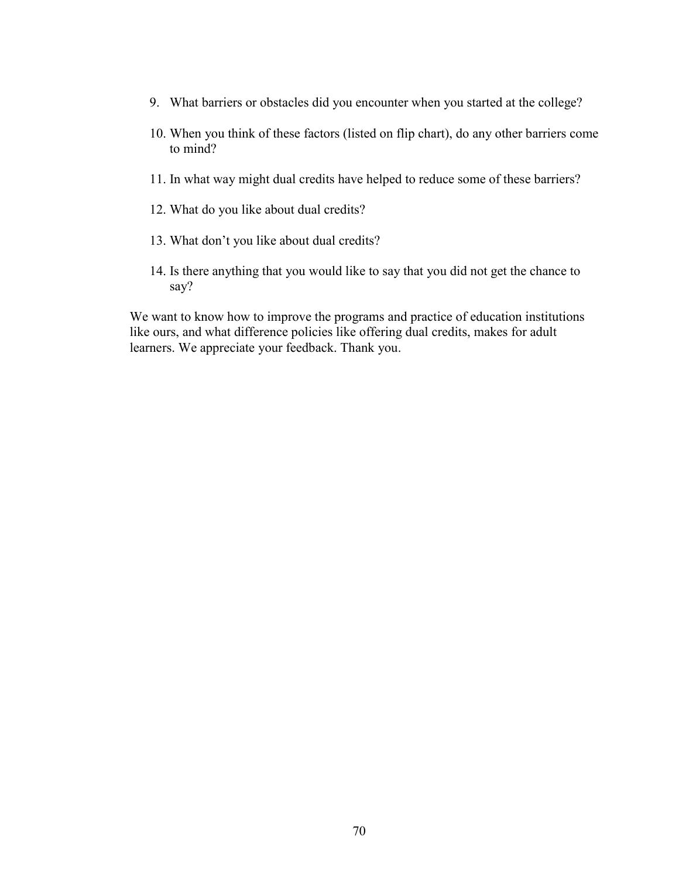- 9. What barriers or obstacles did you encounter when you started at the college?
- 10. When you think of these factors (listed on flip chart), do any other barriers come to mind?
- 11. In what way might dual credits have helped to reduce some of these barriers?
- 12. What do you like about dual credits?
- 13. What don't you like about dual credits?
- 14. Is there anything that you would like to say that you did not get the chance to say?

We want to know how to improve the programs and practice of education institutions like ours, and what difference policies like offering dual credits, makes for adult learners. We appreciate your feedback. Thank you.